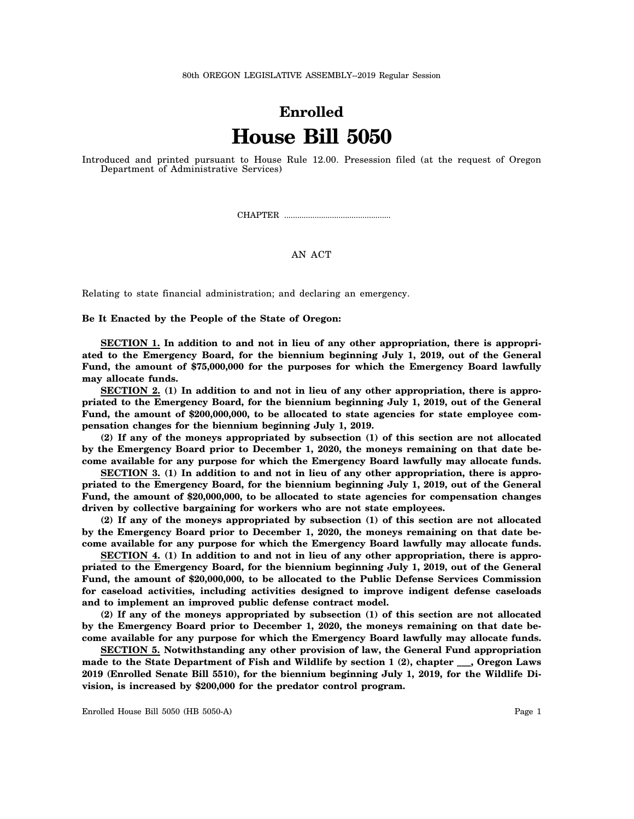# **Enrolled House Bill 5050**

Introduced and printed pursuant to House Rule 12.00. Presession filed (at the request of Oregon Department of Administrative Services)

CHAPTER .................................................

#### AN ACT

Relating to state financial administration; and declaring an emergency.

**Be It Enacted by the People of the State of Oregon:**

**SECTION 1. In addition to and not in lieu of any other appropriation, there is appropriated to the Emergency Board, for the biennium beginning July 1, 2019, out of the General Fund, the amount of \$75,000,000 for the purposes for which the Emergency Board lawfully may allocate funds.**

**SECTION 2. (1) In addition to and not in lieu of any other appropriation, there is appropriated to the Emergency Board, for the biennium beginning July 1, 2019, out of the General Fund, the amount of \$200,000,000, to be allocated to state agencies for state employee compensation changes for the biennium beginning July 1, 2019.**

**(2) If any of the moneys appropriated by subsection (1) of this section are not allocated by the Emergency Board prior to December 1, 2020, the moneys remaining on that date become available for any purpose for which the Emergency Board lawfully may allocate funds.**

**SECTION 3. (1) In addition to and not in lieu of any other appropriation, there is appropriated to the Emergency Board, for the biennium beginning July 1, 2019, out of the General Fund, the amount of \$20,000,000, to be allocated to state agencies for compensation changes driven by collective bargaining for workers who are not state employees.**

**(2) If any of the moneys appropriated by subsection (1) of this section are not allocated by the Emergency Board prior to December 1, 2020, the moneys remaining on that date become available for any purpose for which the Emergency Board lawfully may allocate funds.**

**SECTION 4. (1) In addition to and not in lieu of any other appropriation, there is appropriated to the Emergency Board, for the biennium beginning July 1, 2019, out of the General Fund, the amount of \$20,000,000, to be allocated to the Public Defense Services Commission for caseload activities, including activities designed to improve indigent defense caseloads and to implement an improved public defense contract model.**

**(2) If any of the moneys appropriated by subsection (1) of this section are not allocated by the Emergency Board prior to December 1, 2020, the moneys remaining on that date become available for any purpose for which the Emergency Board lawfully may allocate funds.**

**SECTION 5. Notwithstanding any other provision of law, the General Fund appropriation made to the State Department of Fish and Wildlife by section 1 (2), chapter \_\_\_, Oregon Laws 2019 (Enrolled Senate Bill 5510), for the biennium beginning July 1, 2019, for the Wildlife Division, is increased by \$200,000 for the predator control program.**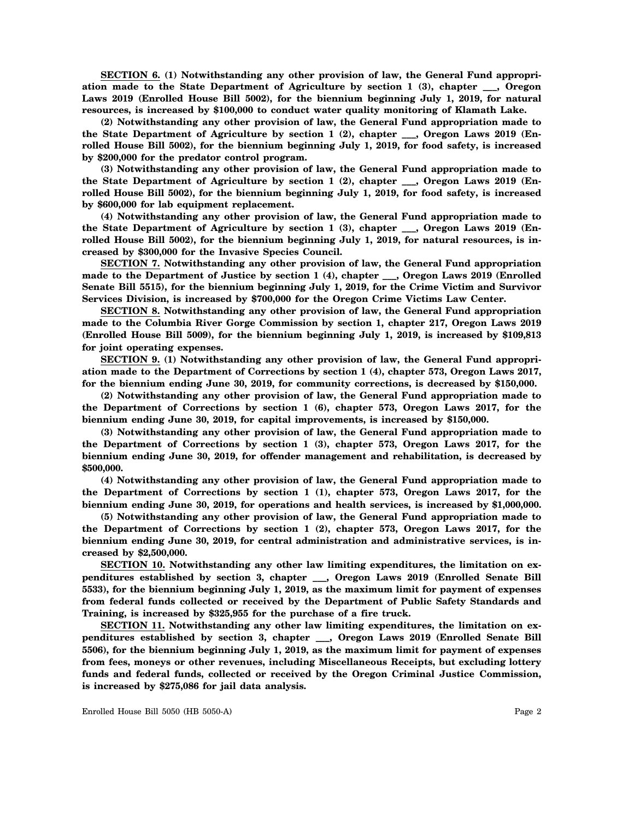**SECTION 6. (1) Notwithstanding any other provision of law, the General Fund appropriation made to the State Department of Agriculture by section 1 (3), chapter \_\_\_, Oregon Laws 2019 (Enrolled House Bill 5002), for the biennium beginning July 1, 2019, for natural resources, is increased by \$100,000 to conduct water quality monitoring of Klamath Lake.**

**(2) Notwithstanding any other provision of law, the General Fund appropriation made to the State Department of Agriculture by section 1 (2), chapter \_\_\_, Oregon Laws 2019 (Enrolled House Bill 5002), for the biennium beginning July 1, 2019, for food safety, is increased by \$200,000 for the predator control program.**

**(3) Notwithstanding any other provision of law, the General Fund appropriation made to the State Department of Agriculture by section 1 (2), chapter \_\_\_, Oregon Laws 2019 (Enrolled House Bill 5002), for the biennium beginning July 1, 2019, for food safety, is increased by \$600,000 for lab equipment replacement.**

**(4) Notwithstanding any other provision of law, the General Fund appropriation made to the State Department of Agriculture by section 1 (3), chapter \_\_\_, Oregon Laws 2019 (Enrolled House Bill 5002), for the biennium beginning July 1, 2019, for natural resources, is increased by \$300,000 for the Invasive Species Council.**

**SECTION 7. Notwithstanding any other provision of law, the General Fund appropriation made to the Department of Justice by section 1 (4), chapter \_\_\_, Oregon Laws 2019 (Enrolled Senate Bill 5515), for the biennium beginning July 1, 2019, for the Crime Victim and Survivor Services Division, is increased by \$700,000 for the Oregon Crime Victims Law Center.**

**SECTION 8. Notwithstanding any other provision of law, the General Fund appropriation made to the Columbia River Gorge Commission by section 1, chapter 217, Oregon Laws 2019 (Enrolled House Bill 5009), for the biennium beginning July 1, 2019, is increased by \$109,813 for joint operating expenses.**

**SECTION 9. (1) Notwithstanding any other provision of law, the General Fund appropriation made to the Department of Corrections by section 1 (4), chapter 573, Oregon Laws 2017, for the biennium ending June 30, 2019, for community corrections, is decreased by \$150,000.**

**(2) Notwithstanding any other provision of law, the General Fund appropriation made to the Department of Corrections by section 1 (6), chapter 573, Oregon Laws 2017, for the biennium ending June 30, 2019, for capital improvements, is increased by \$150,000.**

**(3) Notwithstanding any other provision of law, the General Fund appropriation made to the Department of Corrections by section 1 (3), chapter 573, Oregon Laws 2017, for the biennium ending June 30, 2019, for offender management and rehabilitation, is decreased by \$500,000.**

**(4) Notwithstanding any other provision of law, the General Fund appropriation made to the Department of Corrections by section 1 (1), chapter 573, Oregon Laws 2017, for the biennium ending June 30, 2019, for operations and health services, is increased by \$1,000,000.**

**(5) Notwithstanding any other provision of law, the General Fund appropriation made to the Department of Corrections by section 1 (2), chapter 573, Oregon Laws 2017, for the biennium ending June 30, 2019, for central administration and administrative services, is increased by \$2,500,000.**

**SECTION 10. Notwithstanding any other law limiting expenditures, the limitation on expenditures established by section 3, chapter \_\_\_, Oregon Laws 2019 (Enrolled Senate Bill 5533), for the biennium beginning July 1, 2019, as the maximum limit for payment of expenses from federal funds collected or received by the Department of Public Safety Standards and Training, is increased by \$325,955 for the purchase of a fire truck.**

**SECTION 11. Notwithstanding any other law limiting expenditures, the limitation on expenditures established by section 3, chapter \_\_\_, Oregon Laws 2019 (Enrolled Senate Bill 5506), for the biennium beginning July 1, 2019, as the maximum limit for payment of expenses from fees, moneys or other revenues, including Miscellaneous Receipts, but excluding lottery funds and federal funds, collected or received by the Oregon Criminal Justice Commission, is increased by \$275,086 for jail data analysis.**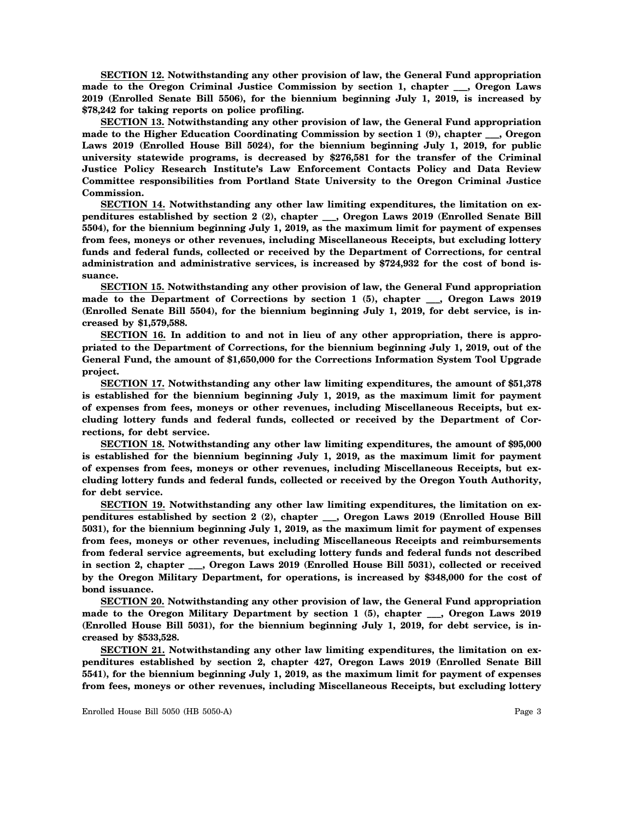**SECTION 12. Notwithstanding any other provision of law, the General Fund appropriation made to the Oregon Criminal Justice Commission by section 1, chapter \_\_\_, Oregon Laws 2019 (Enrolled Senate Bill 5506), for the biennium beginning July 1, 2019, is increased by \$78,242 for taking reports on police profiling.**

**SECTION 13. Notwithstanding any other provision of law, the General Fund appropriation made to the Higher Education Coordinating Commission by section 1 (9), chapter \_\_\_, Oregon Laws 2019 (Enrolled House Bill 5024), for the biennium beginning July 1, 2019, for public university statewide programs, is decreased by \$276,581 for the transfer of the Criminal Justice Policy Research Institute's Law Enforcement Contacts Policy and Data Review Committee responsibilities from Portland State University to the Oregon Criminal Justice Commission.**

**SECTION 14. Notwithstanding any other law limiting expenditures, the limitation on expenditures established by section 2 (2), chapter \_\_\_, Oregon Laws 2019 (Enrolled Senate Bill 5504), for the biennium beginning July 1, 2019, as the maximum limit for payment of expenses from fees, moneys or other revenues, including Miscellaneous Receipts, but excluding lottery funds and federal funds, collected or received by the Department of Corrections, for central administration and administrative services, is increased by \$724,932 for the cost of bond issuance.**

**SECTION 15. Notwithstanding any other provision of law, the General Fund appropriation made to the Department of Corrections by section 1 (5), chapter \_\_\_, Oregon Laws 2019 (Enrolled Senate Bill 5504), for the biennium beginning July 1, 2019, for debt service, is increased by \$1,579,588.**

**SECTION 16. In addition to and not in lieu of any other appropriation, there is appropriated to the Department of Corrections, for the biennium beginning July 1, 2019, out of the General Fund, the amount of \$1,650,000 for the Corrections Information System Tool Upgrade project.**

**SECTION 17. Notwithstanding any other law limiting expenditures, the amount of \$51,378 is established for the biennium beginning July 1, 2019, as the maximum limit for payment of expenses from fees, moneys or other revenues, including Miscellaneous Receipts, but excluding lottery funds and federal funds, collected or received by the Department of Corrections, for debt service.**

**SECTION 18. Notwithstanding any other law limiting expenditures, the amount of \$95,000 is established for the biennium beginning July 1, 2019, as the maximum limit for payment of expenses from fees, moneys or other revenues, including Miscellaneous Receipts, but excluding lottery funds and federal funds, collected or received by the Oregon Youth Authority, for debt service.**

**SECTION 19. Notwithstanding any other law limiting expenditures, the limitation on expenditures established by section 2 (2), chapter \_\_\_, Oregon Laws 2019 (Enrolled House Bill 5031), for the biennium beginning July 1, 2019, as the maximum limit for payment of expenses from fees, moneys or other revenues, including Miscellaneous Receipts and reimbursements from federal service agreements, but excluding lottery funds and federal funds not described in section 2, chapter \_\_\_, Oregon Laws 2019 (Enrolled House Bill 5031), collected or received by the Oregon Military Department, for operations, is increased by \$348,000 for the cost of bond issuance.**

**SECTION 20. Notwithstanding any other provision of law, the General Fund appropriation made to the Oregon Military Department by section 1 (5), chapter \_\_\_, Oregon Laws 2019 (Enrolled House Bill 5031), for the biennium beginning July 1, 2019, for debt service, is increased by \$533,528.**

**SECTION 21. Notwithstanding any other law limiting expenditures, the limitation on expenditures established by section 2, chapter 427, Oregon Laws 2019 (Enrolled Senate Bill 5541), for the biennium beginning July 1, 2019, as the maximum limit for payment of expenses from fees, moneys or other revenues, including Miscellaneous Receipts, but excluding lottery**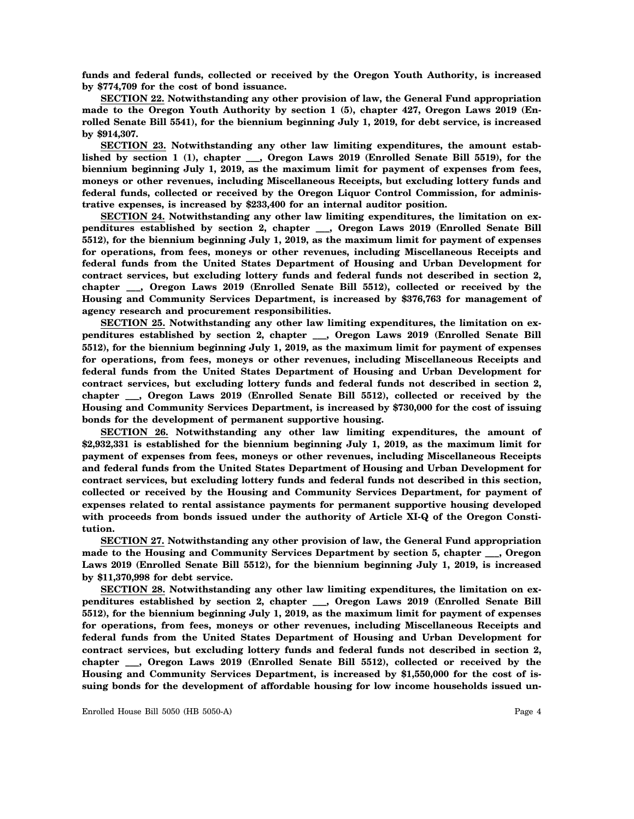**funds and federal funds, collected or received by the Oregon Youth Authority, is increased by \$774,709 for the cost of bond issuance.**

**SECTION 22. Notwithstanding any other provision of law, the General Fund appropriation made to the Oregon Youth Authority by section 1 (5), chapter 427, Oregon Laws 2019 (Enrolled Senate Bill 5541), for the biennium beginning July 1, 2019, for debt service, is increased by \$914,307.**

**SECTION 23. Notwithstanding any other law limiting expenditures, the amount established by section 1 (1), chapter \_\_\_, Oregon Laws 2019 (Enrolled Senate Bill 5519), for the biennium beginning July 1, 2019, as the maximum limit for payment of expenses from fees, moneys or other revenues, including Miscellaneous Receipts, but excluding lottery funds and federal funds, collected or received by the Oregon Liquor Control Commission, for administrative expenses, is increased by \$233,400 for an internal auditor position.**

**SECTION 24. Notwithstanding any other law limiting expenditures, the limitation on expenditures established by section 2, chapter \_\_\_, Oregon Laws 2019 (Enrolled Senate Bill 5512), for the biennium beginning July 1, 2019, as the maximum limit for payment of expenses for operations, from fees, moneys or other revenues, including Miscellaneous Receipts and federal funds from the United States Department of Housing and Urban Development for contract services, but excluding lottery funds and federal funds not described in section 2, chapter \_\_\_, Oregon Laws 2019 (Enrolled Senate Bill 5512), collected or received by the Housing and Community Services Department, is increased by \$376,763 for management of agency research and procurement responsibilities.**

**SECTION 25. Notwithstanding any other law limiting expenditures, the limitation on expenditures established by section 2, chapter \_\_\_, Oregon Laws 2019 (Enrolled Senate Bill 5512), for the biennium beginning July 1, 2019, as the maximum limit for payment of expenses for operations, from fees, moneys or other revenues, including Miscellaneous Receipts and federal funds from the United States Department of Housing and Urban Development for contract services, but excluding lottery funds and federal funds not described in section 2, chapter \_\_\_, Oregon Laws 2019 (Enrolled Senate Bill 5512), collected or received by the Housing and Community Services Department, is increased by \$730,000 for the cost of issuing bonds for the development of permanent supportive housing.**

**SECTION 26. Notwithstanding any other law limiting expenditures, the amount of \$2,932,331 is established for the biennium beginning July 1, 2019, as the maximum limit for payment of expenses from fees, moneys or other revenues, including Miscellaneous Receipts and federal funds from the United States Department of Housing and Urban Development for contract services, but excluding lottery funds and federal funds not described in this section, collected or received by the Housing and Community Services Department, for payment of expenses related to rental assistance payments for permanent supportive housing developed** with proceeds from bonds issued under the authority of Article XI-Q of the Oregon Consti**tution.**

**SECTION 27. Notwithstanding any other provision of law, the General Fund appropriation made to the Housing and Community Services Department by section 5, chapter \_\_\_, Oregon Laws 2019 (Enrolled Senate Bill 5512), for the biennium beginning July 1, 2019, is increased by \$11,370,998 for debt service.**

**SECTION 28. Notwithstanding any other law limiting expenditures, the limitation on expenditures established by section 2, chapter \_\_\_, Oregon Laws 2019 (Enrolled Senate Bill 5512), for the biennium beginning July 1, 2019, as the maximum limit for payment of expenses for operations, from fees, moneys or other revenues, including Miscellaneous Receipts and federal funds from the United States Department of Housing and Urban Development for contract services, but excluding lottery funds and federal funds not described in section 2, chapter \_\_\_, Oregon Laws 2019 (Enrolled Senate Bill 5512), collected or received by the Housing and Community Services Department, is increased by \$1,550,000 for the cost of issuing bonds for the development of affordable housing for low income households issued un-**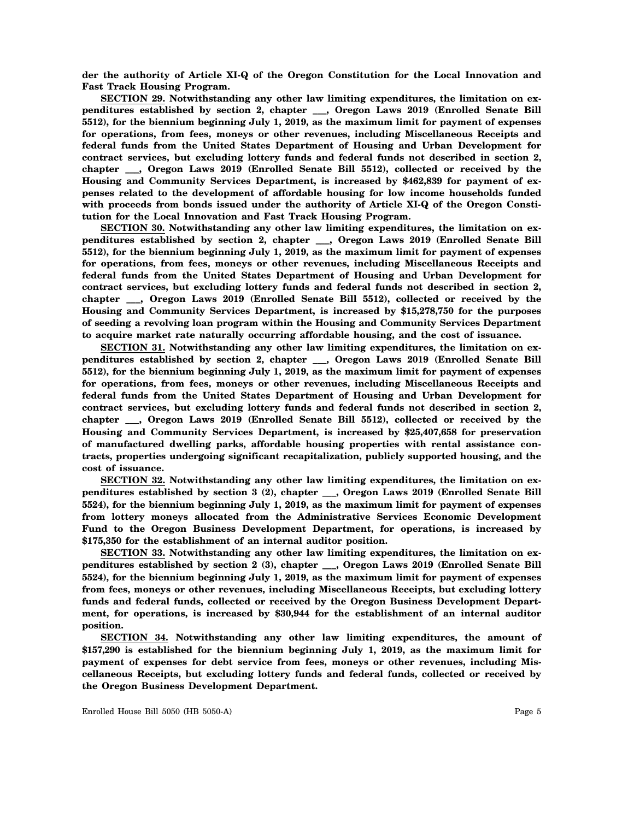**der the authority of Article XI-Q of the Oregon Constitution for the Local Innovation and Fast Track Housing Program.**

**SECTION 29. Notwithstanding any other law limiting expenditures, the limitation on expenditures established by section 2, chapter \_\_\_, Oregon Laws 2019 (Enrolled Senate Bill 5512), for the biennium beginning July 1, 2019, as the maximum limit for payment of expenses for operations, from fees, moneys or other revenues, including Miscellaneous Receipts and federal funds from the United States Department of Housing and Urban Development for contract services, but excluding lottery funds and federal funds not described in section 2, chapter \_\_\_, Oregon Laws 2019 (Enrolled Senate Bill 5512), collected or received by the Housing and Community Services Department, is increased by \$462,839 for payment of expenses related to the development of affordable housing for low income households funded with proceeds from bonds issued under the authority of Article XI-Q of the Oregon Constitution for the Local Innovation and Fast Track Housing Program.**

**SECTION 30. Notwithstanding any other law limiting expenditures, the limitation on expenditures established by section 2, chapter \_\_\_, Oregon Laws 2019 (Enrolled Senate Bill 5512), for the biennium beginning July 1, 2019, as the maximum limit for payment of expenses for operations, from fees, moneys or other revenues, including Miscellaneous Receipts and federal funds from the United States Department of Housing and Urban Development for contract services, but excluding lottery funds and federal funds not described in section 2, chapter \_\_\_, Oregon Laws 2019 (Enrolled Senate Bill 5512), collected or received by the Housing and Community Services Department, is increased by \$15,278,750 for the purposes of seeding a revolving loan program within the Housing and Community Services Department to acquire market rate naturally occurring affordable housing, and the cost of issuance.**

**SECTION 31. Notwithstanding any other law limiting expenditures, the limitation on expenditures established by section 2, chapter \_\_\_, Oregon Laws 2019 (Enrolled Senate Bill 5512), for the biennium beginning July 1, 2019, as the maximum limit for payment of expenses for operations, from fees, moneys or other revenues, including Miscellaneous Receipts and federal funds from the United States Department of Housing and Urban Development for contract services, but excluding lottery funds and federal funds not described in section 2, chapter \_\_\_, Oregon Laws 2019 (Enrolled Senate Bill 5512), collected or received by the Housing and Community Services Department, is increased by \$25,407,658 for preservation of manufactured dwelling parks, affordable housing properties with rental assistance contracts, properties undergoing significant recapitalization, publicly supported housing, and the cost of issuance.**

**SECTION 32. Notwithstanding any other law limiting expenditures, the limitation on expenditures established by section 3 (2), chapter \_\_\_, Oregon Laws 2019 (Enrolled Senate Bill 5524), for the biennium beginning July 1, 2019, as the maximum limit for payment of expenses from lottery moneys allocated from the Administrative Services Economic Development Fund to the Oregon Business Development Department, for operations, is increased by \$175,350 for the establishment of an internal auditor position.**

**SECTION 33. Notwithstanding any other law limiting expenditures, the limitation on expenditures established by section 2 (3), chapter \_\_\_, Oregon Laws 2019 (Enrolled Senate Bill 5524), for the biennium beginning July 1, 2019, as the maximum limit for payment of expenses from fees, moneys or other revenues, including Miscellaneous Receipts, but excluding lottery funds and federal funds, collected or received by the Oregon Business Development Department, for operations, is increased by \$30,944 for the establishment of an internal auditor position.**

**SECTION 34. Notwithstanding any other law limiting expenditures, the amount of \$157,290 is established for the biennium beginning July 1, 2019, as the maximum limit for payment of expenses for debt service from fees, moneys or other revenues, including Miscellaneous Receipts, but excluding lottery funds and federal funds, collected or received by the Oregon Business Development Department.**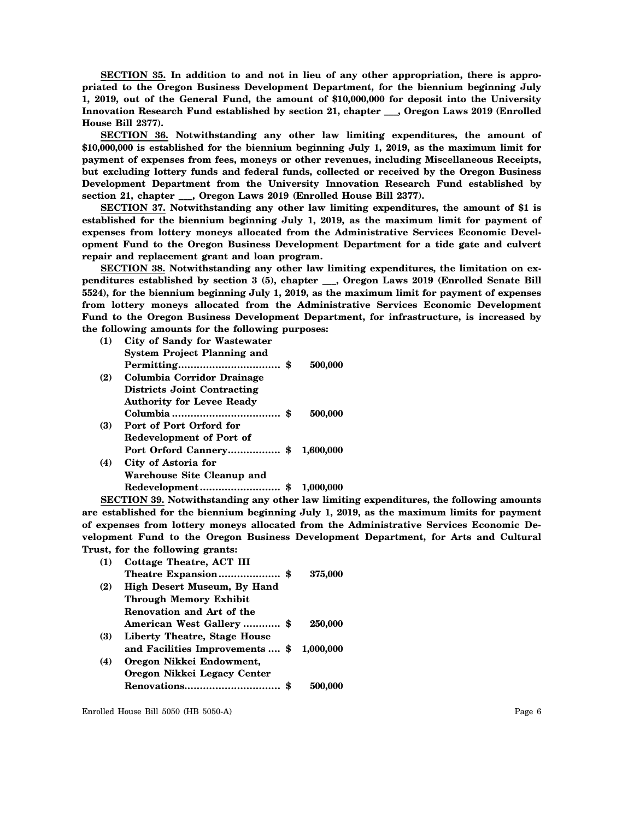**SECTION 35. In addition to and not in lieu of any other appropriation, there is appropriated to the Oregon Business Development Department, for the biennium beginning July 1, 2019, out of the General Fund, the amount of \$10,000,000 for deposit into the University Innovation Research Fund established by section 21, chapter \_\_\_, Oregon Laws 2019 (Enrolled House Bill 2377).**

**SECTION 36. Notwithstanding any other law limiting expenditures, the amount of \$10,000,000 is established for the biennium beginning July 1, 2019, as the maximum limit for payment of expenses from fees, moneys or other revenues, including Miscellaneous Receipts, but excluding lottery funds and federal funds, collected or received by the Oregon Business Development Department from the University Innovation Research Fund established by section 21, chapter \_\_\_, Oregon Laws 2019 (Enrolled House Bill 2377).**

**SECTION 37. Notwithstanding any other law limiting expenditures, the amount of \$1 is established for the biennium beginning July 1, 2019, as the maximum limit for payment of expenses from lottery moneys allocated from the Administrative Services Economic Development Fund to the Oregon Business Development Department for a tide gate and culvert repair and replacement grant and loan program.**

**SECTION 38. Notwithstanding any other law limiting expenditures, the limitation on expenditures established by section 3 (5), chapter \_\_\_, Oregon Laws 2019 (Enrolled Senate Bill 5524), for the biennium beginning July 1, 2019, as the maximum limit for payment of expenses from lottery moneys allocated from the Administrative Services Economic Development Fund to the Oregon Business Development Department, for infrastructure, is increased by the following amounts for the following purposes:**

| (1) | <b>City of Sandy for Wastewater</b> |           |
|-----|-------------------------------------|-----------|
|     | <b>System Project Planning and</b>  |           |
|     |                                     | 500,000   |
| (2) | Columbia Corridor Drainage          |           |
|     | <b>Districts Joint Contracting</b>  |           |
|     | <b>Authority for Levee Ready</b>    |           |
|     |                                     | 500,000   |
| (3) | Port of Port Orford for             |           |
|     | <b>Redevelopment of Port of</b>     |           |
|     | Port Orford Cannery \$ 1,600,000    |           |
| (4) | City of Astoria for                 |           |
|     | Warehouse Site Cleanup and          |           |
|     | Redevelopment \$                    | 1.000.000 |

**SECTION 39. Notwithstanding any other law limiting expenditures, the following amounts are established for the biennium beginning July 1, 2019, as the maximum limits for payment of expenses from lottery moneys allocated from the Administrative Services Economic Development Fund to the Oregon Business Development Department, for Arts and Cultural Trust, for the following grants:**

| (1) | Cottage Theatre, ACT III           |           |
|-----|------------------------------------|-----------|
|     |                                    | 375,000   |
| (2) | <b>High Desert Museum, By Hand</b> |           |
|     | Through Memory Exhibit             |           |
|     | Renovation and Art of the          |           |
|     | American West Gallery  \$          | 250,000   |
| (3) | Liberty Theatre, Stage House       |           |
|     | and Facilities Improvements  \$    | 1,000,000 |
| (4) | Oregon Nikkei Endowment,           |           |
|     | Oregon Nikkei Legacy Center        |           |
|     |                                    | 500.000   |
|     |                                    |           |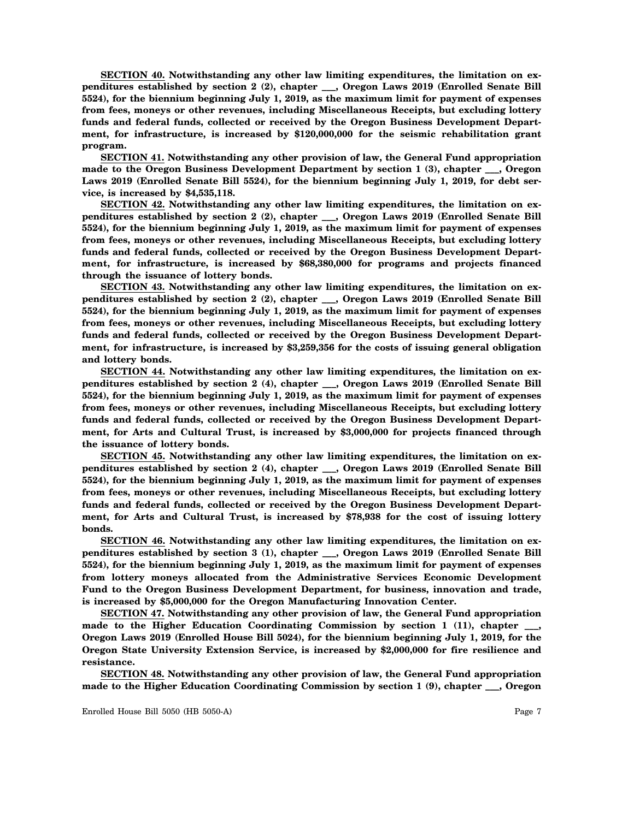**SECTION 40. Notwithstanding any other law limiting expenditures, the limitation on expenditures established by section 2 (2), chapter \_\_\_, Oregon Laws 2019 (Enrolled Senate Bill 5524), for the biennium beginning July 1, 2019, as the maximum limit for payment of expenses from fees, moneys or other revenues, including Miscellaneous Receipts, but excluding lottery funds and federal funds, collected or received by the Oregon Business Development Department, for infrastructure, is increased by \$120,000,000 for the seismic rehabilitation grant program.**

**SECTION 41. Notwithstanding any other provision of law, the General Fund appropriation made to the Oregon Business Development Department by section 1 (3), chapter \_\_\_, Oregon Laws 2019 (Enrolled Senate Bill 5524), for the biennium beginning July 1, 2019, for debt service, is increased by \$4,535,118.**

**SECTION 42. Notwithstanding any other law limiting expenditures, the limitation on expenditures established by section 2 (2), chapter \_\_\_, Oregon Laws 2019 (Enrolled Senate Bill 5524), for the biennium beginning July 1, 2019, as the maximum limit for payment of expenses from fees, moneys or other revenues, including Miscellaneous Receipts, but excluding lottery funds and federal funds, collected or received by the Oregon Business Development Department, for infrastructure, is increased by \$68,380,000 for programs and projects financed through the issuance of lottery bonds.**

**SECTION 43. Notwithstanding any other law limiting expenditures, the limitation on expenditures established by section 2 (2), chapter \_\_\_, Oregon Laws 2019 (Enrolled Senate Bill 5524), for the biennium beginning July 1, 2019, as the maximum limit for payment of expenses from fees, moneys or other revenues, including Miscellaneous Receipts, but excluding lottery funds and federal funds, collected or received by the Oregon Business Development Department, for infrastructure, is increased by \$3,259,356 for the costs of issuing general obligation and lottery bonds.**

**SECTION 44. Notwithstanding any other law limiting expenditures, the limitation on expenditures established by section 2 (4), chapter \_\_\_, Oregon Laws 2019 (Enrolled Senate Bill 5524), for the biennium beginning July 1, 2019, as the maximum limit for payment of expenses from fees, moneys or other revenues, including Miscellaneous Receipts, but excluding lottery funds and federal funds, collected or received by the Oregon Business Development Department, for Arts and Cultural Trust, is increased by \$3,000,000 for projects financed through the issuance of lottery bonds.**

**SECTION 45. Notwithstanding any other law limiting expenditures, the limitation on expenditures established by section 2 (4), chapter \_\_\_, Oregon Laws 2019 (Enrolled Senate Bill 5524), for the biennium beginning July 1, 2019, as the maximum limit for payment of expenses from fees, moneys or other revenues, including Miscellaneous Receipts, but excluding lottery funds and federal funds, collected or received by the Oregon Business Development Department, for Arts and Cultural Trust, is increased by \$78,938 for the cost of issuing lottery bonds.**

**SECTION 46. Notwithstanding any other law limiting expenditures, the limitation on expenditures established by section 3 (1), chapter \_\_\_, Oregon Laws 2019 (Enrolled Senate Bill 5524), for the biennium beginning July 1, 2019, as the maximum limit for payment of expenses from lottery moneys allocated from the Administrative Services Economic Development Fund to the Oregon Business Development Department, for business, innovation and trade, is increased by \$5,000,000 for the Oregon Manufacturing Innovation Center.**

**SECTION 47. Notwithstanding any other provision of law, the General Fund appropriation made to the Higher Education Coordinating Commission by section 1 (11), chapter \_\_\_, Oregon Laws 2019 (Enrolled House Bill 5024), for the biennium beginning July 1, 2019, for the Oregon State University Extension Service, is increased by \$2,000,000 for fire resilience and resistance.**

**SECTION 48. Notwithstanding any other provision of law, the General Fund appropriation made to the Higher Education Coordinating Commission by section 1 (9), chapter \_\_\_, Oregon**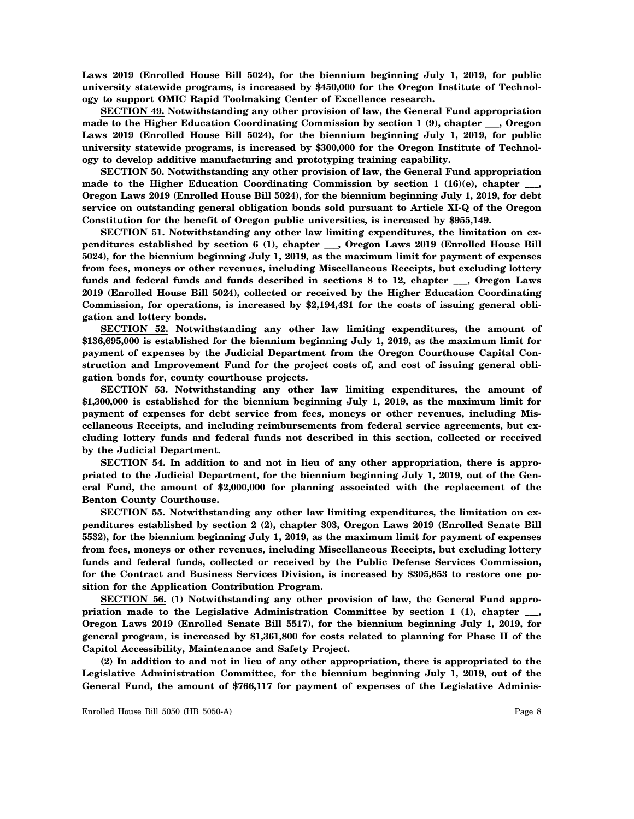**Laws 2019 (Enrolled House Bill 5024), for the biennium beginning July 1, 2019, for public university statewide programs, is increased by \$450,000 for the Oregon Institute of Technology to support OMIC Rapid Toolmaking Center of Excellence research.**

**SECTION 49. Notwithstanding any other provision of law, the General Fund appropriation made to the Higher Education Coordinating Commission by section 1 (9), chapter \_\_\_, Oregon Laws 2019 (Enrolled House Bill 5024), for the biennium beginning July 1, 2019, for public university statewide programs, is increased by \$300,000 for the Oregon Institute of Technology to develop additive manufacturing and prototyping training capability.**

**SECTION 50. Notwithstanding any other provision of law, the General Fund appropriation** made to the Higher Education Coordinating Commission by section 1 (16)(e), chapter **Oregon Laws 2019 (Enrolled House Bill 5024), for the biennium beginning July 1, 2019, for debt service on outstanding general obligation bonds sold pursuant to Article XI-Q of the Oregon Constitution for the benefit of Oregon public universities, is increased by \$955,149.**

**SECTION 51. Notwithstanding any other law limiting expenditures, the limitation on expenditures established by section 6 (1), chapter \_\_\_, Oregon Laws 2019 (Enrolled House Bill 5024), for the biennium beginning July 1, 2019, as the maximum limit for payment of expenses from fees, moneys or other revenues, including Miscellaneous Receipts, but excluding lottery funds and federal funds and funds described in sections 8 to 12, chapter \_\_\_, Oregon Laws 2019 (Enrolled House Bill 5024), collected or received by the Higher Education Coordinating Commission, for operations, is increased by \$2,194,431 for the costs of issuing general obligation and lottery bonds.**

**SECTION 52. Notwithstanding any other law limiting expenditures, the amount of \$136,695,000 is established for the biennium beginning July 1, 2019, as the maximum limit for payment of expenses by the Judicial Department from the Oregon Courthouse Capital Construction and Improvement Fund for the project costs of, and cost of issuing general obligation bonds for, county courthouse projects.**

**SECTION 53. Notwithstanding any other law limiting expenditures, the amount of \$1,300,000 is established for the biennium beginning July 1, 2019, as the maximum limit for payment of expenses for debt service from fees, moneys or other revenues, including Miscellaneous Receipts, and including reimbursements from federal service agreements, but excluding lottery funds and federal funds not described in this section, collected or received by the Judicial Department.**

**SECTION 54. In addition to and not in lieu of any other appropriation, there is appropriated to the Judicial Department, for the biennium beginning July 1, 2019, out of the General Fund, the amount of \$2,000,000 for planning associated with the replacement of the Benton County Courthouse.**

**SECTION 55. Notwithstanding any other law limiting expenditures, the limitation on expenditures established by section 2 (2), chapter 303, Oregon Laws 2019 (Enrolled Senate Bill 5532), for the biennium beginning July 1, 2019, as the maximum limit for payment of expenses from fees, moneys or other revenues, including Miscellaneous Receipts, but excluding lottery funds and federal funds, collected or received by the Public Defense Services Commission, for the Contract and Business Services Division, is increased by \$305,853 to restore one position for the Application Contribution Program.**

**SECTION 56. (1) Notwithstanding any other provision of law, the General Fund appro**priation made to the Legislative Administration Committee by section 1 (1), chapter **Oregon Laws 2019 (Enrolled Senate Bill 5517), for the biennium beginning July 1, 2019, for general program, is increased by \$1,361,800 for costs related to planning for Phase II of the Capitol Accessibility, Maintenance and Safety Project.**

**(2) In addition to and not in lieu of any other appropriation, there is appropriated to the Legislative Administration Committee, for the biennium beginning July 1, 2019, out of the General Fund, the amount of \$766,117 for payment of expenses of the Legislative Adminis-**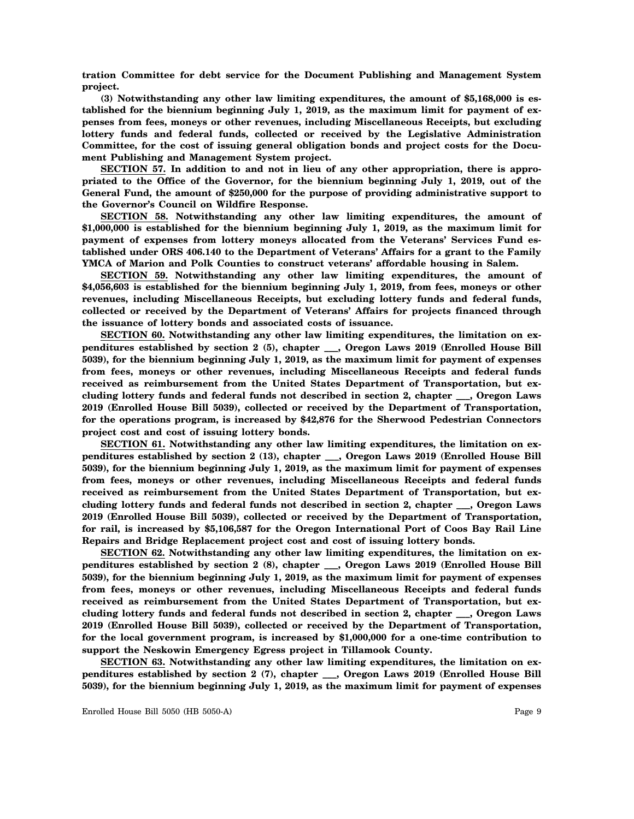**tration Committee for debt service for the Document Publishing and Management System project.**

**(3) Notwithstanding any other law limiting expenditures, the amount of \$5,168,000 is established for the biennium beginning July 1, 2019, as the maximum limit for payment of expenses from fees, moneys or other revenues, including Miscellaneous Receipts, but excluding lottery funds and federal funds, collected or received by the Legislative Administration Committee, for the cost of issuing general obligation bonds and project costs for the Document Publishing and Management System project.**

**SECTION 57. In addition to and not in lieu of any other appropriation, there is appropriated to the Office of the Governor, for the biennium beginning July 1, 2019, out of the General Fund, the amount of \$250,000 for the purpose of providing administrative support to the Governor's Council on Wildfire Response.**

**SECTION 58. Notwithstanding any other law limiting expenditures, the amount of \$1,000,000 is established for the biennium beginning July 1, 2019, as the maximum limit for payment of expenses from lottery moneys allocated from the Veterans' Services Fund established under ORS 406.140 to the Department of Veterans' Affairs for a grant to the Family YMCA of Marion and Polk Counties to construct veterans' affordable housing in Salem.**

**SECTION 59. Notwithstanding any other law limiting expenditures, the amount of \$4,056,603 is established for the biennium beginning July 1, 2019, from fees, moneys or other revenues, including Miscellaneous Receipts, but excluding lottery funds and federal funds, collected or received by the Department of Veterans' Affairs for projects financed through the issuance of lottery bonds and associated costs of issuance.**

**SECTION 60. Notwithstanding any other law limiting expenditures, the limitation on expenditures established by section 2 (5), chapter \_\_\_, Oregon Laws 2019 (Enrolled House Bill 5039), for the biennium beginning July 1, 2019, as the maximum limit for payment of expenses from fees, moneys or other revenues, including Miscellaneous Receipts and federal funds received as reimbursement from the United States Department of Transportation, but excluding lottery funds and federal funds not described in section 2, chapter \_\_\_, Oregon Laws 2019 (Enrolled House Bill 5039), collected or received by the Department of Transportation, for the operations program, is increased by \$42,876 for the Sherwood Pedestrian Connectors project cost and cost of issuing lottery bonds.**

**SECTION 61. Notwithstanding any other law limiting expenditures, the limitation on expenditures established by section 2 (13), chapter \_\_\_, Oregon Laws 2019 (Enrolled House Bill 5039), for the biennium beginning July 1, 2019, as the maximum limit for payment of expenses from fees, moneys or other revenues, including Miscellaneous Receipts and federal funds received as reimbursement from the United States Department of Transportation, but excluding lottery funds and federal funds not described in section 2, chapter \_\_\_, Oregon Laws 2019 (Enrolled House Bill 5039), collected or received by the Department of Transportation, for rail, is increased by \$5,106,587 for the Oregon International Port of Coos Bay Rail Line Repairs and Bridge Replacement project cost and cost of issuing lottery bonds.**

**SECTION 62. Notwithstanding any other law limiting expenditures, the limitation on expenditures established by section 2 (8), chapter \_\_\_, Oregon Laws 2019 (Enrolled House Bill 5039), for the biennium beginning July 1, 2019, as the maximum limit for payment of expenses from fees, moneys or other revenues, including Miscellaneous Receipts and federal funds received as reimbursement from the United States Department of Transportation, but excluding lottery funds and federal funds not described in section 2, chapter \_\_\_, Oregon Laws 2019 (Enrolled House Bill 5039), collected or received by the Department of Transportation, for the local government program, is increased by \$1,000,000 for a one-time contribution to support the Neskowin Emergency Egress project in Tillamook County.**

**SECTION 63. Notwithstanding any other law limiting expenditures, the limitation on expenditures established by section 2 (7), chapter \_\_\_, Oregon Laws 2019 (Enrolled House Bill 5039), for the biennium beginning July 1, 2019, as the maximum limit for payment of expenses**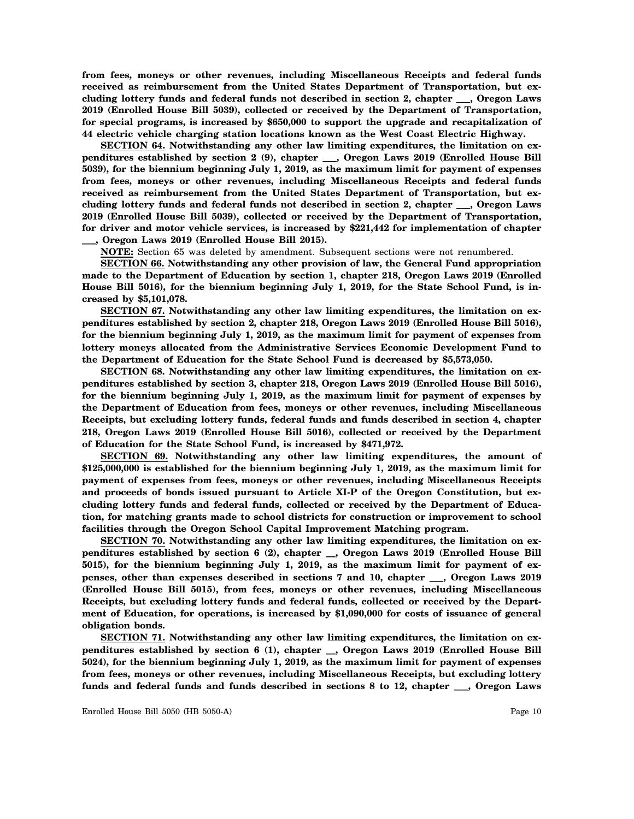**from fees, moneys or other revenues, including Miscellaneous Receipts and federal funds received as reimbursement from the United States Department of Transportation, but excluding lottery funds and federal funds not described in section 2, chapter \_\_\_, Oregon Laws 2019 (Enrolled House Bill 5039), collected or received by the Department of Transportation, for special programs, is increased by \$650,000 to support the upgrade and recapitalization of 44 electric vehicle charging station locations known as the West Coast Electric Highway.**

**SECTION 64. Notwithstanding any other law limiting expenditures, the limitation on expenditures established by section 2 (9), chapter \_\_\_, Oregon Laws 2019 (Enrolled House Bill 5039), for the biennium beginning July 1, 2019, as the maximum limit for payment of expenses from fees, moneys or other revenues, including Miscellaneous Receipts and federal funds received as reimbursement from the United States Department of Transportation, but excluding lottery funds and federal funds not described in section 2, chapter \_\_\_, Oregon Laws 2019 (Enrolled House Bill 5039), collected or received by the Department of Transportation, for driver and motor vehicle services, is increased by \$221,442 for implementation of chapter \_\_\_, Oregon Laws 2019 (Enrolled House Bill 2015).**

**NOTE:** Section 65 was deleted by amendment. Subsequent sections were not renumbered.

**SECTION 66. Notwithstanding any other provision of law, the General Fund appropriation made to the Department of Education by section 1, chapter 218, Oregon Laws 2019 (Enrolled House Bill 5016), for the biennium beginning July 1, 2019, for the State School Fund, is increased by \$5,101,078.**

**SECTION 67. Notwithstanding any other law limiting expenditures, the limitation on expenditures established by section 2, chapter 218, Oregon Laws 2019 (Enrolled House Bill 5016), for the biennium beginning July 1, 2019, as the maximum limit for payment of expenses from lottery moneys allocated from the Administrative Services Economic Development Fund to the Department of Education for the State School Fund is decreased by \$5,573,050.**

**SECTION 68. Notwithstanding any other law limiting expenditures, the limitation on expenditures established by section 3, chapter 218, Oregon Laws 2019 (Enrolled House Bill 5016), for the biennium beginning July 1, 2019, as the maximum limit for payment of expenses by the Department of Education from fees, moneys or other revenues, including Miscellaneous Receipts, but excluding lottery funds, federal funds and funds described in section 4, chapter 218, Oregon Laws 2019 (Enrolled House Bill 5016), collected or received by the Department of Education for the State School Fund, is increased by \$471,972.**

**SECTION 69. Notwithstanding any other law limiting expenditures, the amount of \$125,000,000 is established for the biennium beginning July 1, 2019, as the maximum limit for payment of expenses from fees, moneys or other revenues, including Miscellaneous Receipts and proceeds of bonds issued pursuant to Article XI-P of the Oregon Constitution, but excluding lottery funds and federal funds, collected or received by the Department of Education, for matching grants made to school districts for construction or improvement to school facilities through the Oregon School Capital Improvement Matching program.**

**SECTION 70. Notwithstanding any other law limiting expenditures, the limitation on expenditures established by section 6 (2), chapter \_\_, Oregon Laws 2019 (Enrolled House Bill 5015), for the biennium beginning July 1, 2019, as the maximum limit for payment of expenses, other than expenses described in sections 7 and 10, chapter \_\_\_, Oregon Laws 2019 (Enrolled House Bill 5015), from fees, moneys or other revenues, including Miscellaneous Receipts, but excluding lottery funds and federal funds, collected or received by the Department of Education, for operations, is increased by \$1,090,000 for costs of issuance of general obligation bonds.**

**SECTION 71. Notwithstanding any other law limiting expenditures, the limitation on expenditures established by section 6 (1), chapter \_\_, Oregon Laws 2019 (Enrolled House Bill 5024), for the biennium beginning July 1, 2019, as the maximum limit for payment of expenses from fees, moneys or other revenues, including Miscellaneous Receipts, but excluding lottery funds and federal funds and funds described in sections 8 to 12, chapter \_\_\_, Oregon Laws**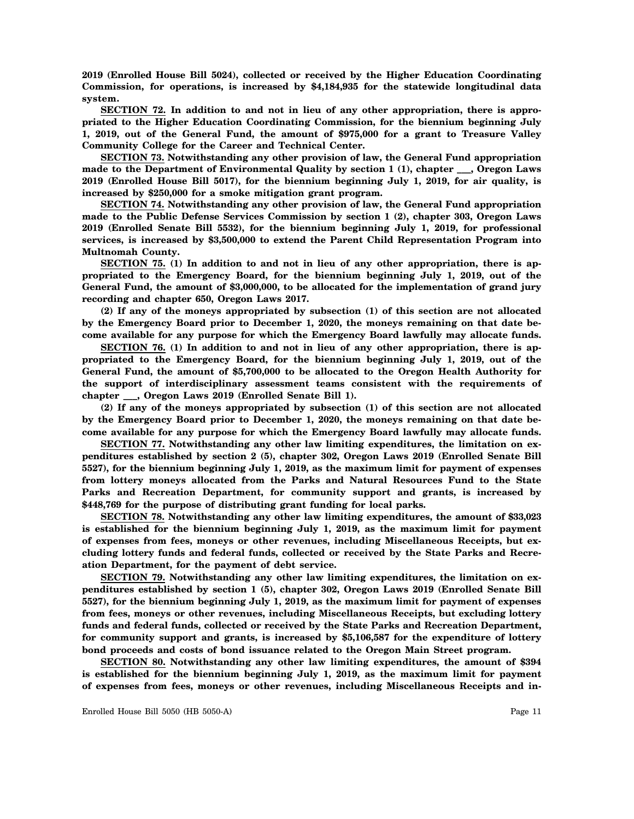**2019 (Enrolled House Bill 5024), collected or received by the Higher Education Coordinating Commission, for operations, is increased by \$4,184,935 for the statewide longitudinal data system.**

**SECTION 72. In addition to and not in lieu of any other appropriation, there is appropriated to the Higher Education Coordinating Commission, for the biennium beginning July 1, 2019, out of the General Fund, the amount of \$975,000 for a grant to Treasure Valley Community College for the Career and Technical Center.**

**SECTION 73. Notwithstanding any other provision of law, the General Fund appropriation made to the Department of Environmental Quality by section 1 (1), chapter \_\_\_, Oregon Laws 2019 (Enrolled House Bill 5017), for the biennium beginning July 1, 2019, for air quality, is increased by \$250,000 for a smoke mitigation grant program.**

**SECTION 74. Notwithstanding any other provision of law, the General Fund appropriation made to the Public Defense Services Commission by section 1 (2), chapter 303, Oregon Laws 2019 (Enrolled Senate Bill 5532), for the biennium beginning July 1, 2019, for professional services, is increased by \$3,500,000 to extend the Parent Child Representation Program into Multnomah County.**

**SECTION 75. (1) In addition to and not in lieu of any other appropriation, there is appropriated to the Emergency Board, for the biennium beginning July 1, 2019, out of the General Fund, the amount of \$3,000,000, to be allocated for the implementation of grand jury recording and chapter 650, Oregon Laws 2017.**

**(2) If any of the moneys appropriated by subsection (1) of this section are not allocated by the Emergency Board prior to December 1, 2020, the moneys remaining on that date become available for any purpose for which the Emergency Board lawfully may allocate funds.**

**SECTION 76. (1) In addition to and not in lieu of any other appropriation, there is appropriated to the Emergency Board, for the biennium beginning July 1, 2019, out of the General Fund, the amount of \$5,700,000 to be allocated to the Oregon Health Authority for the support of interdisciplinary assessment teams consistent with the requirements of chapter \_\_\_, Oregon Laws 2019 (Enrolled Senate Bill 1).**

**(2) If any of the moneys appropriated by subsection (1) of this section are not allocated by the Emergency Board prior to December 1, 2020, the moneys remaining on that date become available for any purpose for which the Emergency Board lawfully may allocate funds.**

**SECTION 77. Notwithstanding any other law limiting expenditures, the limitation on expenditures established by section 2 (5), chapter 302, Oregon Laws 2019 (Enrolled Senate Bill 5527), for the biennium beginning July 1, 2019, as the maximum limit for payment of expenses from lottery moneys allocated from the Parks and Natural Resources Fund to the State Parks and Recreation Department, for community support and grants, is increased by \$448,769 for the purpose of distributing grant funding for local parks.**

**SECTION 78. Notwithstanding any other law limiting expenditures, the amount of \$33,023 is established for the biennium beginning July 1, 2019, as the maximum limit for payment of expenses from fees, moneys or other revenues, including Miscellaneous Receipts, but excluding lottery funds and federal funds, collected or received by the State Parks and Recreation Department, for the payment of debt service.**

**SECTION 79. Notwithstanding any other law limiting expenditures, the limitation on expenditures established by section 1 (5), chapter 302, Oregon Laws 2019 (Enrolled Senate Bill 5527), for the biennium beginning July 1, 2019, as the maximum limit for payment of expenses from fees, moneys or other revenues, including Miscellaneous Receipts, but excluding lottery funds and federal funds, collected or received by the State Parks and Recreation Department, for community support and grants, is increased by \$5,106,587 for the expenditure of lottery bond proceeds and costs of bond issuance related to the Oregon Main Street program.**

**SECTION 80. Notwithstanding any other law limiting expenditures, the amount of \$394 is established for the biennium beginning July 1, 2019, as the maximum limit for payment of expenses from fees, moneys or other revenues, including Miscellaneous Receipts and in-**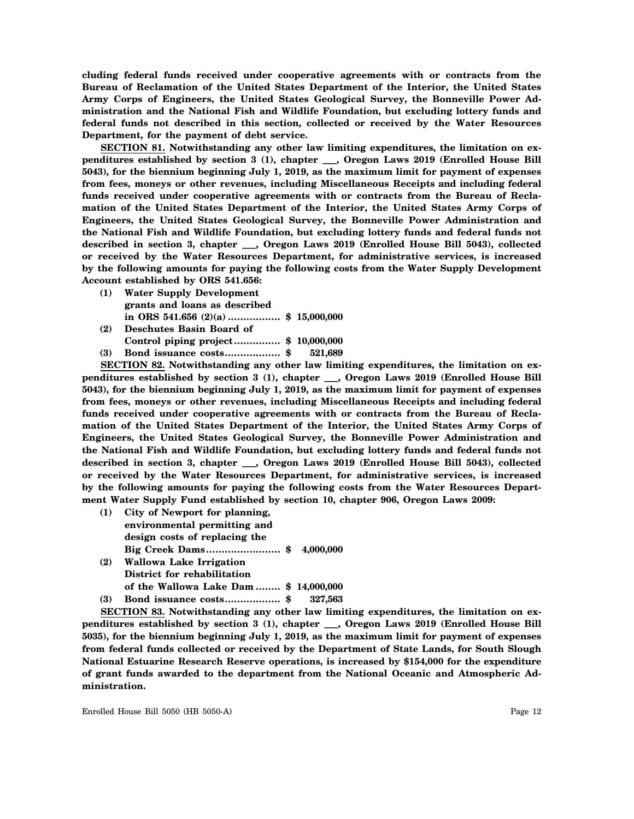**cluding federal funds received under cooperative agreements with or contracts from the Bureau of Reclamation of the United States Department of the Interior, the United States Army Corps of Engineers, the United States Geological Survey, the Bonneville Power Administration and the National Fish and Wildlife Foundation, but excluding lottery funds and federal funds not described in this section, collected or received by the Water Resources Department, for the payment of debt service.**

**SECTION 81. Notwithstanding any other law limiting expenditures, the limitation on expenditures established by section 3 (1), chapter \_\_\_, Oregon Laws 2019 (Enrolled House Bill 5043), for the biennium beginning July 1, 2019, as the maximum limit for payment of expenses from fees, moneys or other revenues, including Miscellaneous Receipts and including federal funds received under cooperative agreements with or contracts from the Bureau of Reclamation of the United States Department of the Interior, the United States Army Corps of Engineers, the United States Geological Survey, the Bonneville Power Administration and the National Fish and Wildlife Foundation, but excluding lottery funds and federal funds not described in section 3, chapter \_\_\_, Oregon Laws 2019 (Enrolled House Bill 5043), collected or received by the Water Resources Department, for administrative services, is increased by the following amounts for paying the following costs from the Water Supply Development Account established by ORS 541.656:**

- **(1) Water Supply Development grants and loans as described in ORS 541.656 (2)(a) ................. \$ 15,000,000**
- **(2) Deschutes Basin Board of Control piping project ............... \$ 10,000,000**
- **(3) Bond issuance costs.................. \$ 521,689**

**SECTION 82. Notwithstanding any other law limiting expenditures, the limitation on expenditures established by section 3 (1), chapter \_\_\_, Oregon Laws 2019 (Enrolled House Bill 5043), for the biennium beginning July 1, 2019, as the maximum limit for payment of expenses from fees, moneys or other revenues, including Miscellaneous Receipts and including federal funds received under cooperative agreements with or contracts from the Bureau of Reclamation of the United States Department of the Interior, the United States Army Corps of Engineers, the United States Geological Survey, the Bonneville Power Administration and the National Fish and Wildlife Foundation, but excluding lottery funds and federal funds not described in section 3, chapter \_\_\_, Oregon Laws 2019 (Enrolled House Bill 5043), collected or received by the Water Resources Department, for administrative services, is increased by the following amounts for paying the following costs from the Water Resources Department Water Supply Fund established by section 10, chapter 906, Oregon Laws 2009:**

- **(1) City of Newport for planning, environmental permitting and design costs of replacing the Big Creek Dams ........................ \$ 4,000,000**
- **(2) Wallowa Lake Irrigation District for rehabilitation of the Wallowa Lake Dam ........ \$ 14,000,000**
- **(3) Bond issuance costs.................. \$ 327,563**

**SECTION 83. Notwithstanding any other law limiting expenditures, the limitation on expenditures established by section 3 (1), chapter \_\_\_, Oregon Laws 2019 (Enrolled House Bill 5035), for the biennium beginning July 1, 2019, as the maximum limit for payment of expenses from federal funds collected or received by the Department of State Lands, for South Slough National Estuarine Research Reserve operations, is increased by \$154,000 for the expenditure of grant funds awarded to the department from the National Oceanic and Atmospheric Administration.**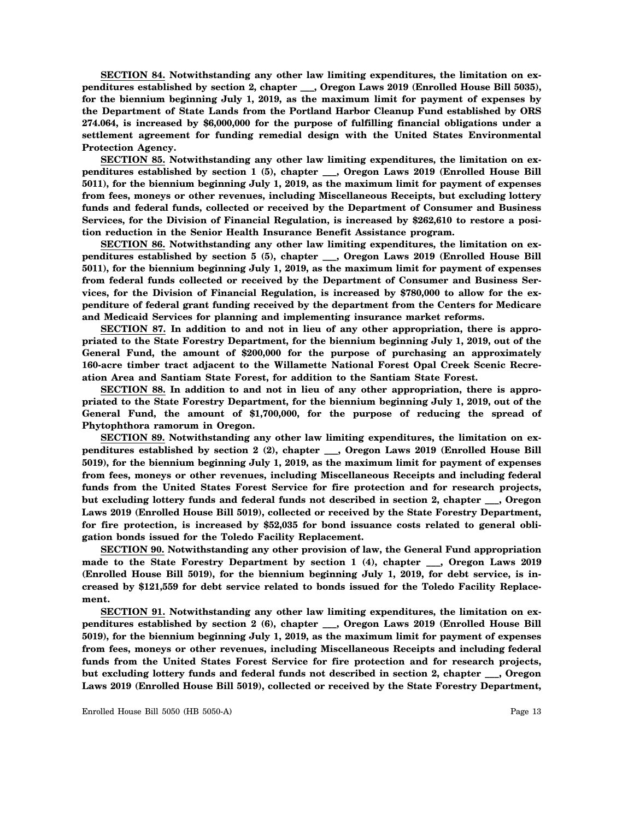**SECTION 84. Notwithstanding any other law limiting expenditures, the limitation on expenditures established by section 2, chapter \_\_\_, Oregon Laws 2019 (Enrolled House Bill 5035), for the biennium beginning July 1, 2019, as the maximum limit for payment of expenses by the Department of State Lands from the Portland Harbor Cleanup Fund established by ORS 274.064, is increased by \$6,000,000 for the purpose of fulfilling financial obligations under a settlement agreement for funding remedial design with the United States Environmental Protection Agency.**

**SECTION 85. Notwithstanding any other law limiting expenditures, the limitation on expenditures established by section 1 (5), chapter \_\_\_, Oregon Laws 2019 (Enrolled House Bill 5011), for the biennium beginning July 1, 2019, as the maximum limit for payment of expenses from fees, moneys or other revenues, including Miscellaneous Receipts, but excluding lottery funds and federal funds, collected or received by the Department of Consumer and Business Services, for the Division of Financial Regulation, is increased by \$262,610 to restore a position reduction in the Senior Health Insurance Benefit Assistance program.**

**SECTION 86. Notwithstanding any other law limiting expenditures, the limitation on expenditures established by section 5 (5), chapter \_\_\_, Oregon Laws 2019 (Enrolled House Bill 5011), for the biennium beginning July 1, 2019, as the maximum limit for payment of expenses from federal funds collected or received by the Department of Consumer and Business Services, for the Division of Financial Regulation, is increased by \$780,000 to allow for the expenditure of federal grant funding received by the department from the Centers for Medicare and Medicaid Services for planning and implementing insurance market reforms.**

**SECTION 87. In addition to and not in lieu of any other appropriation, there is appropriated to the State Forestry Department, for the biennium beginning July 1, 2019, out of the General Fund, the amount of \$200,000 for the purpose of purchasing an approximately 160-acre timber tract adjacent to the Willamette National Forest Opal Creek Scenic Recreation Area and Santiam State Forest, for addition to the Santiam State Forest.**

**SECTION 88. In addition to and not in lieu of any other appropriation, there is appropriated to the State Forestry Department, for the biennium beginning July 1, 2019, out of the General Fund, the amount of \$1,700,000, for the purpose of reducing the spread of Phytophthora ramorum in Oregon.**

**SECTION 89. Notwithstanding any other law limiting expenditures, the limitation on expenditures established by section 2 (2), chapter \_\_\_, Oregon Laws 2019 (Enrolled House Bill 5019), for the biennium beginning July 1, 2019, as the maximum limit for payment of expenses from fees, moneys or other revenues, including Miscellaneous Receipts and including federal funds from the United States Forest Service for fire protection and for research projects, but excluding lottery funds and federal funds not described in section 2, chapter \_\_\_, Oregon Laws 2019 (Enrolled House Bill 5019), collected or received by the State Forestry Department, for fire protection, is increased by \$52,035 for bond issuance costs related to general obligation bonds issued for the Toledo Facility Replacement.**

**SECTION 90. Notwithstanding any other provision of law, the General Fund appropriation made to the State Forestry Department by section 1 (4), chapter \_\_\_, Oregon Laws 2019 (Enrolled House Bill 5019), for the biennium beginning July 1, 2019, for debt service, is increased by \$121,559 for debt service related to bonds issued for the Toledo Facility Replacement.**

**SECTION 91. Notwithstanding any other law limiting expenditures, the limitation on expenditures established by section 2 (6), chapter \_\_\_, Oregon Laws 2019 (Enrolled House Bill 5019), for the biennium beginning July 1, 2019, as the maximum limit for payment of expenses from fees, moneys or other revenues, including Miscellaneous Receipts and including federal funds from the United States Forest Service for fire protection and for research projects, but excluding lottery funds and federal funds not described in section 2, chapter \_\_\_, Oregon Laws 2019 (Enrolled House Bill 5019), collected or received by the State Forestry Department,**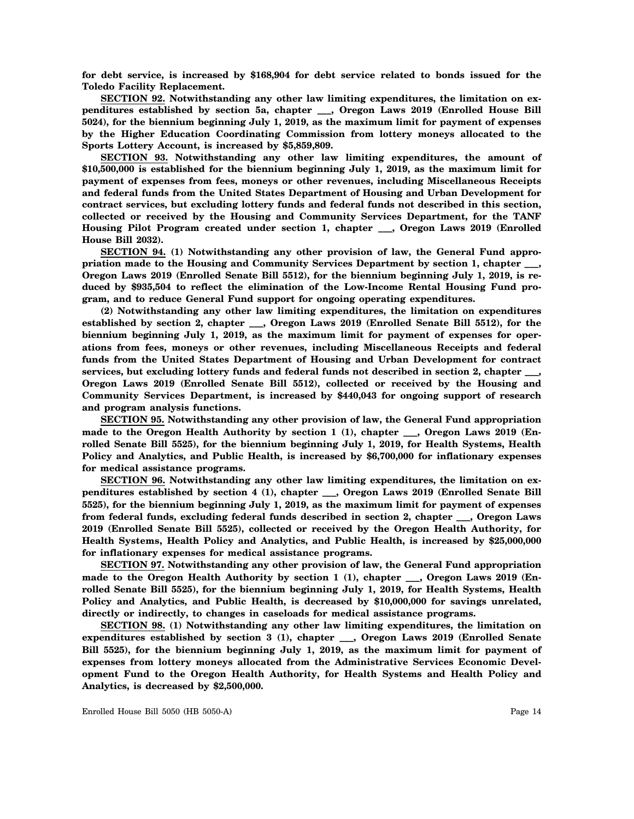**for debt service, is increased by \$168,904 for debt service related to bonds issued for the Toledo Facility Replacement.**

**SECTION 92. Notwithstanding any other law limiting expenditures, the limitation on expenditures established by section 5a, chapter \_\_\_, Oregon Laws 2019 (Enrolled House Bill 5024), for the biennium beginning July 1, 2019, as the maximum limit for payment of expenses by the Higher Education Coordinating Commission from lottery moneys allocated to the Sports Lottery Account, is increased by \$5,859,809.**

**SECTION 93. Notwithstanding any other law limiting expenditures, the amount of \$10,500,000 is established for the biennium beginning July 1, 2019, as the maximum limit for payment of expenses from fees, moneys or other revenues, including Miscellaneous Receipts and federal funds from the United States Department of Housing and Urban Development for contract services, but excluding lottery funds and federal funds not described in this section, collected or received by the Housing and Community Services Department, for the TANF Housing Pilot Program created under section 1, chapter \_\_\_, Oregon Laws 2019 (Enrolled House Bill 2032).**

**SECTION 94. (1) Notwithstanding any other provision of law, the General Fund appropriation made to the Housing and Community Services Department by section 1, chapter \_\_\_, Oregon Laws 2019 (Enrolled Senate Bill 5512), for the biennium beginning July 1, 2019, is reduced by \$935,504 to reflect the elimination of the Low-Income Rental Housing Fund program, and to reduce General Fund support for ongoing operating expenditures.**

**(2) Notwithstanding any other law limiting expenditures, the limitation on expenditures established by section 2, chapter \_\_\_, Oregon Laws 2019 (Enrolled Senate Bill 5512), for the biennium beginning July 1, 2019, as the maximum limit for payment of expenses for operations from fees, moneys or other revenues, including Miscellaneous Receipts and federal funds from the United States Department of Housing and Urban Development for contract services, but excluding lottery funds and federal funds not described in section 2, chapter \_\_\_, Oregon Laws 2019 (Enrolled Senate Bill 5512), collected or received by the Housing and Community Services Department, is increased by \$440,043 for ongoing support of research and program analysis functions.**

**SECTION 95. Notwithstanding any other provision of law, the General Fund appropriation made to the Oregon Health Authority by section 1 (1), chapter \_\_\_, Oregon Laws 2019 (Enrolled Senate Bill 5525), for the biennium beginning July 1, 2019, for Health Systems, Health Policy and Analytics, and Public Health, is increased by \$6,700,000 for inflationary expenses for medical assistance programs.**

**SECTION 96. Notwithstanding any other law limiting expenditures, the limitation on expenditures established by section 4 (1), chapter \_\_\_, Oregon Laws 2019 (Enrolled Senate Bill 5525), for the biennium beginning July 1, 2019, as the maximum limit for payment of expenses from federal funds, excluding federal funds described in section 2, chapter \_\_\_, Oregon Laws 2019 (Enrolled Senate Bill 5525), collected or received by the Oregon Health Authority, for Health Systems, Health Policy and Analytics, and Public Health, is increased by \$25,000,000 for inflationary expenses for medical assistance programs.**

**SECTION 97. Notwithstanding any other provision of law, the General Fund appropriation made to the Oregon Health Authority by section 1 (1), chapter \_\_\_, Oregon Laws 2019 (Enrolled Senate Bill 5525), for the biennium beginning July 1, 2019, for Health Systems, Health Policy and Analytics, and Public Health, is decreased by \$10,000,000 for savings unrelated, directly or indirectly, to changes in caseloads for medical assistance programs.**

**SECTION 98. (1) Notwithstanding any other law limiting expenditures, the limitation on expenditures established by section 3 (1), chapter \_\_\_, Oregon Laws 2019 (Enrolled Senate Bill 5525), for the biennium beginning July 1, 2019, as the maximum limit for payment of expenses from lottery moneys allocated from the Administrative Services Economic Development Fund to the Oregon Health Authority, for Health Systems and Health Policy and Analytics, is decreased by \$2,500,000.**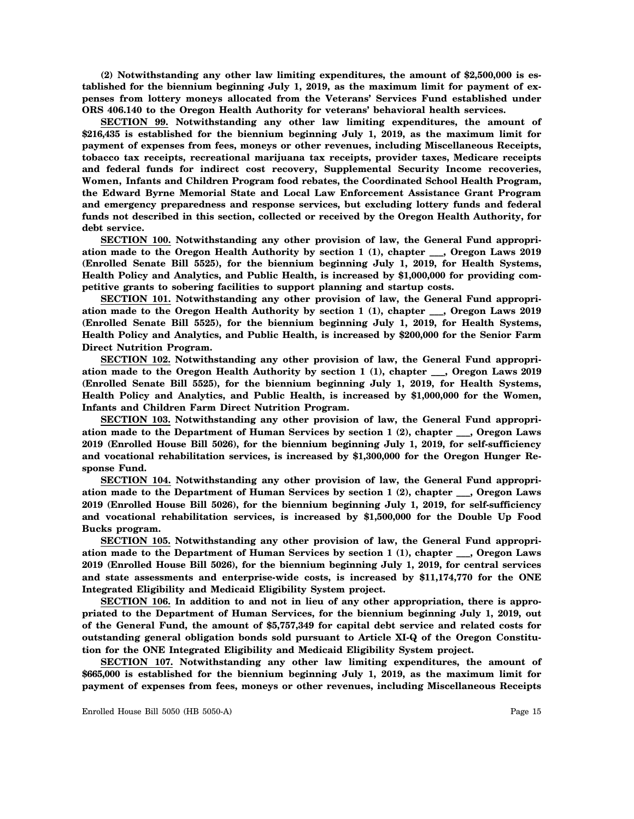**(2) Notwithstanding any other law limiting expenditures, the amount of \$2,500,000 is established for the biennium beginning July 1, 2019, as the maximum limit for payment of expenses from lottery moneys allocated from the Veterans' Services Fund established under ORS 406.140 to the Oregon Health Authority for veterans' behavioral health services.**

**SECTION 99. Notwithstanding any other law limiting expenditures, the amount of \$216,435 is established for the biennium beginning July 1, 2019, as the maximum limit for payment of expenses from fees, moneys or other revenues, including Miscellaneous Receipts, tobacco tax receipts, recreational marijuana tax receipts, provider taxes, Medicare receipts and federal funds for indirect cost recovery, Supplemental Security Income recoveries, Women, Infants and Children Program food rebates, the Coordinated School Health Program, the Edward Byrne Memorial State and Local Law Enforcement Assistance Grant Program and emergency preparedness and response services, but excluding lottery funds and federal funds not described in this section, collected or received by the Oregon Health Authority, for debt service.**

**SECTION 100. Notwithstanding any other provision of law, the General Fund appropriation made to the Oregon Health Authority by section 1 (1), chapter \_\_\_, Oregon Laws 2019 (Enrolled Senate Bill 5525), for the biennium beginning July 1, 2019, for Health Systems, Health Policy and Analytics, and Public Health, is increased by \$1,000,000 for providing competitive grants to sobering facilities to support planning and startup costs.**

**SECTION 101. Notwithstanding any other provision of law, the General Fund appropriation made to the Oregon Health Authority by section 1 (1), chapter \_\_\_, Oregon Laws 2019 (Enrolled Senate Bill 5525), for the biennium beginning July 1, 2019, for Health Systems, Health Policy and Analytics, and Public Health, is increased by \$200,000 for the Senior Farm Direct Nutrition Program.**

**SECTION 102. Notwithstanding any other provision of law, the General Fund appropriation made to the Oregon Health Authority by section 1 (1), chapter \_\_\_, Oregon Laws 2019 (Enrolled Senate Bill 5525), for the biennium beginning July 1, 2019, for Health Systems, Health Policy and Analytics, and Public Health, is increased by \$1,000,000 for the Women, Infants and Children Farm Direct Nutrition Program.**

**SECTION 103. Notwithstanding any other provision of law, the General Fund appropriation made to the Department of Human Services by section 1 (2), chapter \_\_\_, Oregon Laws 2019 (Enrolled House Bill 5026), for the biennium beginning July 1, 2019, for self-sufficiency and vocational rehabilitation services, is increased by \$1,300,000 for the Oregon Hunger Response Fund.**

**SECTION 104. Notwithstanding any other provision of law, the General Fund appropriation made to the Department of Human Services by section 1 (2), chapter \_\_\_, Oregon Laws 2019 (Enrolled House Bill 5026), for the biennium beginning July 1, 2019, for self-sufficiency and vocational rehabilitation services, is increased by \$1,500,000 for the Double Up Food Bucks program.**

**SECTION 105. Notwithstanding any other provision of law, the General Fund appropriation made to the Department of Human Services by section 1 (1), chapter \_\_\_, Oregon Laws 2019 (Enrolled House Bill 5026), for the biennium beginning July 1, 2019, for central services and state assessments and enterprise-wide costs, is increased by \$11,174,770 for the ONE Integrated Eligibility and Medicaid Eligibility System project.**

**SECTION 106. In addition to and not in lieu of any other appropriation, there is appropriated to the Department of Human Services, for the biennium beginning July 1, 2019, out of the General Fund, the amount of \$5,757,349 for capital debt service and related costs for outstanding general obligation bonds sold pursuant to Article XI-Q of the Oregon Constitution for the ONE Integrated Eligibility and Medicaid Eligibility System project.**

**SECTION 107. Notwithstanding any other law limiting expenditures, the amount of \$665,000 is established for the biennium beginning July 1, 2019, as the maximum limit for payment of expenses from fees, moneys or other revenues, including Miscellaneous Receipts**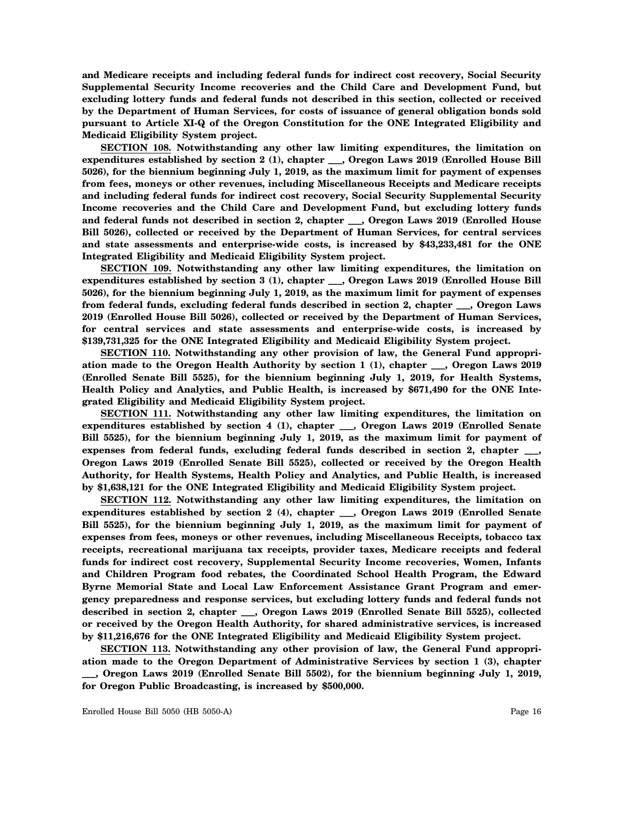**and Medicare receipts and including federal funds for indirect cost recovery, Social Security Supplemental Security Income recoveries and the Child Care and Development Fund, but excluding lottery funds and federal funds not described in this section, collected or received by the Department of Human Services, for costs of issuance of general obligation bonds sold pursuant to Article XI-Q of the Oregon Constitution for the ONE Integrated Eligibility and Medicaid Eligibility System project.**

**SECTION 108. Notwithstanding any other law limiting expenditures, the limitation on expenditures established by section 2 (1), chapter \_\_\_, Oregon Laws 2019 (Enrolled House Bill 5026), for the biennium beginning July 1, 2019, as the maximum limit for payment of expenses from fees, moneys or other revenues, including Miscellaneous Receipts and Medicare receipts and including federal funds for indirect cost recovery, Social Security Supplemental Security Income recoveries and the Child Care and Development Fund, but excluding lottery funds and federal funds not described in section 2, chapter \_\_\_, Oregon Laws 2019 (Enrolled House Bill 5026), collected or received by the Department of Human Services, for central services and state assessments and enterprise-wide costs, is increased by \$43,233,481 for the ONE Integrated Eligibility and Medicaid Eligibility System project.**

**SECTION 109. Notwithstanding any other law limiting expenditures, the limitation on expenditures established by section 3 (1), chapter \_\_\_, Oregon Laws 2019 (Enrolled House Bill 5026), for the biennium beginning July 1, 2019, as the maximum limit for payment of expenses from federal funds, excluding federal funds described in section 2, chapter \_\_\_, Oregon Laws 2019 (Enrolled House Bill 5026), collected or received by the Department of Human Services, for central services and state assessments and enterprise-wide costs, is increased by \$139,731,325 for the ONE Integrated Eligibility and Medicaid Eligibility System project.**

**SECTION 110. Notwithstanding any other provision of law, the General Fund appropriation made to the Oregon Health Authority by section 1 (1), chapter \_\_\_, Oregon Laws 2019 (Enrolled Senate Bill 5525), for the biennium beginning July 1, 2019, for Health Systems, Health Policy and Analytics, and Public Health, is increased by \$671,490 for the ONE Integrated Eligibility and Medicaid Eligibility System project.**

**SECTION 111. Notwithstanding any other law limiting expenditures, the limitation on expenditures established by section 4 (1), chapter \_\_\_, Oregon Laws 2019 (Enrolled Senate Bill 5525), for the biennium beginning July 1, 2019, as the maximum limit for payment of expenses from federal funds, excluding federal funds described in section 2, chapter \_\_\_, Oregon Laws 2019 (Enrolled Senate Bill 5525), collected or received by the Oregon Health Authority, for Health Systems, Health Policy and Analytics, and Public Health, is increased by \$1,638,121 for the ONE Integrated Eligibility and Medicaid Eligibility System project.**

**SECTION 112. Notwithstanding any other law limiting expenditures, the limitation on expenditures established by section 2 (4), chapter \_\_\_, Oregon Laws 2019 (Enrolled Senate Bill 5525), for the biennium beginning July 1, 2019, as the maximum limit for payment of expenses from fees, moneys or other revenues, including Miscellaneous Receipts, tobacco tax receipts, recreational marijuana tax receipts, provider taxes, Medicare receipts and federal funds for indirect cost recovery, Supplemental Security Income recoveries, Women, Infants and Children Program food rebates, the Coordinated School Health Program, the Edward Byrne Memorial State and Local Law Enforcement Assistance Grant Program and emergency preparedness and response services, but excluding lottery funds and federal funds not described in section 2, chapter \_\_\_, Oregon Laws 2019 (Enrolled Senate Bill 5525), collected or received by the Oregon Health Authority, for shared administrative services, is increased by \$11,216,676 for the ONE Integrated Eligibility and Medicaid Eligibility System project.**

**SECTION 113. Notwithstanding any other provision of law, the General Fund appropriation made to the Oregon Department of Administrative Services by section 1 (3), chapter \_\_\_, Oregon Laws 2019 (Enrolled Senate Bill 5502), for the biennium beginning July 1, 2019, for Oregon Public Broadcasting, is increased by \$500,000.**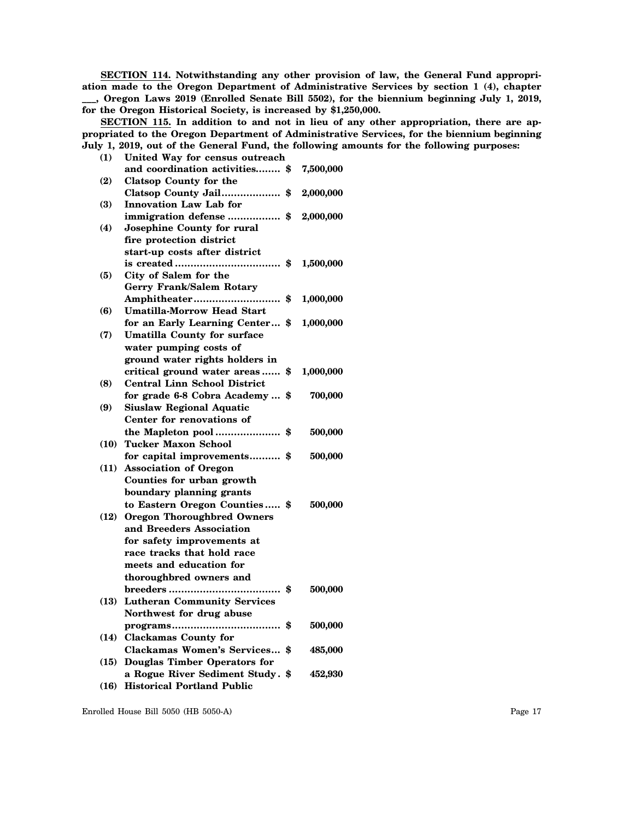**SECTION 114. Notwithstanding any other provision of law, the General Fund appropriation made to the Oregon Department of Administrative Services by section 1 (4), chapter \_\_\_, Oregon Laws 2019 (Enrolled Senate Bill 5502), for the biennium beginning July 1, 2019,**

**for the Oregon Historical Society, is increased by \$1,250,000.**

**SECTION 115. In addition to and not in lieu of any other appropriation, there are appropriated to the Oregon Department of Administrative Services, for the biennium beginning July 1, 2019, out of the General Fund, the following amounts for the following purposes:**

| (1)  | United Way for census outreach      |               |
|------|-------------------------------------|---------------|
|      | and coordination activities \$      | 7,500,000     |
| (2)  | <b>Clatsop County for the</b>       |               |
|      | Clatsop County Jail\$               | 2,000,000     |
| (3)  | Innovation Law Lab for              |               |
|      | immigration defense \$ 2,000,000    |               |
| (4)  | Josephine County for rural          |               |
|      | fire protection district            |               |
|      | start-up costs after district       |               |
|      |                                     | 1,500,000     |
| (5)  | City of Salem for the               |               |
|      | <b>Gerry Frank/Salem Rotary</b>     |               |
|      | Amphitheater \$                     | 1,000,000     |
| (6)  | <b>Umatilla-Morrow Head Start</b>   |               |
|      | for an Early Learning Center \$     | 1,000,000     |
| (7)  | <b>Umatilla County for surface</b>  |               |
|      | water pumping costs of              |               |
|      | ground water rights holders in      |               |
|      | critical ground water areas \$      | 1,000,000     |
| (8)  | <b>Central Linn School District</b> |               |
|      | for grade 6-8 Cobra Academy  \$     | 700,000       |
| (9)  | <b>Siuslaw Regional Aquatic</b>     |               |
|      | Center for renovations of           |               |
|      | the Mapleton pool\$                 | 500,000       |
| (10) | <b>Tucker Maxon School</b>          |               |
|      | for capital improvements\$          | 500,000       |
| (11) | <b>Association of Oregon</b>        |               |
|      | Counties for urban growth           |               |
|      | boundary planning grants            |               |
|      | to Eastern Oregon Counties \$       | 500,000       |
| (12) | <b>Oregon Thoroughbred Owners</b>   |               |
|      | and Breeders Association            |               |
|      | for safety improvements at          |               |
|      | race tracks that hold race          |               |
|      | meets and education for             |               |
|      | thoroughbred owners and             |               |
|      |                                     | 500,000       |
| (13) | <b>Lutheran Community Services</b>  |               |
|      | Northwest for drug abuse            |               |
|      |                                     | 500,000       |
| (14) | <b>Clackamas County for</b>         |               |
|      | <b>Clackamas Women's Services</b>   | \$<br>485,000 |
| (15) | <b>Douglas Timber Operators for</b> |               |
|      | a Rogue River Sediment Study. \$    | 452,930       |
| (16) | <b>Historical Portland Public</b>   |               |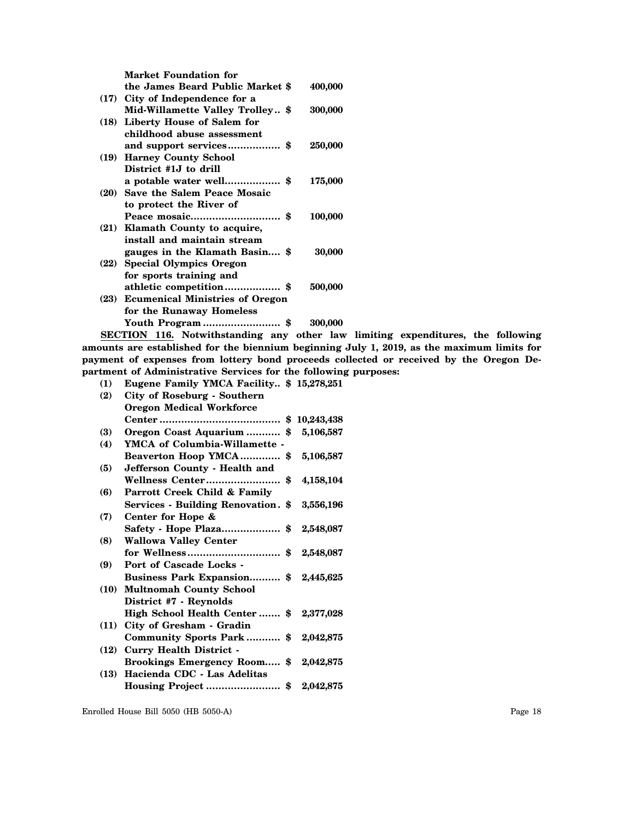| <b>Market Foundation for</b>         |         |
|--------------------------------------|---------|
| the James Beard Public Market \$     | 400,000 |
| $(17)$ City of Independence for a    |         |
| Mid-Willamette Valley Trolley \$     | 300,000 |
| (18) Liberty House of Salem for      |         |
| childhood abuse assessment           |         |
| and support services\$               | 250,000 |
| (19) Harney County School            |         |
| District #1.J to drill               |         |
| a potable water well \$              | 175,000 |
| (20) Save the Salem Peace Mosaic     |         |
| to protect the River of              |         |
|                                      | 100,000 |
| (21) Klamath County to acquire,      |         |
| install and maintain stream          |         |
| gauges in the Klamath Basin \$       | 30,000  |
| (22) Special Olympics Oregon         |         |
| for sports training and              |         |
| athletic competition\$               | 500,000 |
| (23) Ecumenical Ministries of Oregon |         |
| for the Runaway Homeless             |         |
| Youth Program\$                      | 300,000 |
|                                      |         |

**SECTION 116. Notwithstanding any other law limiting expenditures, the following amounts are established for the biennium beginning July 1, 2019, as the maximum limits for payment of expenses from lottery bond proceeds collected or received by the Oregon Department of Administrative Services for the following purposes:**

| (1)  | Eugene Family YMCA Facility \$ 15,278,251 |           |
|------|-------------------------------------------|-----------|
| (2)  | City of Roseburg - Southern               |           |
|      | <b>Oregon Medical Workforce</b>           |           |
|      |                                           |           |
| (3)  | Oregon Coast Aquarium  \$                 | 5,106,587 |
| (4)  | <b>YMCA of Columbia-Willamette -</b>      |           |
|      | Beaverton Hoop YMCA\$                     | 5,106,587 |
| (5)  | Jefferson County - Health and             |           |
|      | Wellness Center \$ 4,158,104              |           |
| (6)  | Parrott Creek Child & Family              |           |
|      | Services - Building Renovation. \$        | 3,556,196 |
| (7)  | Center for Hope &                         |           |
|      | Safety - Hope Plaza\$ 2,548,087           |           |
| (8)  | <b>Wallowa Valley Center</b>              |           |
|      |                                           | 2,548,087 |
| (9)  | Port of Cascade Locks -                   |           |
|      | Business Park Expansion \$2,445,625       |           |
| (10) | <b>Multnomah County School</b>            |           |
|      | District #7 - Reynolds                    |           |
|      | High School Health Center \$              | 2,377,028 |
| (11) | City of Gresham - Gradin                  |           |
|      | Community Sports Park\$                   | 2,042,875 |
| (12) | <b>Curry Health District -</b>            |           |
|      | Brookings Emergency Room \$2,042,875      |           |
| (13) | Hacienda CDC - Las Adelitas               |           |
|      | Housing Project \$                        | 2,042,875 |
|      |                                           |           |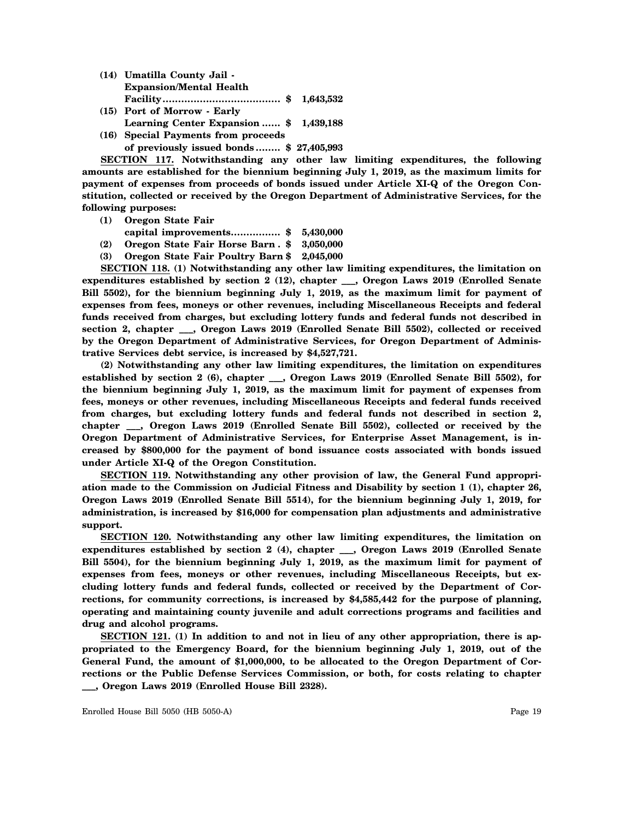- **(14) Umatilla County Jail - Expansion/Mental Health Facility...................................... \$ 1,643,532**
- **(15) Port of Morrow Early Learning Center Expansion ...... \$ 1,439,188**
- **(16) Special Payments from proceeds of previously issued bonds ........ \$ 27,405,993**

**SECTION 117. Notwithstanding any other law limiting expenditures, the following amounts are established for the biennium beginning July 1, 2019, as the maximum limits for payment of expenses from proceeds of bonds issued under Article XI-Q of the Oregon Constitution, collected or received by the Oregon Department of Administrative Services, for the following purposes:**

- **(1) Oregon State Fair**
- **capital improvements................ \$ 5,430,000**
- **(2) Oregon State Fair Horse Barn . \$ 3,050,000**
- **(3) Oregon State Fair Poultry Barn \$ 2,045,000**

**SECTION 118. (1) Notwithstanding any other law limiting expenditures, the limitation on expenditures established by section 2 (12), chapter \_\_\_, Oregon Laws 2019 (Enrolled Senate Bill 5502), for the biennium beginning July 1, 2019, as the maximum limit for payment of expenses from fees, moneys or other revenues, including Miscellaneous Receipts and federal funds received from charges, but excluding lottery funds and federal funds not described in section 2, chapter \_\_\_, Oregon Laws 2019 (Enrolled Senate Bill 5502), collected or received by the Oregon Department of Administrative Services, for Oregon Department of Administrative Services debt service, is increased by \$4,527,721.**

**(2) Notwithstanding any other law limiting expenditures, the limitation on expenditures established by section 2 (6), chapter \_\_\_, Oregon Laws 2019 (Enrolled Senate Bill 5502), for the biennium beginning July 1, 2019, as the maximum limit for payment of expenses from fees, moneys or other revenues, including Miscellaneous Receipts and federal funds received from charges, but excluding lottery funds and federal funds not described in section 2, chapter \_\_\_, Oregon Laws 2019 (Enrolled Senate Bill 5502), collected or received by the Oregon Department of Administrative Services, for Enterprise Asset Management, is increased by \$800,000 for the payment of bond issuance costs associated with bonds issued under Article XI-Q of the Oregon Constitution.**

**SECTION 119. Notwithstanding any other provision of law, the General Fund appropriation made to the Commission on Judicial Fitness and Disability by section 1 (1), chapter 26, Oregon Laws 2019 (Enrolled Senate Bill 5514), for the biennium beginning July 1, 2019, for administration, is increased by \$16,000 for compensation plan adjustments and administrative support.**

**SECTION 120. Notwithstanding any other law limiting expenditures, the limitation on expenditures established by section 2 (4), chapter \_\_\_, Oregon Laws 2019 (Enrolled Senate Bill 5504), for the biennium beginning July 1, 2019, as the maximum limit for payment of expenses from fees, moneys or other revenues, including Miscellaneous Receipts, but excluding lottery funds and federal funds, collected or received by the Department of Corrections, for community corrections, is increased by \$4,585,442 for the purpose of planning, operating and maintaining county juvenile and adult corrections programs and facilities and drug and alcohol programs.**

**SECTION 121. (1) In addition to and not in lieu of any other appropriation, there is appropriated to the Emergency Board, for the biennium beginning July 1, 2019, out of the General Fund, the amount of \$1,000,000, to be allocated to the Oregon Department of Corrections or the Public Defense Services Commission, or both, for costs relating to chapter \_\_\_, Oregon Laws 2019 (Enrolled House Bill 2328).**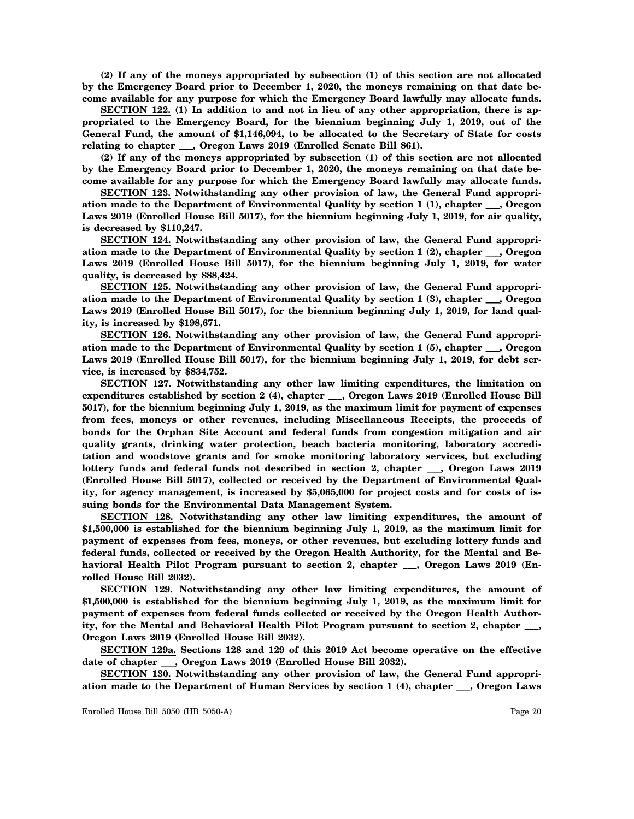**(2) If any of the moneys appropriated by subsection (1) of this section are not allocated by the Emergency Board prior to December 1, 2020, the moneys remaining on that date become available for any purpose for which the Emergency Board lawfully may allocate funds.**

**SECTION 122. (1) In addition to and not in lieu of any other appropriation, there is appropriated to the Emergency Board, for the biennium beginning July 1, 2019, out of the General Fund, the amount of \$1,146,094, to be allocated to the Secretary of State for costs relating to chapter \_\_\_, Oregon Laws 2019 (Enrolled Senate Bill 861).**

**(2) If any of the moneys appropriated by subsection (1) of this section are not allocated by the Emergency Board prior to December 1, 2020, the moneys remaining on that date become available for any purpose for which the Emergency Board lawfully may allocate funds.**

**SECTION 123. Notwithstanding any other provision of law, the General Fund appropriation made to the Department of Environmental Quality by section 1 (1), chapter \_\_\_, Oregon Laws 2019 (Enrolled House Bill 5017), for the biennium beginning July 1, 2019, for air quality, is decreased by \$110,247.**

**SECTION 124. Notwithstanding any other provision of law, the General Fund appropriation made to the Department of Environmental Quality by section 1 (2), chapter \_\_\_, Oregon Laws 2019 (Enrolled House Bill 5017), for the biennium beginning July 1, 2019, for water quality, is decreased by \$88,424.**

**SECTION 125. Notwithstanding any other provision of law, the General Fund appropriation made to the Department of Environmental Quality by section 1 (3), chapter \_\_\_, Oregon Laws 2019 (Enrolled House Bill 5017), for the biennium beginning July 1, 2019, for land quality, is increased by \$198,671.**

**SECTION 126. Notwithstanding any other provision of law, the General Fund appropriation made to the Department of Environmental Quality by section 1 (5), chapter \_\_\_, Oregon Laws 2019 (Enrolled House Bill 5017), for the biennium beginning July 1, 2019, for debt service, is increased by \$834,752.**

**SECTION 127. Notwithstanding any other law limiting expenditures, the limitation on expenditures established by section 2 (4), chapter \_\_\_, Oregon Laws 2019 (Enrolled House Bill 5017), for the biennium beginning July 1, 2019, as the maximum limit for payment of expenses from fees, moneys or other revenues, including Miscellaneous Receipts, the proceeds of bonds for the Orphan Site Account and federal funds from congestion mitigation and air quality grants, drinking water protection, beach bacteria monitoring, laboratory accreditation and woodstove grants and for smoke monitoring laboratory services, but excluding lottery funds and federal funds not described in section 2, chapter \_\_\_, Oregon Laws 2019 (Enrolled House Bill 5017), collected or received by the Department of Environmental Quality, for agency management, is increased by \$5,065,000 for project costs and for costs of issuing bonds for the Environmental Data Management System.**

**SECTION 128. Notwithstanding any other law limiting expenditures, the amount of \$1,500,000 is established for the biennium beginning July 1, 2019, as the maximum limit for payment of expenses from fees, moneys, or other revenues, but excluding lottery funds and federal funds, collected or received by the Oregon Health Authority, for the Mental and Behavioral Health Pilot Program pursuant to section 2, chapter \_\_\_, Oregon Laws 2019 (Enrolled House Bill 2032).**

**SECTION 129. Notwithstanding any other law limiting expenditures, the amount of \$1,500,000 is established for the biennium beginning July 1, 2019, as the maximum limit for payment of expenses from federal funds collected or received by the Oregon Health Authority, for the Mental and Behavioral Health Pilot Program pursuant to section 2, chapter \_\_\_, Oregon Laws 2019 (Enrolled House Bill 2032).**

**SECTION 129a. Sections 128 and 129 of this 2019 Act become operative on the effective date of chapter \_\_\_, Oregon Laws 2019 (Enrolled House Bill 2032).**

**SECTION 130. Notwithstanding any other provision of law, the General Fund appropriation made to the Department of Human Services by section 1 (4), chapter \_\_\_, Oregon Laws**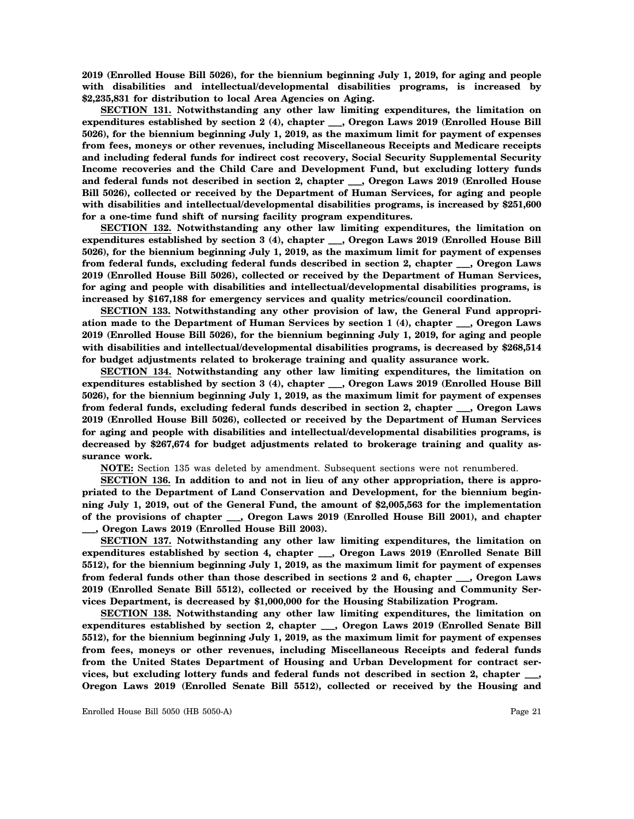**2019 (Enrolled House Bill 5026), for the biennium beginning July 1, 2019, for aging and people with disabilities and intellectual/developmental disabilities programs, is increased by \$2,235,831 for distribution to local Area Agencies on Aging.**

**SECTION 131. Notwithstanding any other law limiting expenditures, the limitation on expenditures established by section 2 (4), chapter \_\_\_, Oregon Laws 2019 (Enrolled House Bill 5026), for the biennium beginning July 1, 2019, as the maximum limit for payment of expenses from fees, moneys or other revenues, including Miscellaneous Receipts and Medicare receipts and including federal funds for indirect cost recovery, Social Security Supplemental Security Income recoveries and the Child Care and Development Fund, but excluding lottery funds and federal funds not described in section 2, chapter \_\_\_, Oregon Laws 2019 (Enrolled House Bill 5026), collected or received by the Department of Human Services, for aging and people with disabilities and intellectual/developmental disabilities programs, is increased by \$251,600 for a one-time fund shift of nursing facility program expenditures.**

**SECTION 132. Notwithstanding any other law limiting expenditures, the limitation on expenditures established by section 3 (4), chapter \_\_\_, Oregon Laws 2019 (Enrolled House Bill 5026), for the biennium beginning July 1, 2019, as the maximum limit for payment of expenses from federal funds, excluding federal funds described in section 2, chapter \_\_\_, Oregon Laws 2019 (Enrolled House Bill 5026), collected or received by the Department of Human Services, for aging and people with disabilities and intellectual/developmental disabilities programs, is increased by \$167,188 for emergency services and quality metrics/council coordination.**

**SECTION 133. Notwithstanding any other provision of law, the General Fund appropriation made to the Department of Human Services by section 1 (4), chapter \_\_\_, Oregon Laws 2019 (Enrolled House Bill 5026), for the biennium beginning July 1, 2019, for aging and people with disabilities and intellectual/developmental disabilities programs, is decreased by \$268,514 for budget adjustments related to brokerage training and quality assurance work.**

**SECTION 134. Notwithstanding any other law limiting expenditures, the limitation on expenditures established by section 3 (4), chapter \_\_\_, Oregon Laws 2019 (Enrolled House Bill 5026), for the biennium beginning July 1, 2019, as the maximum limit for payment of expenses from federal funds, excluding federal funds described in section 2, chapter \_\_\_, Oregon Laws 2019 (Enrolled House Bill 5026), collected or received by the Department of Human Services for aging and people with disabilities and intellectual/developmental disabilities programs, is decreased by \$267,674 for budget adjustments related to brokerage training and quality assurance work.**

**NOTE:** Section 135 was deleted by amendment. Subsequent sections were not renumbered.

**SECTION 136. In addition to and not in lieu of any other appropriation, there is appropriated to the Department of Land Conservation and Development, for the biennium beginning July 1, 2019, out of the General Fund, the amount of \$2,005,563 for the implementation of the provisions of chapter \_\_\_, Oregon Laws 2019 (Enrolled House Bill 2001), and chapter \_\_\_, Oregon Laws 2019 (Enrolled House Bill 2003).**

**SECTION 137. Notwithstanding any other law limiting expenditures, the limitation on expenditures established by section 4, chapter \_\_\_, Oregon Laws 2019 (Enrolled Senate Bill 5512), for the biennium beginning July 1, 2019, as the maximum limit for payment of expenses from federal funds other than those described in sections 2 and 6, chapter \_\_\_, Oregon Laws 2019 (Enrolled Senate Bill 5512), collected or received by the Housing and Community Services Department, is decreased by \$1,000,000 for the Housing Stabilization Program.**

**SECTION 138. Notwithstanding any other law limiting expenditures, the limitation on expenditures established by section 2, chapter \_\_\_, Oregon Laws 2019 (Enrolled Senate Bill 5512), for the biennium beginning July 1, 2019, as the maximum limit for payment of expenses from fees, moneys or other revenues, including Miscellaneous Receipts and federal funds from the United States Department of Housing and Urban Development for contract services, but excluding lottery funds and federal funds not described in section 2, chapter \_\_\_, Oregon Laws 2019 (Enrolled Senate Bill 5512), collected or received by the Housing and**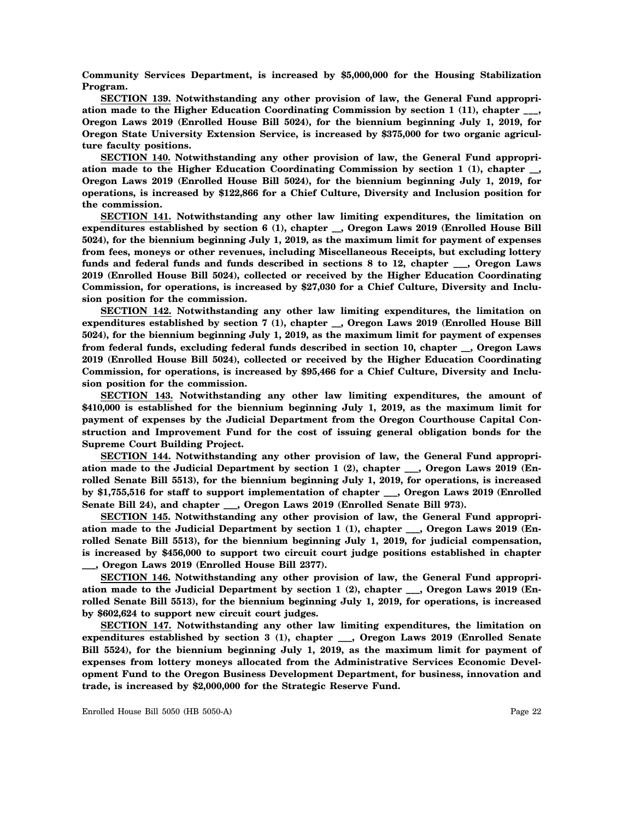**Community Services Department, is increased by \$5,000,000 for the Housing Stabilization Program.**

**SECTION 139. Notwithstanding any other provision of law, the General Fund appropriation made to the Higher Education Coordinating Commission by section 1 (11), chapter \_\_\_, Oregon Laws 2019 (Enrolled House Bill 5024), for the biennium beginning July 1, 2019, for Oregon State University Extension Service, is increased by \$375,000 for two organic agriculture faculty positions.**

**SECTION 140. Notwithstanding any other provision of law, the General Fund appropriation made to the Higher Education Coordinating Commission by section 1 (1), chapter \_\_, Oregon Laws 2019 (Enrolled House Bill 5024), for the biennium beginning July 1, 2019, for operations, is increased by \$122,866 for a Chief Culture, Diversity and Inclusion position for the commission.**

**SECTION 141. Notwithstanding any other law limiting expenditures, the limitation on expenditures established by section 6 (1), chapter \_\_, Oregon Laws 2019 (Enrolled House Bill 5024), for the biennium beginning July 1, 2019, as the maximum limit for payment of expenses from fees, moneys or other revenues, including Miscellaneous Receipts, but excluding lottery funds and federal funds and funds described in sections 8 to 12, chapter \_\_\_, Oregon Laws 2019 (Enrolled House Bill 5024), collected or received by the Higher Education Coordinating Commission, for operations, is increased by \$27,030 for a Chief Culture, Diversity and Inclusion position for the commission.**

**SECTION 142. Notwithstanding any other law limiting expenditures, the limitation on expenditures established by section 7 (1), chapter \_\_, Oregon Laws 2019 (Enrolled House Bill 5024), for the biennium beginning July 1, 2019, as the maximum limit for payment of expenses from federal funds, excluding federal funds described in section 10, chapter \_\_, Oregon Laws 2019 (Enrolled House Bill 5024), collected or received by the Higher Education Coordinating Commission, for operations, is increased by \$95,466 for a Chief Culture, Diversity and Inclusion position for the commission.**

**SECTION 143. Notwithstanding any other law limiting expenditures, the amount of \$410,000 is established for the biennium beginning July 1, 2019, as the maximum limit for payment of expenses by the Judicial Department from the Oregon Courthouse Capital Construction and Improvement Fund for the cost of issuing general obligation bonds for the Supreme Court Building Project.**

**SECTION 144. Notwithstanding any other provision of law, the General Fund appropriation made to the Judicial Department by section 1 (2), chapter \_\_\_, Oregon Laws 2019 (Enrolled Senate Bill 5513), for the biennium beginning July 1, 2019, for operations, is increased by \$1,755,516 for staff to support implementation of chapter \_\_\_, Oregon Laws 2019 (Enrolled Senate Bill 24), and chapter \_\_\_, Oregon Laws 2019 (Enrolled Senate Bill 973).**

**SECTION 145. Notwithstanding any other provision of law, the General Fund appropriation made to the Judicial Department by section 1 (1), chapter \_\_\_, Oregon Laws 2019 (Enrolled Senate Bill 5513), for the biennium beginning July 1, 2019, for judicial compensation, is increased by \$456,000 to support two circuit court judge positions established in chapter \_\_\_, Oregon Laws 2019 (Enrolled House Bill 2377).**

**SECTION 146. Notwithstanding any other provision of law, the General Fund appropriation made to the Judicial Department by section 1 (2), chapter \_\_\_, Oregon Laws 2019 (Enrolled Senate Bill 5513), for the biennium beginning July 1, 2019, for operations, is increased by \$602,624 to support new circuit court judges.**

**SECTION 147. Notwithstanding any other law limiting expenditures, the limitation on expenditures established by section 3 (1), chapter \_\_\_, Oregon Laws 2019 (Enrolled Senate Bill 5524), for the biennium beginning July 1, 2019, as the maximum limit for payment of expenses from lottery moneys allocated from the Administrative Services Economic Development Fund to the Oregon Business Development Department, for business, innovation and trade, is increased by \$2,000,000 for the Strategic Reserve Fund.**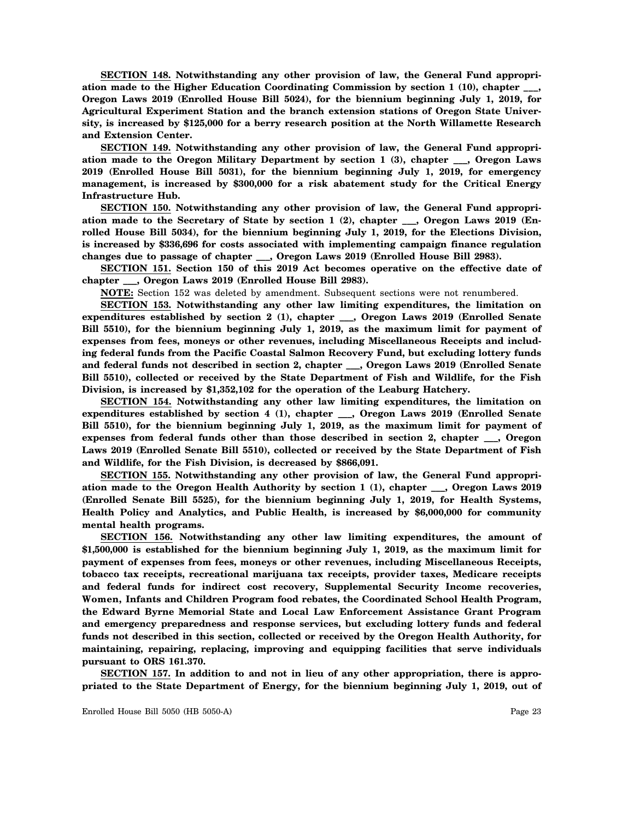**SECTION 148. Notwithstanding any other provision of law, the General Fund appropriation made to the Higher Education Coordinating Commission by section 1 (10), chapter \_\_\_, Oregon Laws 2019 (Enrolled House Bill 5024), for the biennium beginning July 1, 2019, for Agricultural Experiment Station and the branch extension stations of Oregon State University, is increased by \$125,000 for a berry research position at the North Willamette Research and Extension Center.**

**SECTION 149. Notwithstanding any other provision of law, the General Fund appropriation made to the Oregon Military Department by section 1 (3), chapter \_\_\_, Oregon Laws 2019 (Enrolled House Bill 5031), for the biennium beginning July 1, 2019, for emergency management, is increased by \$300,000 for a risk abatement study for the Critical Energy Infrastructure Hub.**

**SECTION 150. Notwithstanding any other provision of law, the General Fund appropriation made to the Secretary of State by section 1 (2), chapter \_\_\_, Oregon Laws 2019 (Enrolled House Bill 5034), for the biennium beginning July 1, 2019, for the Elections Division, is increased by \$336,696 for costs associated with implementing campaign finance regulation changes due to passage of chapter \_\_\_, Oregon Laws 2019 (Enrolled House Bill 2983).**

**SECTION 151. Section 150 of this 2019 Act becomes operative on the effective date of chapter \_\_\_, Oregon Laws 2019 (Enrolled House Bill 2983).**

**NOTE:** Section 152 was deleted by amendment. Subsequent sections were not renumbered.

**SECTION 153. Notwithstanding any other law limiting expenditures, the limitation on expenditures established by section 2 (1), chapter \_\_\_, Oregon Laws 2019 (Enrolled Senate Bill 5510), for the biennium beginning July 1, 2019, as the maximum limit for payment of expenses from fees, moneys or other revenues, including Miscellaneous Receipts and including federal funds from the Pacific Coastal Salmon Recovery Fund, but excluding lottery funds and federal funds not described in section 2, chapter \_\_\_, Oregon Laws 2019 (Enrolled Senate Bill 5510), collected or received by the State Department of Fish and Wildlife, for the Fish Division, is increased by \$1,352,102 for the operation of the Leaburg Hatchery.**

**SECTION 154. Notwithstanding any other law limiting expenditures, the limitation on expenditures established by section 4 (1), chapter \_\_\_, Oregon Laws 2019 (Enrolled Senate Bill 5510), for the biennium beginning July 1, 2019, as the maximum limit for payment of expenses from federal funds other than those described in section 2, chapter \_\_\_, Oregon Laws 2019 (Enrolled Senate Bill 5510), collected or received by the State Department of Fish and Wildlife, for the Fish Division, is decreased by \$866,091.**

**SECTION 155. Notwithstanding any other provision of law, the General Fund appropriation made to the Oregon Health Authority by section 1 (1), chapter \_\_\_, Oregon Laws 2019 (Enrolled Senate Bill 5525), for the biennium beginning July 1, 2019, for Health Systems, Health Policy and Analytics, and Public Health, is increased by \$6,000,000 for community mental health programs.**

**SECTION 156. Notwithstanding any other law limiting expenditures, the amount of \$1,500,000 is established for the biennium beginning July 1, 2019, as the maximum limit for payment of expenses from fees, moneys or other revenues, including Miscellaneous Receipts, tobacco tax receipts, recreational marijuana tax receipts, provider taxes, Medicare receipts and federal funds for indirect cost recovery, Supplemental Security Income recoveries, Women, Infants and Children Program food rebates, the Coordinated School Health Program, the Edward Byrne Memorial State and Local Law Enforcement Assistance Grant Program and emergency preparedness and response services, but excluding lottery funds and federal funds not described in this section, collected or received by the Oregon Health Authority, for maintaining, repairing, replacing, improving and equipping facilities that serve individuals pursuant to ORS 161.370.**

**SECTION 157. In addition to and not in lieu of any other appropriation, there is appropriated to the State Department of Energy, for the biennium beginning July 1, 2019, out of**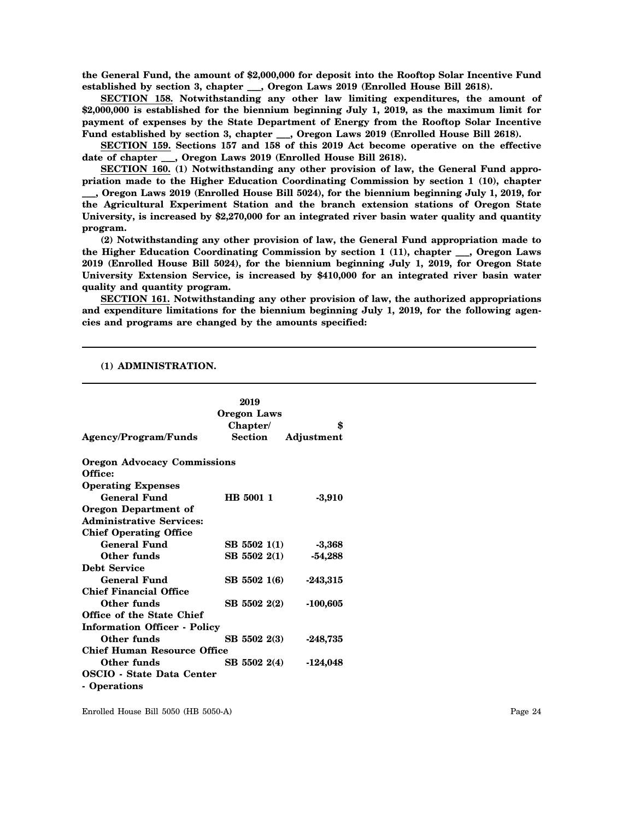**the General Fund, the amount of \$2,000,000 for deposit into the Rooftop Solar Incentive Fund established by section 3, chapter \_\_\_, Oregon Laws 2019 (Enrolled House Bill 2618).**

**SECTION 158. Notwithstanding any other law limiting expenditures, the amount of \$2,000,000 is established for the biennium beginning July 1, 2019, as the maximum limit for payment of expenses by the State Department of Energy from the Rooftop Solar Incentive Fund established by section 3, chapter \_\_\_, Oregon Laws 2019 (Enrolled House Bill 2618).**

**SECTION 159. Sections 157 and 158 of this 2019 Act become operative on the effective date of chapter \_\_\_, Oregon Laws 2019 (Enrolled House Bill 2618).**

**SECTION 160. (1) Notwithstanding any other provision of law, the General Fund appropriation made to the Higher Education Coordinating Commission by section 1 (10), chapter**

**\_\_\_, Oregon Laws 2019 (Enrolled House Bill 5024), for the biennium beginning July 1, 2019, for the Agricultural Experiment Station and the branch extension stations of Oregon State University, is increased by \$2,270,000 for an integrated river basin water quality and quantity program.**

**(2) Notwithstanding any other provision of law, the General Fund appropriation made to the Higher Education Coordinating Commission by section 1 (11), chapter \_\_\_, Oregon Laws 2019 (Enrolled House Bill 5024), for the biennium beginning July 1, 2019, for Oregon State University Extension Service, is increased by \$410,000 for an integrated river basin water quality and quantity program.**

**SECTION 161. Notwithstanding any other provision of law, the authorized appropriations and expenditure limitations for the biennium beginning July 1, 2019, for the following agencies and programs are changed by the amounts specified:**

#### **(1) ADMINISTRATION.**

|                                     | 2019<br><b>Oregon Laws</b><br>Chapter/ | \$         |
|-------------------------------------|----------------------------------------|------------|
| <b>Agency/Program/Funds</b>         | Section                                | Adjustment |
| <b>Oregon Advocacy Commissions</b>  |                                        |            |
| Office:                             |                                        |            |
| <b>Operating Expenses</b>           |                                        |            |
| General Fund                        | HB 5001 1                              | $-3,910$   |
| <b>Oregon Department of</b>         |                                        |            |
| <b>Administrative Services:</b>     |                                        |            |
| <b>Chief Operating Office</b>       |                                        |            |
| General Fund                        | SB 5502 1(1)                           | $-3,368$   |
| Other funds                         | SB 5502 2(1)                           | -54,288    |
| Debt Service                        |                                        |            |
| General Fund                        | SB 5502 1(6)                           | -243,315   |
| <b>Chief Financial Office</b>       |                                        |            |
| Other funds                         | SB 5502 2(2)                           | $-100,605$ |
| Office of the State Chief           |                                        |            |
| <b>Information Officer - Policy</b> |                                        |            |
| Other funds                         | SB 5502 2(3)                           | -248,735   |
| <b>Chief Human Resource Office</b>  |                                        |            |
| Other funds                         | SB 5502 2(4)                           | -124,048   |
| <b>OSCIO - State Data Center</b>    |                                        |            |
| - Operations                        |                                        |            |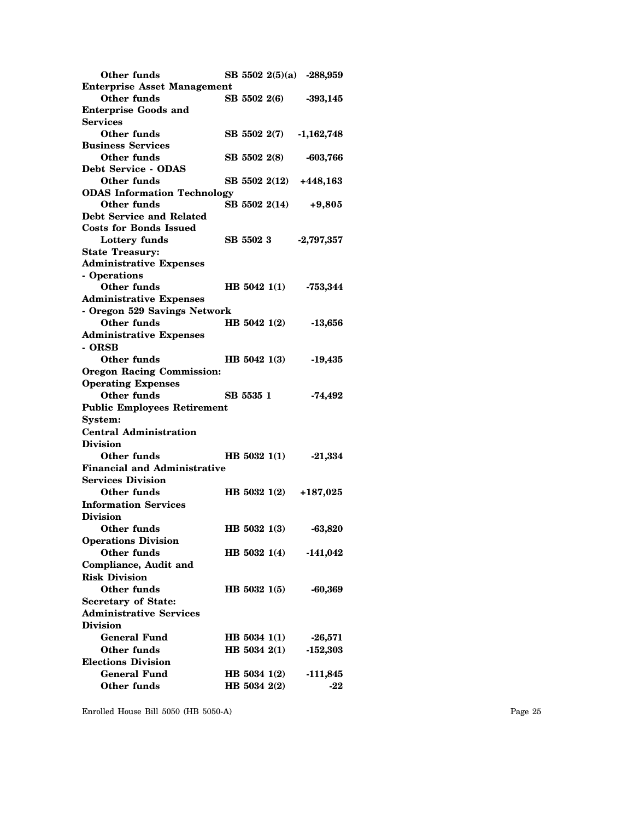| Other funds                                          |                              |               | SB 5502 2(5)(a) -288,959 |
|------------------------------------------------------|------------------------------|---------------|--------------------------|
| <b>Enterprise Asset Management</b>                   |                              |               |                          |
| Other funds                                          |                              | SB 5502 2(6)  | $-393,145$               |
| <b>Enterprise Goods and</b>                          |                              |               |                          |
| <b>Services</b>                                      |                              |               |                          |
| Other funds                                          |                              | SB 5502 2(7)  | $-1,162,748$             |
| <b>Business Services</b>                             |                              |               |                          |
| Other funds                                          |                              | SB 5502 2(8)  | $-603,766$               |
| Debt Service - ODAS                                  |                              |               |                          |
| Other funds                                          |                              |               | SB 5502 2(12) +448,163   |
| <b>ODAS Information Technology</b>                   |                              |               |                          |
| Other funds                                          |                              | SB 5502 2(14) | $+9,805$                 |
| Debt Service and Related                             |                              |               |                          |
|                                                      |                              |               |                          |
| <b>Costs for Bonds Issued</b>                        |                              |               |                          |
| Lottery funds                                        | SB 55023                     |               | $-2,797,357$             |
| <b>State Treasury:</b>                               |                              |               |                          |
| <b>Administrative Expenses</b>                       |                              |               |                          |
| - Operations                                         |                              |               |                          |
| <b>Other funds</b>                                   |                              |               | HB 5042 1(1) -753,344    |
| <b>Administrative Expenses</b>                       |                              |               |                          |
| - Oregon 529 Savings Network                         |                              |               |                          |
| <b>Other funds</b>                                   | HB 5042 1(2)                 |               | $-13,656$                |
| <b>Administrative Expenses</b>                       |                              |               |                          |
| - ORSB                                               |                              |               |                          |
| Other funds                                          | HB 5042 1(3)                 |               | $-19,435$                |
| <b>Oregon Racing Commission:</b>                     |                              |               |                          |
| <b>Operating Expenses</b>                            |                              |               |                          |
| <b>Other funds</b>                                   | SB 5535 1                    |               | -74,492                  |
| <b>Public Employees Retirement</b>                   |                              |               |                          |
| System:                                              |                              |               |                          |
| <b>Central Administration</b>                        |                              |               |                          |
| <b>Division</b>                                      |                              |               |                          |
|                                                      |                              |               |                          |
| <b>Other funds</b>                                   |                              | HB 5032 1(1)  | $-21,334$                |
| <b>Financial and Administrative</b>                  |                              |               |                          |
| <b>Services Division</b>                             |                              |               |                          |
|                                                      |                              |               |                          |
| Other funds                                          |                              | HB 5032 1(2)  | $+187,025$               |
| <b>Information Services</b>                          |                              |               |                          |
| <b>Division</b>                                      |                              |               |                          |
| Other funds                                          | HB 5032 1(3)                 |               | $-63,820$                |
| <b>Operations Division</b>                           |                              |               |                          |
| Other funds                                          |                              | HB 5032 1(4)  | $-141,042$               |
|                                                      |                              |               |                          |
| <b>Compliance, Audit and</b><br><b>Risk Division</b> |                              |               |                          |
|                                                      |                              |               |                          |
| <b>Other funds</b>                                   | <b>HB</b> 5032 1(5)          |               | $-60,369$                |
| <b>Secretary of State:</b>                           |                              |               |                          |
| <b>Administrative Services</b>                       |                              |               |                          |
| <b>Division</b>                                      |                              |               |                          |
| <b>General Fund</b>                                  | HB 5034 1(1)                 |               | $-26,571$                |
| Other funds                                          | HB 5034 2(1)                 |               | $-152,303$               |
| <b>Elections Division</b>                            |                              |               |                          |
| <b>General Fund</b><br>Other funds                   | HB 5034 1(2)<br>HB 5034 2(2) |               | -111,845                 |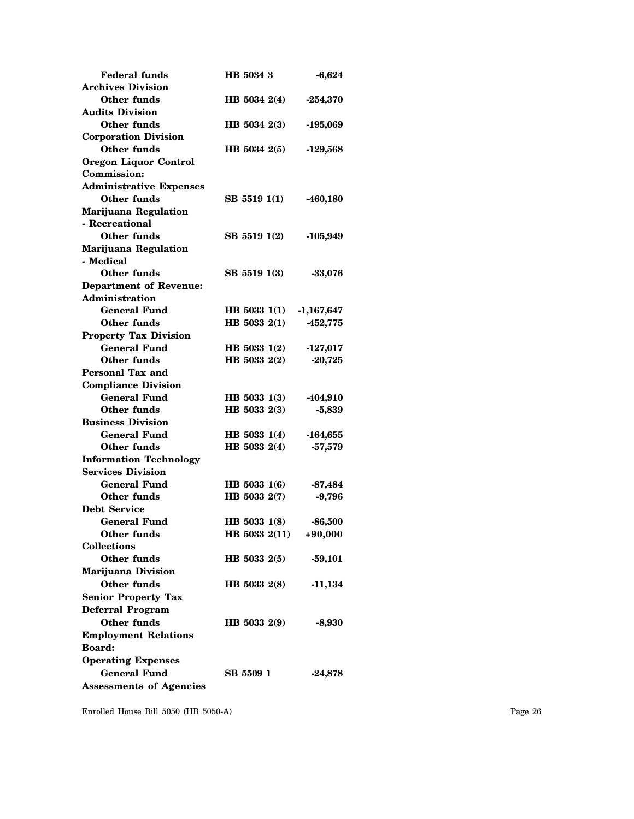| <b>Federal funds</b>           | HB 5034 3           | $-6,624$     |
|--------------------------------|---------------------|--------------|
| <b>Archives Division</b>       |                     |              |
| <b>Other funds</b>             | HB 5034 2(4)        | $-254,370$   |
| <b>Audits Division</b>         |                     |              |
| Other funds                    | HB 5034 2(3)        | $-195,069$   |
| <b>Corporation Division</b>    |                     |              |
| Other funds                    | HB 5034 2(5)        | $-129,568$   |
| <b>Oregon Liquor Control</b>   |                     |              |
| Commission:                    |                     |              |
| <b>Administrative Expenses</b> |                     |              |
| Other funds                    | SB 5519 1(1)        | $-460,180$   |
| Marijuana Regulation           |                     |              |
| - Recreational                 |                     |              |
| <b>Other funds</b>             | SB 5519 1(2)        | $-105,949$   |
| Marijuana Regulation           |                     |              |
| - Medical                      |                     |              |
| Other funds                    | SB 5519 1(3)        | $-33,076$    |
| <b>Department of Revenue:</b>  |                     |              |
| Administration                 |                     |              |
| General Fund                   | <b>HB</b> 5033 1(1) | $-1,167,647$ |
| Other funds                    | HB 5033 2(1)        | $-452,775$   |
| <b>Property Tax Division</b>   |                     |              |
| <b>General Fund</b>            | HB 5033 1(2)        | $-127,017$   |
| Other funds                    | HB 5033 2(2)        | $-20,725$    |
| <b>Personal Tax and</b>        |                     |              |
| <b>Compliance Division</b>     |                     |              |
| <b>General Fund</b>            | HB 5033 1(3)        | -404,910     |
| <b>Other funds</b>             | HB 5033 2(3)        | $-5,839$     |
| <b>Business Division</b>       |                     |              |
| General Fund                   | HB 5033 1(4)        | $-164,655$   |
| Other funds                    | HB 5033 2(4)        | $-57,579$    |
| <b>Information Technology</b>  |                     |              |
| <b>Services Division</b>       |                     |              |
| <b>General Fund</b>            | HB 5033 1(6)        | $-87,484$    |
| Other funds                    | HB 5033 2(7)        | $-9,796$     |
| <b>Debt Service</b>            |                     |              |
| <b>General Fund</b>            | HB 5033 1(8)        | $-86,500$    |
| Other funds                    | HB 5033 2(11)       | $+90,000$    |
| <b>Collections</b>             |                     |              |
| <b>Other funds</b>             |                     |              |
|                                | HB 5033 2(5)        | $-59,101$    |
| Marijuana Division             |                     |              |
| Other funds                    | HB 5033 2(8)        | $-11,134$    |
| <b>Senior Property Tax</b>     |                     |              |
| <b>Deferral Program</b>        |                     |              |
| Other funds                    | HB 5033 2(9)        | $-8,930$     |
| <b>Employment Relations</b>    |                     |              |
| <b>Board:</b>                  |                     |              |
| <b>Operating Expenses</b>      |                     |              |
| <b>General Fund</b>            | SB 5509 1           | $-24,878$    |
| <b>Assessments of Agencies</b> |                     |              |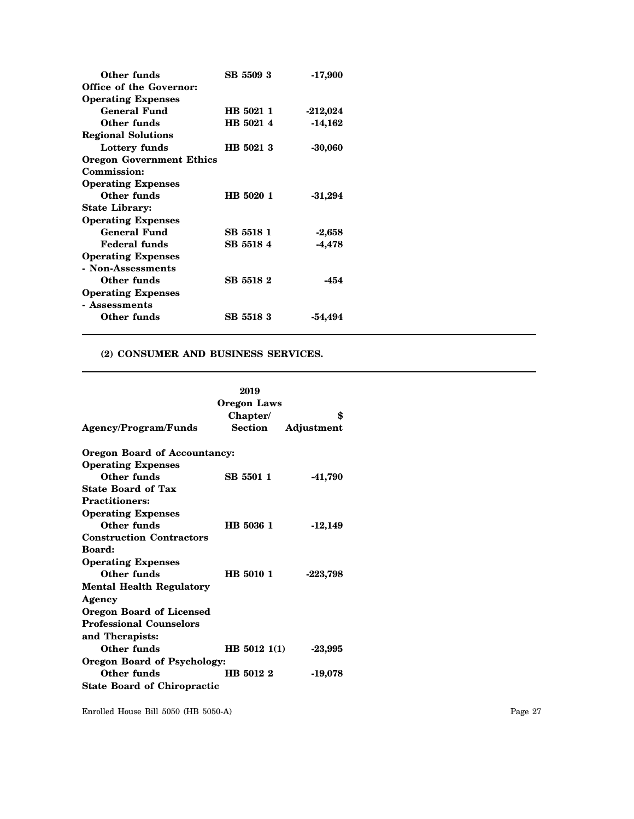| Other funds                     | SB 5509 3 | -17,900   |
|---------------------------------|-----------|-----------|
| Office of the Governor:         |           |           |
| <b>Operating Expenses</b>       |           |           |
| General Fund                    | HR 5021 1 | -212,024  |
| Other funds                     | HB 5021 4 | -14,162   |
| <b>Regional Solutions</b>       |           |           |
| Lottery funds                   | HB 5021 3 | $-30,060$ |
| <b>Oregon Government Ethics</b> |           |           |
| Commission:                     |           |           |
| <b>Operating Expenses</b>       |           |           |
| Other funds                     | HB 5020 1 | $-31,294$ |
| <b>State Library:</b>           |           |           |
| <b>Operating Expenses</b>       |           |           |
| <b>General Fund</b>             | SB 5518 1 | $-2,658$  |
| <b>Federal funds</b>            | SB 55184  | -4,478    |
| <b>Operating Expenses</b>       |           |           |
| - Non-Assessments               |           |           |
| Other funds                     | SB 5518 2 | -454      |
| <b>Operating Expenses</b>       |           |           |
| - Assessments                   |           |           |
| Other funds                     | SB 55183  | -54,494   |
|                                 |           |           |

## **(2) CONSUMER AND BUSINESS SERVICES.**

|                                     | 2019<br>Oregon Laws<br>Chapter/ | \$         |
|-------------------------------------|---------------------------------|------------|
| <b>Agency/Program/Funds</b>         | Section                         | Adjustment |
| <b>Oregon Board of Accountancy:</b> |                                 |            |
| <b>Operating Expenses</b>           |                                 |            |
| Other funds                         | SB 5501 1                       | -41,790    |
| <b>State Board of Tax</b>           |                                 |            |
| <b>Practitioners:</b>               |                                 |            |
| <b>Operating Expenses</b>           |                                 |            |
| Other funds                         | HR 5036 1                       | $-12,149$  |
| <b>Construction Contractors</b>     |                                 |            |
| <b>Board:</b>                       |                                 |            |
| <b>Operating Expenses</b>           |                                 |            |
| Other funds                         | HR 5010 1                       | $-223,798$ |
| <b>Mental Health Regulatory</b>     |                                 |            |
| Agency                              |                                 |            |
| <b>Oregon Board of Licensed</b>     |                                 |            |
| <b>Professional Counselors</b>      |                                 |            |
| and Therapists:                     |                                 |            |
| Other funds                         | HB 5012 1(1)                    | -23,995    |
| <b>Oregon Board of Psychology:</b>  |                                 |            |
| Other funds                         | HB 5012 2                       | -19,078    |
| <b>State Board of Chiropractic</b>  |                                 |            |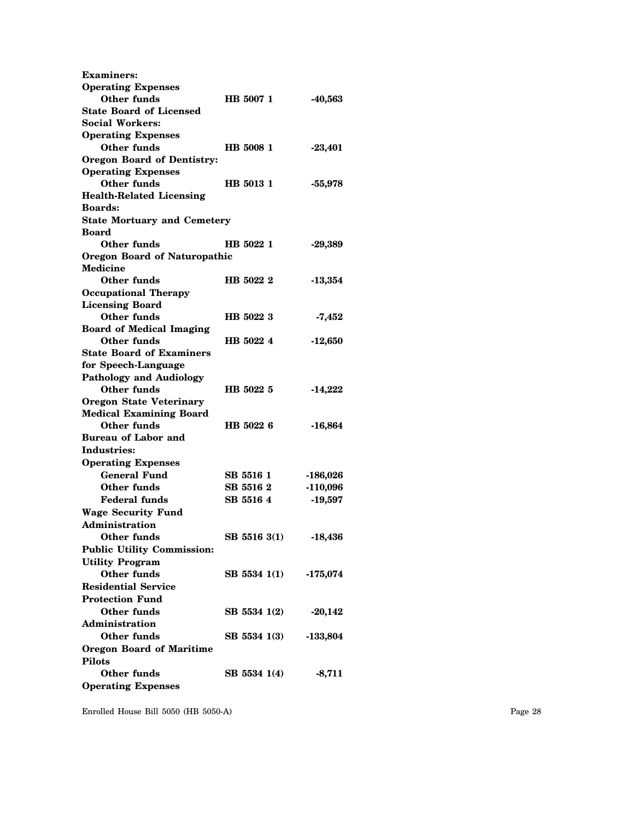| <b>Examiners:</b>                  |              |            |
|------------------------------------|--------------|------------|
| <b>Operating Expenses</b>          |              |            |
| Other funds                        | HB 5007 1    | -40,563    |
| <b>State Board of Licensed</b>     |              |            |
| <b>Social Workers:</b>             |              |            |
| <b>Operating Expenses</b>          |              |            |
| Other funds                        | HB 5008 1    | $-23,401$  |
| <b>Oregon Board of Dentistry:</b>  |              |            |
| <b>Operating Expenses</b>          |              |            |
| <b>Other funds</b>                 | HB 5013 1    | $-55,978$  |
| <b>Health-Related Licensing</b>    |              |            |
| <b>Boards:</b>                     |              |            |
| <b>State Mortuary and Cemetery</b> |              |            |
| <b>Board</b>                       |              |            |
| Other funds                        | HB 5022 1    | $-29,389$  |
| Oregon Board of Naturopathic       |              |            |
| <b>Medicine</b>                    |              |            |
| Other funds                        | HB 5022 2    | -13,354    |
| <b>Occupational Therapy</b>        |              |            |
| <b>Licensing Board</b>             |              |            |
| Other funds                        | HB 5022 3    | $-7,452$   |
| <b>Board of Medical Imaging</b>    |              |            |
| Other funds                        | HB 5022 4    | -12,650    |
| <b>State Board of Examiners</b>    |              |            |
| for Speech-Language                |              |            |
| <b>Pathology and Audiology</b>     |              |            |
| Other funds                        |              |            |
|                                    | HB 5022 5    | -14,222    |
| <b>Oregon State Veterinary</b>     |              |            |
| <b>Medical Examining Board</b>     |              |            |
| Other funds                        | HB 5022 6    | -16,864    |
| <b>Bureau of Labor and</b>         |              |            |
| <b>Industries:</b>                 |              |            |
| <b>Operating Expenses</b>          |              |            |
| <b>General Fund</b>                | SB 5516 1    | $-186,026$ |
| Other funds                        | SB 5516 2    | $-110,096$ |
| Federal funds                      | SB 5516 4    | $-19,597$  |
| <b>Wage Security Fund</b>          |              |            |
| Administration                     |              |            |
| Other funds                        | SB 5516 3(1) | $-18,436$  |
| <b>Public Utility Commission:</b>  |              |            |
| <b>Utility Program</b>             |              |            |
| <b>Other funds</b>                 | SB 5534 1(1) | $-175,074$ |
| <b>Residential Service</b>         |              |            |
| <b>Protection Fund</b>             |              |            |
| Other funds                        | SB 5534 1(2) | $-20,142$  |
| Administration                     |              |            |
| Other funds                        | SB 5534 1(3) | -133,804   |
| <b>Oregon Board of Maritime</b>    |              |            |
| <b>Pilots</b>                      |              |            |
| Other funds                        |              |            |
|                                    | SB 5534 1(4) | $-8,711$   |
| <b>Operating Expenses</b>          |              |            |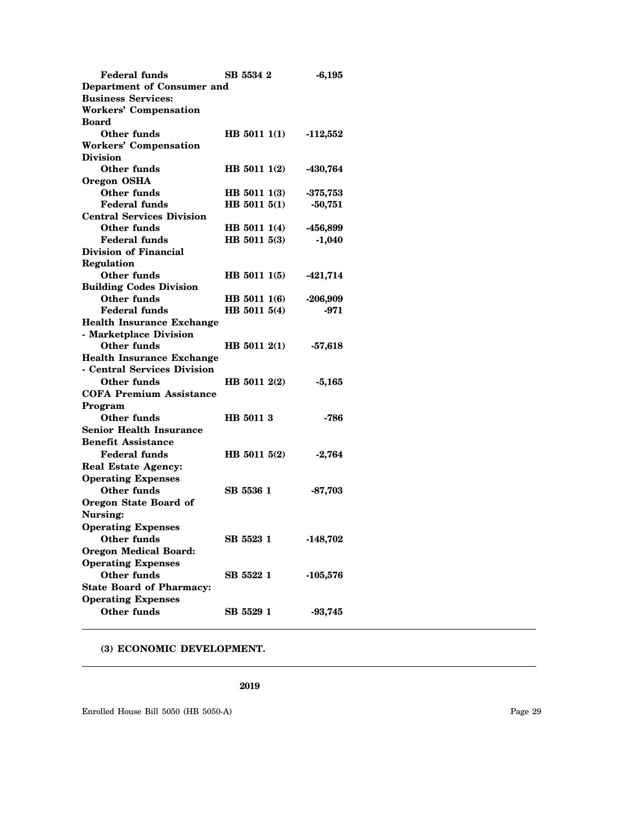| <b>Federal funds</b>             | SB 5534 2           | $-6,195$   |
|----------------------------------|---------------------|------------|
| Department of Consumer and       |                     |            |
| <b>Business Services:</b>        |                     |            |
| <b>Workers' Compensation</b>     |                     |            |
| <b>Board</b>                     |                     |            |
| Other funds                      | HB 5011 1(1)        | -112,552   |
| <b>Workers' Compensation</b>     |                     |            |
| <b>Division</b>                  |                     |            |
| Other funds                      | <b>HB</b> 5011 1(2) | -430,764   |
| Oregon OSHA                      |                     |            |
| Other funds                      | <b>HB</b> 5011 1(3) | $-375,753$ |
| <b>Federal funds</b>             | HB 5011 5(1)        | $-50,751$  |
| <b>Central Services Division</b> |                     |            |
| <b>Other funds</b>               | HB 5011 1(4)        | -456,899   |
| <b>Federal funds</b>             | HB 5011 5(3)        | $-1,040$   |
| Division of Financial            |                     |            |
| Regulation                       |                     |            |
| Other funds                      | <b>HB</b> 5011 1(5) | -421,714   |
| <b>Building Codes Division</b>   |                     |            |
| <b>Other funds</b>               | HB 5011 1(6)        | $-206,909$ |
| <b>Federal funds</b>             | HB 5011 5(4)        | -971       |
| <b>Health Insurance Exchange</b> |                     |            |
| - Marketplace Division           |                     |            |
| <b>Other funds</b>               | HB 5011 2(1)        | $-57,618$  |
| <b>Health Insurance Exchange</b> |                     |            |
| - Central Services Division      |                     |            |
| Other funds                      | HB 5011 2(2)        | $-5,165$   |
| <b>COFA Premium Assistance</b>   |                     |            |
| Program                          |                     |            |
| <b>Other funds</b>               | HB 5011 3           | -786       |
| <b>Senior Health Insurance</b>   |                     |            |
| <b>Benefit Assistance</b>        |                     |            |
| <b>Federal funds</b>             | HB 5011 5(2)        | $-2,764$   |
| <b>Real Estate Agency:</b>       |                     |            |
| <b>Operating Expenses</b>        |                     |            |
| <b>Other funds</b>               | SB 5536 1           | $-87,703$  |
| Oregon State Board of            |                     |            |
| Nursing:                         |                     |            |
| <b>Operating Expenses</b>        |                     |            |
| Other funds                      | SB 5523 1           | -148,702   |
| <b>Oregon Medical Board:</b>     |                     |            |
| <b>Operating Expenses</b>        |                     |            |
| <b>Other funds</b>               | SB 5522 1           | $-105,576$ |
| <b>State Board of Pharmacy:</b>  |                     |            |
| <b>Operating Expenses</b>        |                     |            |
| Other funds                      | SB 5529 1           | $-93,745$  |
|                                  |                     |            |

**(3) ECONOMIC DEVELOPMENT.**

#### **2019**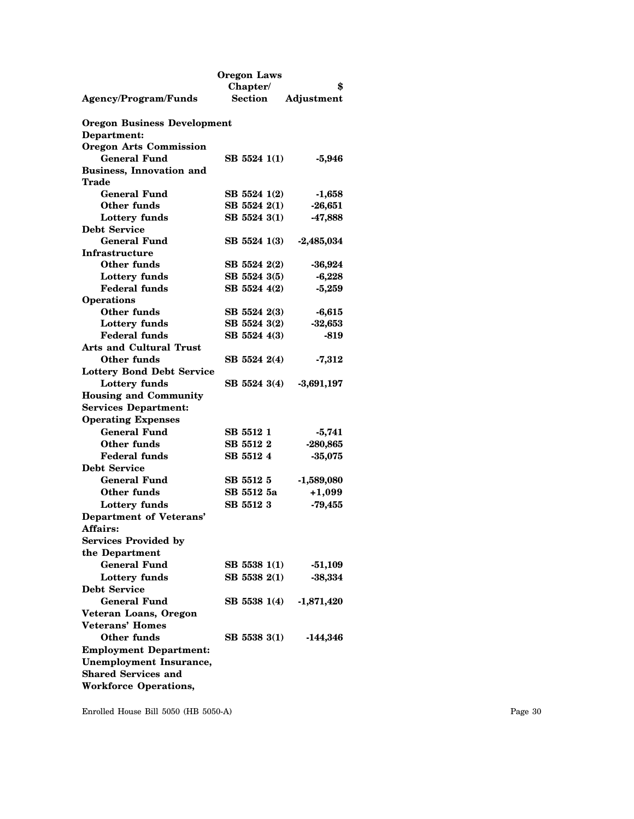|                                    | <b>Oregon Laws</b> |              |
|------------------------------------|--------------------|--------------|
|                                    | Chapter/           | \$           |
| <b>Agency/Program/Funds</b>        | <b>Section</b>     | Adjustment   |
|                                    |                    |              |
| <b>Oregon Business Development</b> |                    |              |
| Department:                        |                    |              |
| <b>Oregon Arts Commission</b>      |                    |              |
| General Fund                       | SB 5524 1(1)       | $-5,946$     |
| <b>Business, Innovation and</b>    |                    |              |
| Trade                              |                    |              |
| <b>General Fund</b>                | SB 5524 1(2)       | $-1,658$     |
| <b>Other funds</b>                 | SB 5524 2(1)       | $-26,651$    |
| <b>Lottery funds</b>               | SB 5524 3(1)       | $-47,888$    |
| <b>Debt Service</b>                |                    |              |
| General Fund                       | SB 5524 1(3)       | $-2,485,034$ |
| Infrastructure                     |                    |              |
| Other funds                        | SB 5524 2(2)       | $-36,924$    |
| <b>Lottery funds</b>               | SB 5524 3(5)       | $-6,228$     |
| <b>Federal funds</b>               | SB 5524 4(2)       | $-5,259$     |
| <b>Operations</b>                  |                    |              |
| Other funds                        | SB 5524 2(3)       | $-6,615$     |
| <b>Lottery funds</b>               | SB 5524 3(2)       | $-32,653$    |
| <b>Federal funds</b>               | SB 5524 4(3)       | -819         |
| <b>Arts and Cultural Trust</b>     |                    |              |
| <b>Other funds</b>                 | SB 5524 2(4)       | $-7,312$     |
| <b>Lottery Bond Debt Service</b>   |                    |              |
| Lottery funds                      | SB 5524 3(4)       | $-3,691,197$ |
| <b>Housing and Community</b>       |                    |              |
| <b>Services Department:</b>        |                    |              |
| <b>Operating Expenses</b>          |                    |              |
| General Fund                       | SB 5512 1          | $-5,741$     |
| Other funds                        | SB 5512 2          | $-280,865$   |
| <b>Federal funds</b>               | SB 55124           |              |
| <b>Debt Service</b>                |                    | $-35,075$    |
| <b>General Fund</b>                |                    |              |
|                                    | SB 5512 5          | -1,589,080   |
| <b>Other funds</b>                 | SB 5512 5a         | $+1,099$     |
| Lottery funds                      | SB 5512 3          | $-79,455$    |
| <b>Department of Veterans'</b>     |                    |              |
| Affairs:                           |                    |              |
| <b>Services Provided by</b>        |                    |              |
| the Department                     |                    |              |
| <b>General Fund</b>                | SB 5538 1(1)       | $-51,109$    |
| Lottery funds                      | SB 5538 2(1)       | $-38,334$    |
| <b>Debt Service</b>                |                    |              |
| General Fund                       | SB 5538 1(4)       | $-1,871,420$ |
| Veteran Loans, Oregon              |                    |              |
| <b>Veterans' Homes</b>             |                    |              |
| Other funds                        | SB 5538 3(1)       | $-144,346$   |
| <b>Employment Department:</b>      |                    |              |
| <b>Unemployment Insurance,</b>     |                    |              |
| <b>Shared Services and</b>         |                    |              |
| <b>Workforce Operations,</b>       |                    |              |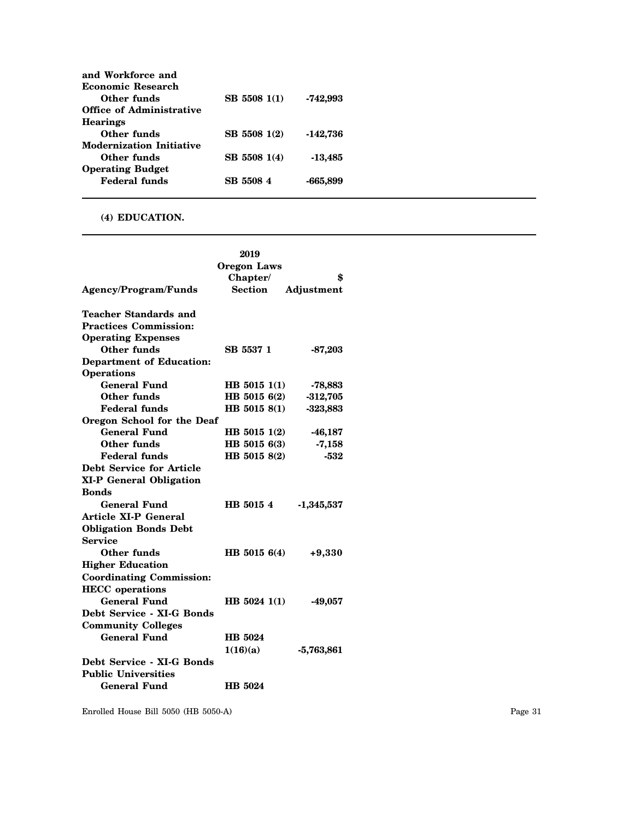| and Workforce and               |              |            |
|---------------------------------|--------------|------------|
| <b>Economic Research</b>        |              |            |
| Other funds                     | SB 5508 1(1) | -742.993   |
| Office of Administrative        |              |            |
| <b>Hearings</b>                 |              |            |
| Other funds                     | SB 5508 1(2) | $-142,736$ |
| <b>Modernization Initiative</b> |              |            |
| Other funds                     | SB 5508 1(4) | -13,485    |
| <b>Operating Budget</b>         |              |            |
| <b>Federal funds</b>            | SB 5508 4    | -665.899   |
|                                 |              |            |

### **(4) EDUCATION.**

| <b>Agency/Program/Funds</b>     | 2019<br><b>Oregon Laws</b><br>Chapter/<br><b>Section</b> | \$<br>Adjustment |
|---------------------------------|----------------------------------------------------------|------------------|
| <b>Teacher Standards and</b>    |                                                          |                  |
| <b>Practices Commission:</b>    |                                                          |                  |
| <b>Operating Expenses</b>       |                                                          |                  |
| Other funds                     | SB 5537 1                                                | $-87,203$        |
| <b>Department of Education:</b> |                                                          |                  |
| <b>Operations</b>               |                                                          |                  |
| <b>General Fund</b>             | HB 5015 1(1)                                             | -78,883          |
| Other funds                     | HB 5015 6(2)                                             | $-312,705$       |
| <b>Federal funds</b>            | HB 5015 8(1)                                             | $-323,883$       |
| Oregon School for the Deaf      |                                                          |                  |
| General Fund                    | HB 5015 1(2)                                             | $-46,187$        |
| Other funds                     | HB 5015 6(3)                                             | $-7,158$         |
| <b>Federal funds</b>            | HB 5015 8(2)                                             | $-532$           |
| <b>Debt Service for Article</b> |                                                          |                  |
| <b>XI-P General Obligation</b>  |                                                          |                  |
| <b>Bonds</b>                    |                                                          |                  |
| <b>General Fund</b>             | HB 5015 4                                                | $-1,345,537$     |
| <b>Article XI-P General</b>     |                                                          |                  |
| <b>Obligation Bonds Debt</b>    |                                                          |                  |
| <b>Service</b>                  |                                                          |                  |
| Other funds                     | HB 5015 6(4)                                             | $+9,330$         |
| <b>Higher Education</b>         |                                                          |                  |
| <b>Coordinating Commission:</b> |                                                          |                  |
| <b>HECC</b> operations          |                                                          |                  |
| <b>General Fund</b>             | HB 5024 1(1)                                             | $-49,057$        |
| Debt Service - XI-G Bonds       |                                                          |                  |
| <b>Community Colleges</b>       |                                                          |                  |
| General Fund                    | HB 5024                                                  |                  |
|                                 | 1(16)(a)                                                 | -5,763,861       |
| Debt Service - XI-G Bonds       |                                                          |                  |
| <b>Public Universities</b>      |                                                          |                  |
| <b>General Fund</b>             | HB 5024                                                  |                  |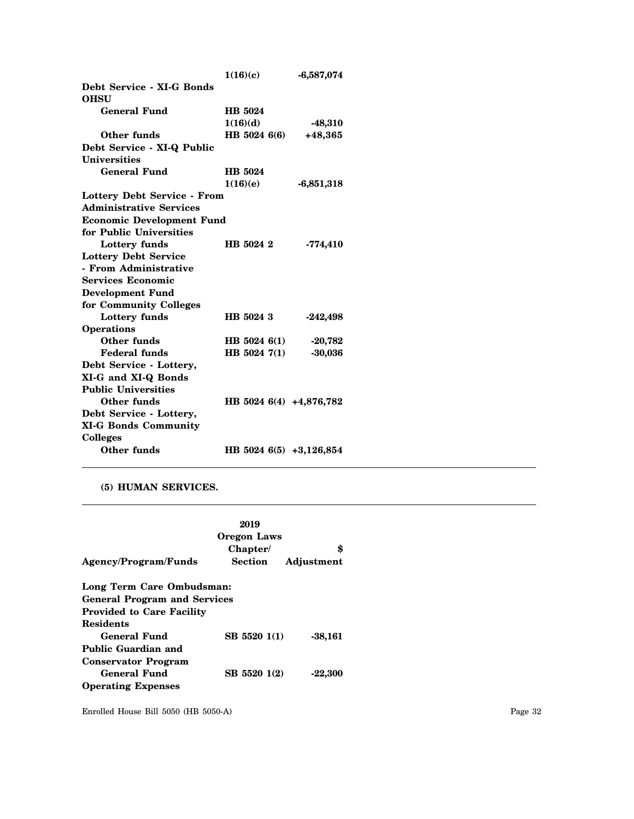|                                          | 1(16)(c)                  | $-6,587,074$ |
|------------------------------------------|---------------------------|--------------|
| Debt Service - XI-G Bonds<br><b>OHSU</b> |                           |              |
| <b>General Fund</b>                      | HB 5024                   |              |
|                                          | 1(16)(d)                  | $-48,310$    |
| Other funds                              | HB 5024 6(6)              | +48,365      |
| Debt Service - XI-Q Public               |                           |              |
| <b>Universities</b>                      |                           |              |
| <b>General Fund</b>                      | HB 5024                   |              |
|                                          | 1(16)(e)                  | $-6,851,318$ |
| <b>Lottery Debt Service - From</b>       |                           |              |
| <b>Administrative Services</b>           |                           |              |
| <b>Economic Development Fund</b>         |                           |              |
| for Public Universities                  |                           |              |
| <b>Lottery funds</b>                     | HB 5024 2                 | $-774,410$   |
| <b>Lottery Debt Service</b>              |                           |              |
| - From Administrative                    |                           |              |
| <b>Services Economic</b>                 |                           |              |
| <b>Development Fund</b>                  |                           |              |
| for Community Colleges                   |                           |              |
| Lottery funds                            | HB 5024 3                 | $-242,498$   |
| <b>Operations</b>                        |                           |              |
| Other funds                              | HB $50246(1)$             | $-20,782$    |
| <b>Federal funds</b>                     | HB 5024 7(1)              | $-30,036$    |
| Debt Service - Lottery,                  |                           |              |
| XI-G and XI-Q Bonds                      |                           |              |
| <b>Public Universities</b>               |                           |              |
| Other funds                              | HB 5024 6(4) +4,876,782   |              |
| Debt Service - Lottery,                  |                           |              |
| <b>XI-G Bonds Community</b>              |                           |              |
| <b>Colleges</b>                          |                           |              |
| <b>Other funds</b>                       | HB 5024 6(5) $+3,126,854$ |              |
|                                          |                           |              |

#### **(5) HUMAN SERVICES.**

|                                                                  | 2019<br><b>Oregon Laws</b><br>Chapter/ | \$         |
|------------------------------------------------------------------|----------------------------------------|------------|
| <b>Agency/Program/Funds</b>                                      | Section                                | Adjustment |
| Long Term Care Ombudsman:<br><b>General Program and Services</b> |                                        |            |
| <b>Provided to Care Facility</b>                                 |                                        |            |
| <b>Residents</b><br>General Fund                                 | SB 5520 1(1)                           | $-38,161$  |
| Public Guardian and<br><b>Conservator Program</b>                |                                        |            |
| General Fund                                                     | SB 5520 1(2)                           | -22.300    |
| <b>Operating Expenses</b>                                        |                                        |            |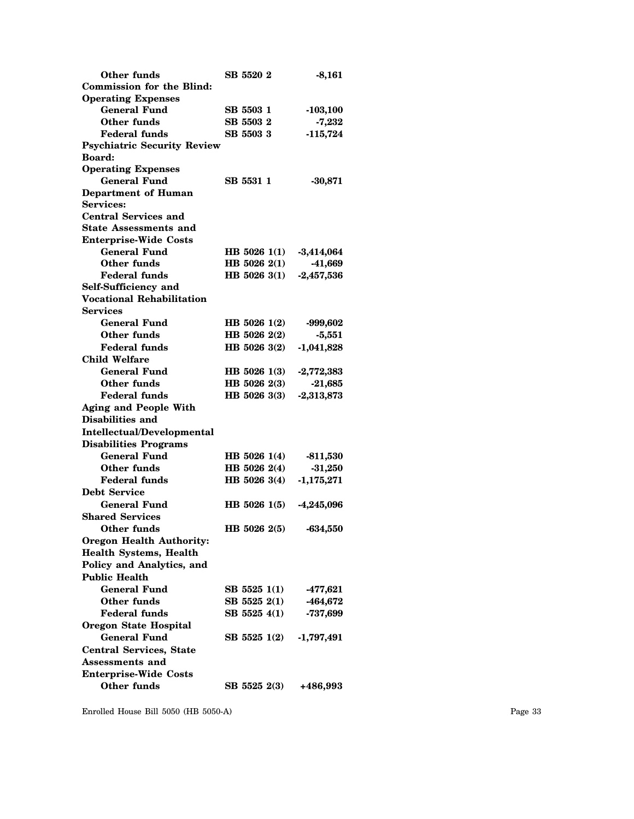| <b>Other funds</b>                                      | SB 5520 2           | $-8,161$     |
|---------------------------------------------------------|---------------------|--------------|
| <b>Commission for the Blind:</b>                        |                     |              |
| <b>Operating Expenses</b>                               |                     |              |
| <b>General Fund</b>                                     | SB 5503 1           | $-103,100$   |
| Other funds                                             | SB 5503 2           | $-7,232$     |
| <b>Federal funds</b>                                    | SB 5503 3           | $-115,724$   |
| <b>Psychiatric Security Review</b>                      |                     |              |
| <b>Board:</b>                                           |                     |              |
| <b>Operating Expenses</b>                               |                     |              |
| <b>General Fund</b>                                     | SB 5531 1           | $-30,871$    |
| <b>Department of Human</b>                              |                     |              |
| Services:                                               |                     |              |
| <b>Central Services and</b>                             |                     |              |
| <b>State Assessments and</b>                            |                     |              |
| <b>Enterprise-Wide Costs</b>                            |                     |              |
| <b>General Fund</b>                                     | HB 5026 1(1)        | $-3,414,064$ |
| <b>Other funds</b>                                      | HB 5026 2(1)        | $-41,669$    |
| <b>Federal funds</b>                                    | HB 5026 3(1)        | $-2,457,536$ |
| Self-Sufficiency and                                    |                     |              |
| <b>Vocational Rehabilitation</b>                        |                     |              |
| <b>Services</b>                                         |                     |              |
| <b>General Fund</b>                                     | HB 5026 1(2)        | -999,602     |
| <b>Other funds</b>                                      | HB 5026 2(2)        | $-5,551$     |
| <b>Federal funds</b>                                    | HB 5026 3(2)        | $-1,041,828$ |
| Child Welfare                                           |                     |              |
| <b>General Fund</b>                                     | <b>HB</b> 5026 1(3) | $-2,772,383$ |
| Other funds                                             | HB 5026 2(3)        | $-21,685$    |
| <b>Federal funds</b>                                    | HB 5026 3(3)        |              |
|                                                         |                     | $-2,313,873$ |
| <b>Aging and People With</b><br><b>Disabilities and</b> |                     |              |
|                                                         |                     |              |
| <b>Intellectual/Developmental</b>                       |                     |              |
| <b>Disabilities Programs</b>                            |                     |              |
| <b>General Fund</b>                                     | HB 5026 1(4)        | $-811,530$   |
| Other funds                                             | HB 5026 2(4)        | $-31,250$    |
| <b>Federal funds</b>                                    | HB 5026 3(4)        | $-1,175,271$ |
| <b>Debt Service</b>                                     |                     |              |
| General Fund                                            | HB 5026 1(5)        | $-4,245,096$ |
| <b>Shared Services</b>                                  |                     |              |
| Other funds                                             | HB 5026 2(5)        | $-634,550$   |
| <b>Oregon Health Authority:</b>                         |                     |              |
| <b>Health Systems, Health</b>                           |                     |              |
| Policy and Analytics, and                               |                     |              |
| <b>Public Health</b>                                    |                     |              |
| <b>General Fund</b>                                     | SB 5525 1(1)        | -477,621     |
| <b>Other funds</b>                                      | SB 5525 2(1)        | -464,672     |
| <b>Federal funds</b>                                    | SB 5525 4(1)        | -737,699     |
| <b>Oregon State Hospital</b>                            |                     |              |
| <b>General Fund</b>                                     | SB 5525 1(2)        | -1,797,491   |
| <b>Central Services, State</b>                          |                     |              |
| Assessments and                                         |                     |              |
| <b>Enterprise-Wide Costs</b>                            |                     |              |
| <b>Other funds</b>                                      | SB 5525 2(3)        | +486,993     |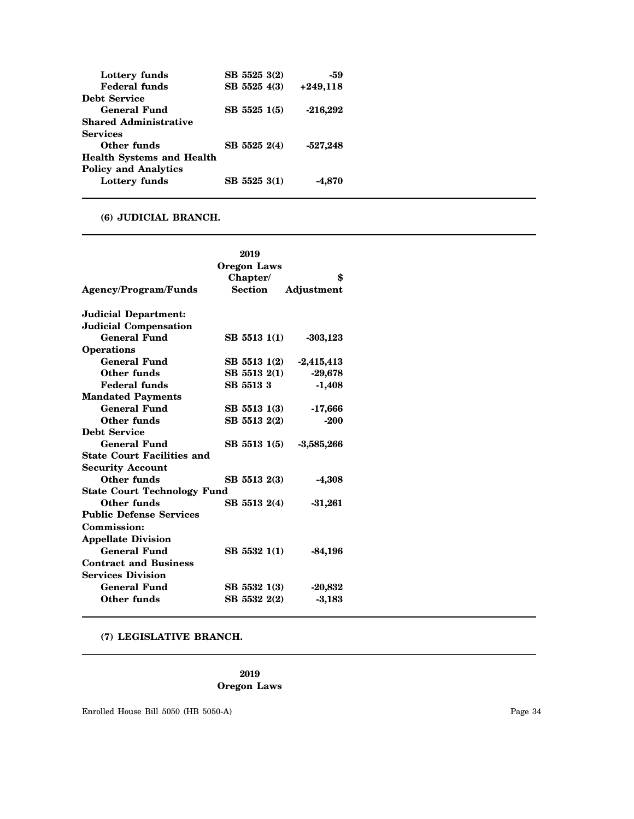| Lottery funds                    | SB 5525 3(2) | -59        |
|----------------------------------|--------------|------------|
| <b>Federal funds</b>             | SB 5525 4(3) | $+249,118$ |
| <b>Debt Service</b>              |              |            |
| <b>General Fund</b>              | SB 5525 1(5) | $-216,292$ |
| <b>Shared Administrative</b>     |              |            |
| <b>Services</b>                  |              |            |
| Other funds                      | SB 5525 2(4) | -527,248   |
| <b>Health Systems and Health</b> |              |            |
| <b>Policy and Analytics</b>      |              |            |
| Lottery funds                    | SB 5525 3(1) |            |

### **(6) JUDICIAL BRANCH.**

| <b>Agency/Program/Funds</b>        | 2019<br><b>Oregon Laws</b><br>Chapter/<br><b>Section</b> | \$<br>Adjustment |
|------------------------------------|----------------------------------------------------------|------------------|
| <b>Judicial Department:</b>        |                                                          |                  |
| <b>Judicial Compensation</b>       |                                                          |                  |
| <b>General Fund</b>                | SB 5513 1(1)                                             | $-303,123$       |
| <b>Operations</b>                  |                                                          |                  |
| General Fund                       | SB 5513 1(2)                                             | $-2,415,413$     |
| Other funds                        | SB 5513 2(1)                                             | $-29,678$        |
| <b>Federal funds</b>               | SB 55133                                                 | $-1,408$         |
| <b>Mandated Payments</b>           |                                                          |                  |
| <b>General Fund</b>                | SB 5513 1(3)                                             | $-17,666$        |
| Other funds                        | SB 5513 2(2)                                             | $-200$           |
| Debt Service                       |                                                          |                  |
| <b>General Fund</b>                | SB 5513 1(5)                                             | $-3,585,266$     |
| <b>State Court Facilities and</b>  |                                                          |                  |
| <b>Security Account</b>            |                                                          |                  |
| Other funds                        | SB 5513 2(3)                                             | $-4,308$         |
| <b>State Court Technology Fund</b> |                                                          |                  |
| Other funds                        | SB 5513 2(4)                                             | $-31,261$        |
| <b>Public Defense Services</b>     |                                                          |                  |
| Commission:                        |                                                          |                  |
| <b>Appellate Division</b>          |                                                          |                  |
| <b>General Fund</b>                | SB 5532 1(1)                                             | $-84,196$        |
| <b>Contract and Business</b>       |                                                          |                  |
| <b>Services Division</b>           |                                                          |                  |
| <b>General Fund</b>                | SB 5532 1(3)                                             | $-20,832$        |
| Other funds                        | SB 5532 2(2)                                             | $-3,183$         |

**(7) LEGISLATIVE BRANCH.**

**2019 Oregon Laws**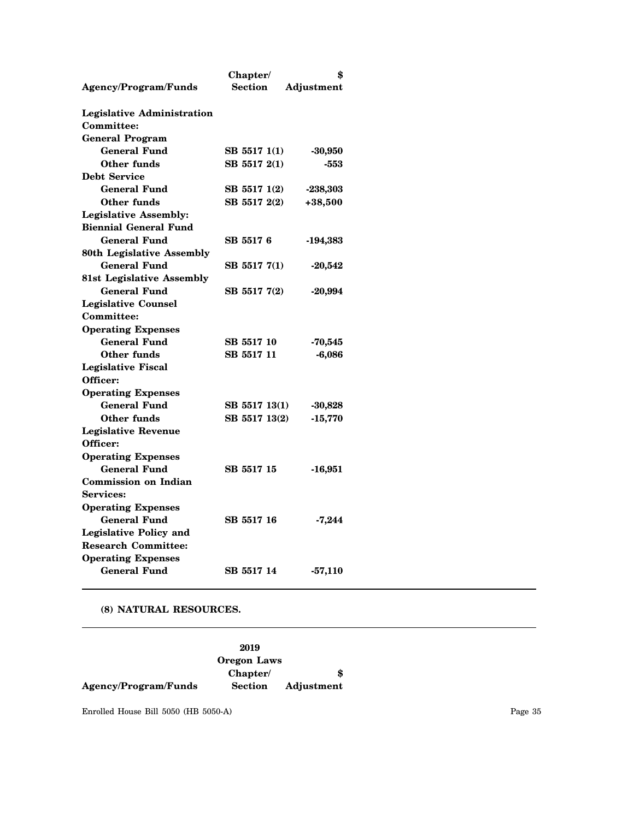|                                   | Chapter/       |            |
|-----------------------------------|----------------|------------|
| <b>Agency/Program/Funds</b>       | <b>Section</b> | Adjustment |
| <b>Legislative Administration</b> |                |            |
| Committee:                        |                |            |
| <b>General Program</b>            |                |            |
| <b>General Fund</b>               | SB 5517 1(1)   | $-30,950$  |
| Other funds                       | SB 5517 2(1)   | -553       |
| <b>Debt Service</b>               |                |            |
| General Fund                      | SB 5517 1(2)   | -238,303   |
| Other funds                       | SB 5517 2(2)   | $+38,500$  |
| <b>Legislative Assembly:</b>      |                |            |
| <b>Biennial General Fund</b>      |                |            |
| <b>General Fund</b>               | SB 55176       | $-194,383$ |
| <b>80th Legislative Assembly</b>  |                |            |
| <b>General Fund</b>               | SB 5517 7(1)   | $-20,542$  |
| <b>81st Legislative Assembly</b>  |                |            |
| <b>General Fund</b>               | SB 5517 7(2)   | -20,994    |
| <b>Legislative Counsel</b>        |                |            |
| <b>Committee:</b>                 |                |            |
| <b>Operating Expenses</b>         |                |            |
| General Fund                      | SB 5517 10     | -70,545    |
| Other funds                       | SB 5517 11     | $-6,086$   |
| <b>Legislative Fiscal</b>         |                |            |
| Officer:                          |                |            |
| <b>Operating Expenses</b>         |                |            |
| <b>General Fund</b>               | SB 5517 13(1)  | -30,828    |
| Other funds                       | SB 5517 13(2)  | $-15,770$  |
| <b>Legislative Revenue</b>        |                |            |
| Officer:                          |                |            |
| <b>Operating Expenses</b>         |                |            |
| <b>General Fund</b>               | SB 5517 15     | -16,951    |
| <b>Commission on Indian</b>       |                |            |
| Services:                         |                |            |
| <b>Operating Expenses</b>         |                |            |
| <b>General Fund</b>               | SB 5517 16     | $-7,244$   |
| <b>Legislative Policy and</b>     |                |            |
| <b>Research Committee:</b>        |                |            |
| <b>Operating Expenses</b>         |                |            |
| <b>General Fund</b>               | SB 5517 14     | $-57,110$  |

#### **(8) NATURAL RESOURCES.**

|                             | 2019               |            |
|-----------------------------|--------------------|------------|
|                             | <b>Oregon Laws</b> |            |
|                             | Chapter/           |            |
| <b>Agency/Program/Funds</b> | <b>Section</b>     | Adjustment |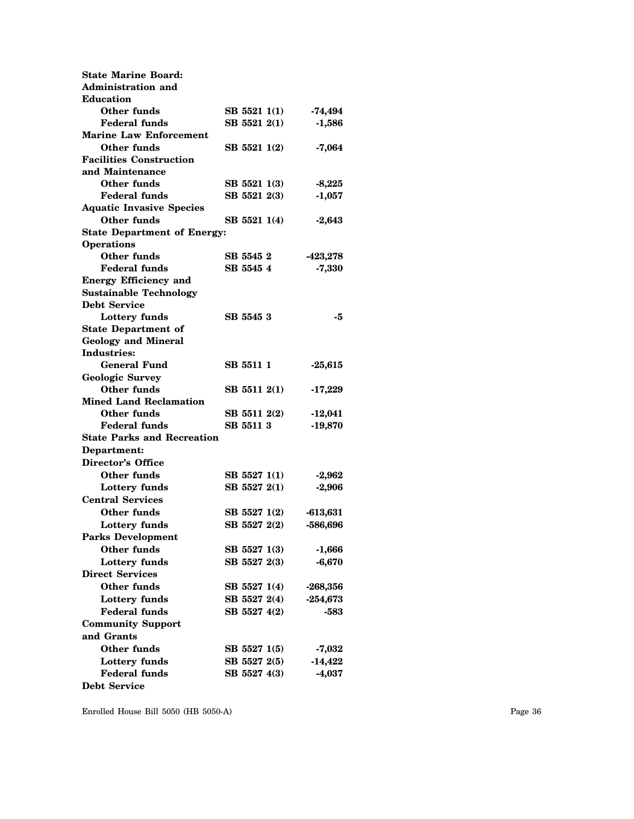| <b>State Marine Board:</b>         |              |            |
|------------------------------------|--------------|------------|
| Administration and                 |              |            |
| <b>Education</b>                   |              |            |
| Other funds                        | SB 5521 1(1) | -74,494    |
| <b>Federal funds</b>               | SB 5521 2(1) | $-1,586$   |
| <b>Marine Law Enforcement</b>      |              |            |
| Other funds                        | SB 5521 1(2) | $-7,064$   |
| <b>Facilities Construction</b>     |              |            |
| and Maintenance                    |              |            |
| Other funds                        | SB 5521 1(3) | $-8,225$   |
| <b>Federal funds</b>               | SB 5521 2(3) | $-1,057$   |
| <b>Aquatic Invasive Species</b>    |              |            |
| <b>Other funds</b>                 | SB 5521 1(4) | $-2,643$   |
| <b>State Department of Energy:</b> |              |            |
| <b>Operations</b>                  |              |            |
| Other funds                        | SB 5545 2    | -423,278   |
| <b>Federal funds</b>               | SB 5545 4    | $-7,330$   |
| <b>Energy Efficiency and</b>       |              |            |
| <b>Sustainable Technology</b>      |              |            |
| <b>Debt Service</b>                |              |            |
| <b>Lottery funds</b>               | SB 5545 3    | -5         |
| <b>State Department of</b>         |              |            |
| <b>Geology and Mineral</b>         |              |            |
| Industries:                        |              |            |
| General Fund                       | SB 5511 1    | -25,615    |
| <b>Geologic Survey</b>             |              |            |
| Other funds                        |              |            |
| <b>Mined Land Reclamation</b>      | SB 5511 2(1) | $-17,229$  |
|                                    |              |            |
| Other funds                        | SB 5511 2(2) | $-12,041$  |
| <b>Federal funds</b>               | SB 5511 3    | $-19,870$  |
| <b>State Parks and Recreation</b>  |              |            |
| Department:                        |              |            |
| Director's Office                  |              |            |
| Other funds                        | SB 5527 1(1) | -2,962     |
| Lottery funds                      | SB 5527 2(1) | $-2,906$   |
| <b>Central Services</b>            |              |            |
| Other funds                        | SB 5527 1(2) | $-613,631$ |
| Lottery funds                      | SB 5527 2(2) | -586,696   |
| <b>Parks Development</b>           |              |            |
| Other funds                        | SB 5527 1(3) | $-1,666$   |
| <b>Lottery funds</b>               | SB 5527 2(3) | $-6,670$   |
| <b>Direct Services</b>             |              |            |
| <b>Other funds</b>                 | SB 5527 1(4) | $-268,356$ |
| Lottery funds                      | SB 5527 2(4) | $-254,673$ |
| <b>Federal funds</b>               | SB 5527 4(2) | -583       |
| <b>Community Support</b>           |              |            |
| and Grants                         |              |            |
| <b>Other funds</b>                 | SB 5527 1(5) | -7,032     |
| <b>Lottery funds</b>               | SB 5527 2(5) | $-14,422$  |
| <b>Federal funds</b>               | SB 5527 4(3) | $-4,037$   |
| <b>Debt Service</b>                |              |            |
|                                    |              |            |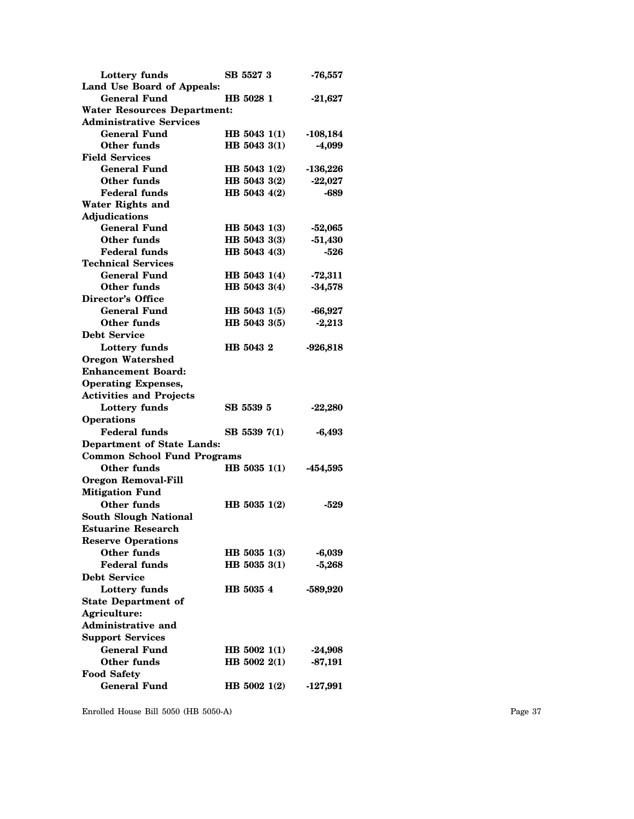| Lottery funds                      | SB 5527 3    |            |
|------------------------------------|--------------|------------|
| Land Use Board of Appeals:         |              | -76,557    |
| <b>General Fund</b>                |              |            |
|                                    | HB 5028 1    | $-21,627$  |
| <b>Water Resources Department:</b> |              |            |
| <b>Administrative Services</b>     |              |            |
| <b>General Fund</b>                | HB 5043 1(1) | $-108,184$ |
| <b>Other funds</b>                 | HB 5043 3(1) | $-4,099$   |
| <b>Field Services</b>              |              |            |
| <b>General Fund</b>                | HB 5043 1(2) | $-136,226$ |
| Other funds                        | HB 5043 3(2) | $-22,027$  |
| <b>Federal funds</b>               | HB 5043 4(2) | -689       |
| <b>Water Rights and</b>            |              |            |
| <b>Adjudications</b>               |              |            |
| <b>General Fund</b>                | HB 5043 1(3) | $-52,065$  |
| <b>Other funds</b>                 | HB 5043 3(3) | $-51,430$  |
| <b>Federal funds</b>               | HB 5043 4(3) | $-526$     |
| <b>Technical Services</b>          |              |            |
| <b>General Fund</b>                | HB 5043 1(4) | $-72,311$  |
| <b>Other funds</b>                 | HB 5043 3(4) | $-34,578$  |
| Director's Office                  |              |            |
| <b>General Fund</b>                | HB 5043 1(5) | $-66,927$  |
| Other funds                        | HB 5043 3(5) | $-2,213$   |
| <b>Debt Service</b>                |              |            |
| Lottery funds                      | HB 5043 2    | $-926,818$ |
| <b>Oregon Watershed</b>            |              |            |
| <b>Enhancement Board:</b>          |              |            |
|                                    |              |            |
| <b>Operating Expenses,</b>         |              |            |
| <b>Activities and Projects</b>     |              |            |
| <b>Lottery funds</b>               | SB 5539 5    | $-22,280$  |
| <b>Operations</b>                  |              |            |
| <b>Federal funds</b>               | SB 5539 7(1) | $-6,493$   |
| <b>Department of State Lands:</b>  |              |            |
| <b>Common School Fund Programs</b> |              |            |
| <b>Other funds</b>                 | HB 5035 1(1) | -454,595   |
| <b>Oregon Removal-Fill</b>         |              |            |
| <b>Mitigation Fund</b>             |              |            |
| Other funds                        | HB 5035 1(2) | -529       |
| <b>South Slough National</b>       |              |            |
| <b>Estuarine Research</b>          |              |            |
| <b>Reserve Operations</b>          |              |            |
| Other funds                        | HB 5035 1(3) | $-6,039$   |
| <b>Federal funds</b>               | HB 5035 3(1) | $-5,268$   |
| <b>Debt Service</b>                |              |            |
| Lottery funds                      | HB 5035 4    | -589,920   |
| <b>State Department of</b>         |              |            |
| Agriculture:                       |              |            |
| <b>Administrative and</b>          |              |            |
|                                    |              |            |
| <b>Support Services</b>            |              |            |
| <b>General Fund</b>                | HB 5002 1(1) | $-24,908$  |
| <b>Other funds</b>                 | HB 5002 2(1) | $-87,191$  |
| <b>Food Safety</b>                 |              |            |
| <b>General Fund</b>                | HB 5002 1(2) | $-127,991$ |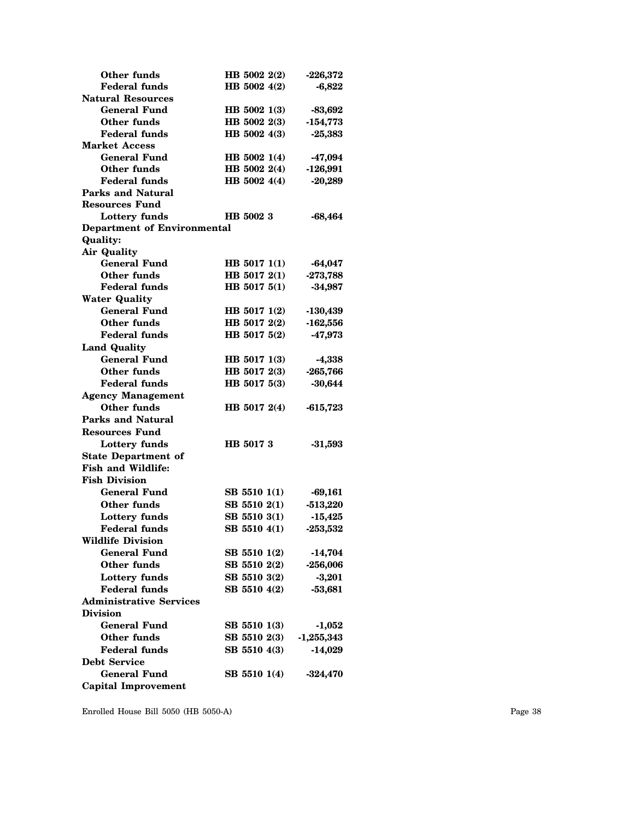| Other funds                        | HB 5002 2(2)                 | $-226,372$                |
|------------------------------------|------------------------------|---------------------------|
| <b>Federal funds</b>               | HB 5002 4(2)                 | $-6,822$                  |
| <b>Natural Resources</b>           |                              |                           |
| <b>General Fund</b>                | HB 5002 1(3)                 | $-83,692$                 |
| <b>Other funds</b>                 | HB 5002 2(3)                 | $-154,773$                |
| <b>Federal funds</b>               | HB 5002 4(3)                 | $-25,383$                 |
| <b>Market Access</b>               |                              |                           |
| <b>General Fund</b>                | HB 5002 1(4)                 | -47,094                   |
| <b>Other funds</b>                 | HB 5002 2(4)                 | $-126,991$                |
| <b>Federal funds</b>               | HB 5002 4(4)                 | $-20,289$                 |
| <b>Parks and Natural</b>           |                              |                           |
| <b>Resources Fund</b>              |                              |                           |
| Lottery funds                      | HB 5002 3                    | -68,464                   |
| <b>Department of Environmental</b> |                              |                           |
| <b>Quality:</b>                    |                              |                           |
| <b>Air Quality</b>                 |                              |                           |
| <b>General Fund</b>                | HB 5017 1(1)                 | -64,047                   |
| <b>Other funds</b>                 | HB 5017 2(1)                 | $-273,788$                |
| <b>Federal funds</b>               | HB 5017 5(1)                 | $-34,987$                 |
| <b>Water Quality</b>               |                              |                           |
| <b>General Fund</b>                | HB 5017 1(2)                 | $-130,439$                |
| <b>Other funds</b>                 | HB 5017 2(2)                 | $-162,556$                |
| <b>Federal funds</b>               | HB 5017 5(2)                 | $-47,973$                 |
| <b>Land Quality</b>                |                              |                           |
| <b>General Fund</b>                | HB 5017 1(3)                 | $-4,338$                  |
| <b>Other funds</b>                 | HB 5017 2(3)                 | $-265,766$                |
| <b>Federal funds</b>               | HB 5017 5(3)                 | $-30,644$                 |
| <b>Agency Management</b>           |                              |                           |
| <b>Other funds</b>                 | HB 5017 2(4)                 | $-615,723$                |
| <b>Parks and Natural</b>           |                              |                           |
| <b>Resources Fund</b>              |                              |                           |
| <b>Lottery funds</b>               | HB 5017 3                    | $-31,593$                 |
| <b>State Department of</b>         |                              |                           |
| <b>Fish and Wildlife:</b>          |                              |                           |
| <b>Fish Division</b>               |                              |                           |
| <b>General Fund</b>                | SB 5510 1(1)                 | $-69,161$                 |
| <b>Other funds</b>                 | SB 5510 2(1)                 | $-513,220$                |
| <b>Lottery funds</b>               | SB 5510 3(1)                 | $-15,425$                 |
| <b>Federal funds</b>               | SB 5510 4(1)                 | $-253,532$                |
| <b>Wildlife Division</b>           |                              |                           |
| <b>General Fund</b>                | SB 5510 1(2)                 | -14,704                   |
| <b>Other funds</b>                 | SB 5510 2(2)                 | $-256,006$                |
| <b>Lottery funds</b>               | SB 5510 3(2)                 | $-3,201$                  |
| <b>Federal funds</b>               | SB 5510 4(2)                 | $-53,681$                 |
| <b>Administrative Services</b>     |                              |                           |
| <b>Division</b>                    |                              |                           |
| <b>General Fund</b>                | SB 5510 1(3)                 |                           |
| <b>Other funds</b>                 |                              | $-1,052$                  |
| <b>Federal funds</b>               | SB 5510 2(3)<br>SB 5510 4(3) | $-1,255,343$<br>$-14,029$ |
| <b>Debt Service</b>                |                              |                           |
| <b>General Fund</b>                |                              |                           |
|                                    | SB 5510 1(4)                 | $-324,470$                |
| <b>Capital Improvement</b>         |                              |                           |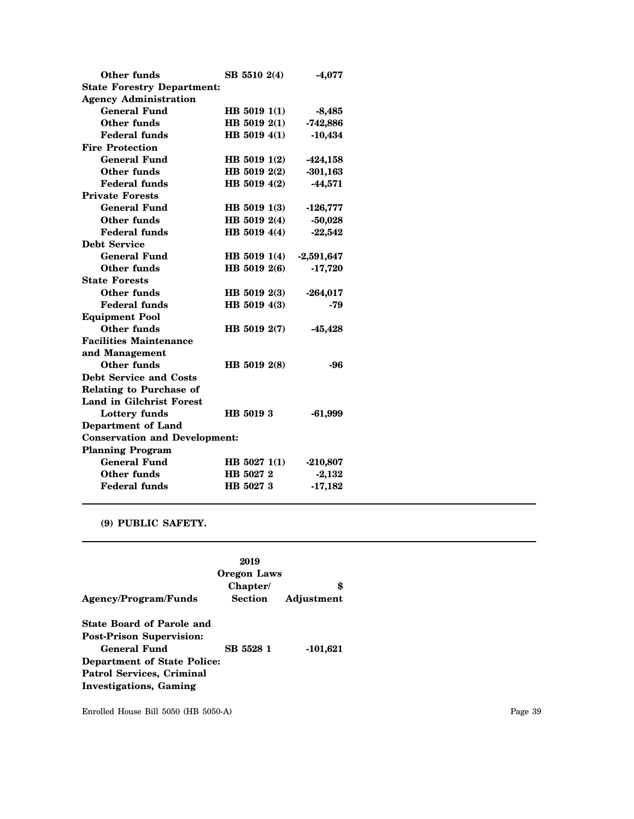| Other funds                          | SB 5510 2(4) | -4,077       |
|--------------------------------------|--------------|--------------|
| <b>State Forestry Department:</b>    |              |              |
| <b>Agency Administration</b>         |              |              |
| <b>General Fund</b>                  | HB 5019 1(1) | $-8,485$     |
| Other funds                          | HB 5019 2(1) | $-742,886$   |
| <b>Federal funds</b>                 | HB 5019 4(1) | $-10,434$    |
| <b>Fire Protection</b>               |              |              |
| <b>General Fund</b>                  | HB 5019 1(2) | -424,158     |
| Other funds                          | HB 5019 2(2) | $-301,163$   |
| <b>Federal funds</b>                 | HB 5019 4(2) | $-44,571$    |
| <b>Private Forests</b>               |              |              |
| <b>General Fund</b>                  | HB 5019 1(3) | $-126,777$   |
| Other funds                          | HB 5019 2(4) | $-50,028$    |
| <b>Federal funds</b>                 | HB 5019 4(4) | $-22,542$    |
| <b>Debt Service</b>                  |              |              |
| <b>General Fund</b>                  | HB 5019 1(4) | $-2,591,647$ |
| Other funds                          | HB 5019 2(6) | $-17,720$    |
| <b>State Forests</b>                 |              |              |
| Other funds                          | HB 5019 2(3) | $-264,017$   |
| <b>Federal funds</b>                 | HB 5019 4(3) | -79          |
| <b>Equipment Pool</b>                |              |              |
| Other funds                          | HB 5019 2(7) | $-45,428$    |
| <b>Facilities Maintenance</b>        |              |              |
| and Management                       |              |              |
| Other funds                          | HB 5019 2(8) | -96          |
| <b>Debt Service and Costs</b>        |              |              |
| <b>Relating to Purchase of</b>       |              |              |
| <b>Land in Gilchrist Forest</b>      |              |              |
| Lottery funds                        | HB 5019 3    | $-61,999$    |
| Department of Land                   |              |              |
| <b>Conservation and Development:</b> |              |              |
| <b>Planning Program</b>              |              |              |
| <b>General Fund</b>                  | HB 5027 1(1) | $-210,807$   |
| Other funds                          | HB 5027 2    | $-2,132$     |
| <b>Federal funds</b>                 | HB 5027 3    | $-17,182$    |

**(9) PUBLIC SAFETY.**

|                                    | 2019<br><b>Oregon Laws</b> |            |
|------------------------------------|----------------------------|------------|
|                                    | Chapter/                   | \$         |
| <b>Agency/Program/Funds</b>        | Section                    | Adjustment |
| State Board of Parole and          |                            |            |
| <b>Post-Prison Supervision:</b>    |                            |            |
| General Fund                       | SB 5528 1                  | $-101,621$ |
| <b>Department of State Police:</b> |                            |            |
| <b>Patrol Services, Criminal</b>   |                            |            |
| Investigations, Gaming             |                            |            |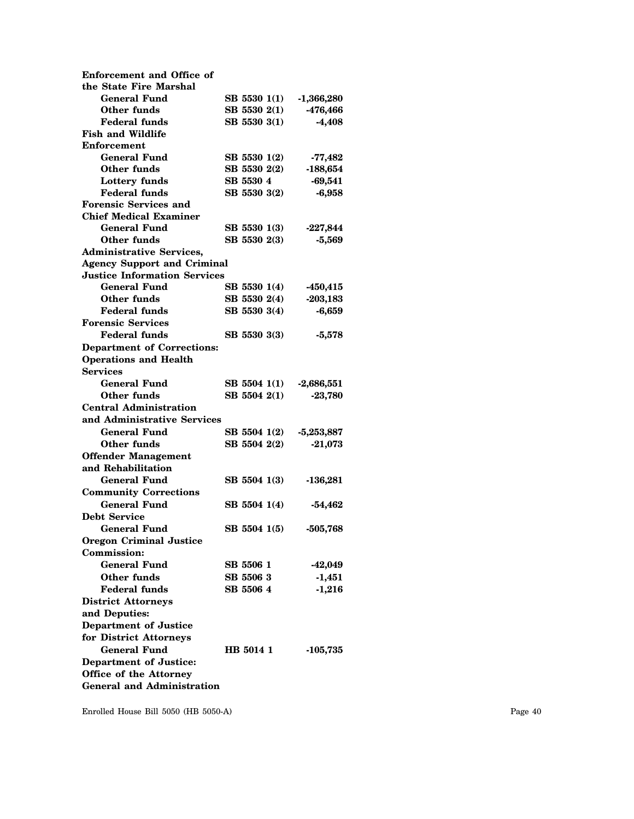| <b>Enforcement and Office of</b>    |           |              |              |
|-------------------------------------|-----------|--------------|--------------|
| the State Fire Marshal              |           |              |              |
| General Fund                        |           | SB 5530 1(1) | -1,366,280   |
| Other funds                         |           | SB 5530 2(1) | $-476,466$   |
| <b>Federal funds</b>                |           | SB 5530 3(1) | $-4,408$     |
| <b>Fish and Wildlife</b>            |           |              |              |
| <b>Enforcement</b>                  |           |              |              |
| <b>General Fund</b>                 |           | SB 5530 1(2) | -77,482      |
| <b>Other funds</b>                  |           | SB 5530 2(2) | $-188,654$   |
| Lottery funds                       | SB 5530 4 |              | $-69,541$    |
| <b>Federal funds</b>                |           | SB 5530 3(2) | $-6,958$     |
| <b>Forensic Services and</b>        |           |              |              |
| <b>Chief Medical Examiner</b>       |           |              |              |
| General Fund                        |           | SB 5530 1(3) | $-227,844$   |
| Other funds                         |           | SB 5530 2(3) | $-5,569$     |
| <b>Administrative Services,</b>     |           |              |              |
| <b>Agency Support and Criminal</b>  |           |              |              |
| <b>Justice Information Services</b> |           |              |              |
| General Fund                        |           | SB 5530 1(4) | $-450, 415$  |
| <b>Other funds</b>                  |           | SB 5530 2(4) | $-203,183$   |
| <b>Federal funds</b>                |           | SB 5530 3(4) | $-6,659$     |
| <b>Forensic Services</b>            |           |              |              |
| <b>Federal funds</b>                |           | SB 5530 3(3) | $-5,578$     |
| <b>Department of Corrections:</b>   |           |              |              |
| <b>Operations and Health</b>        |           |              |              |
| <b>Services</b>                     |           |              |              |
| <b>General Fund</b>                 |           | SB 5504 1(1) | $-2,686,551$ |
| Other funds                         |           | SB 5504 2(1) | $-23,780$    |
| <b>Central Administration</b>       |           |              |              |
| and Administrative Services         |           |              |              |
| <b>General Fund</b>                 |           |              |              |
|                                     |           | SB 5504 1(2) | $-5,253,887$ |
| <b>Other funds</b>                  |           | SB 5504 2(2) | $-21,073$    |
| <b>Offender Management</b>          |           |              |              |
| and Rehabilitation                  |           |              |              |
| General Fund                        |           | SB 5504 1(3) | $-136,281$   |
| <b>Community Corrections</b>        |           |              |              |
| <b>General Fund</b>                 |           | SB 5504 1(4) | $-54,462$    |
| <b>Debt Service</b>                 |           |              |              |
| <b>General Fund</b>                 |           | SB 5504 1(5) | $-505,768$   |
| <b>Oregon Criminal Justice</b>      |           |              |              |
| Commission:                         |           |              |              |
| General Fund                        | SB 5506 1 |              | -42,049      |
| Other funds                         | SB 55063  |              | $-1,451$     |
| <b>Federal funds</b>                | SB 5506 4 |              | $-1,216$     |
| <b>District Attorneys</b>           |           |              |              |
| and Deputies:                       |           |              |              |
| <b>Department of Justice</b>        |           |              |              |
| for District Attorneys              |           |              |              |
| <b>General Fund</b>                 | HB 5014 1 |              | $-105,735$   |
| <b>Department of Justice:</b>       |           |              |              |
| Office of the Attorney              |           |              |              |
| <b>General and Administration</b>   |           |              |              |
|                                     |           |              |              |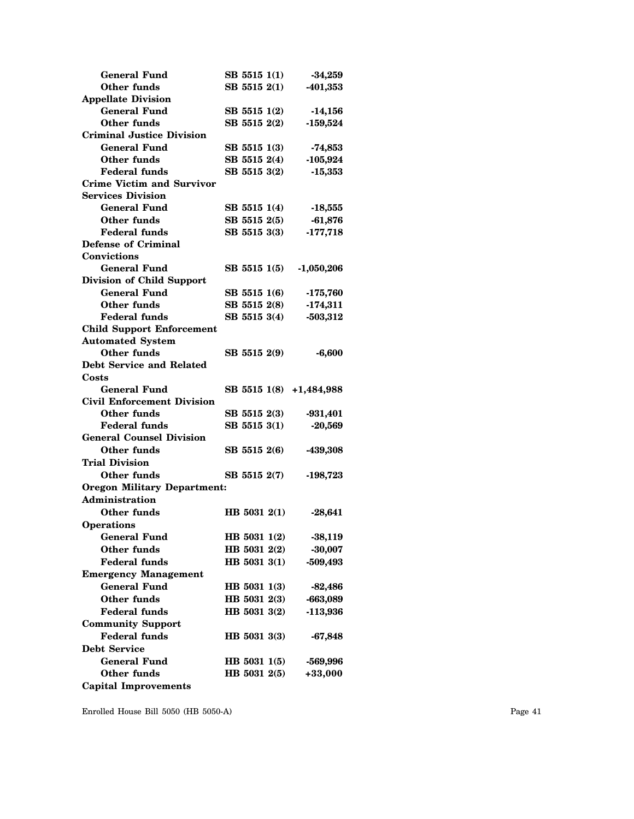| <b>General Fund</b>                                         | SB 5515 1(1)            | $-34,259$    |
|-------------------------------------------------------------|-------------------------|--------------|
| Other funds                                                 | SB 5515 2(1)            | $-401,353$   |
| <b>Appellate Division</b>                                   |                         |              |
| <b>General Fund</b>                                         | SB 5515 1(2)            | $-14,156$    |
| <b>Other funds</b>                                          | SB 5515 2(2)            | $-159,524$   |
| <b>Criminal Justice Division</b>                            |                         |              |
| <b>General Fund</b>                                         | SB 5515 1(3)            | $-74,853$    |
| Other funds                                                 | SB 5515 2(4)            | $-105,924$   |
| <b>Federal funds</b>                                        | SB 5515 3(2)            | $-15,353$    |
| <b>Crime Victim and Survivor</b>                            |                         |              |
| <b>Services Division</b>                                    |                         |              |
| <b>General Fund</b>                                         | SB 5515 1(4)            | $-18,555$    |
| Other funds                                                 | SB 5515 2(5)            | $-61,876$    |
| <b>Federal funds</b>                                        | SB 5515 3(3)            | $-177,718$   |
| <b>Defense of Criminal</b>                                  |                         |              |
| <b>Convictions</b>                                          |                         |              |
| General Fund                                                | SB 5515 1(5)            | $-1,050,206$ |
| Division of Child Support                                   |                         |              |
| <b>General Fund</b>                                         | SB 5515 1(6)            | $-175,760$   |
| <b>Other funds</b>                                          | SB 5515 2(8)            | $-174,311$   |
| <b>Federal funds</b>                                        | SB 5515 3(4)            | $-503,312$   |
|                                                             |                         |              |
| <b>Child Support Enforcement</b><br><b>Automated System</b> |                         |              |
| Other funds                                                 |                         |              |
|                                                             | SB 5515 2(9)            | $-6,600$     |
| <b>Debt Service and Related</b>                             |                         |              |
| Costs                                                       |                         |              |
| <b>General Fund</b>                                         | SB 5515 1(8) +1,484,988 |              |
| <b>Civil Enforcement Division</b>                           |                         |              |
| Other funds                                                 | SB 5515 2(3)            | $-931,401$   |
|                                                             |                         |              |
| Federal funds                                               | SB 5515 3(1)            | $-20,569$    |
| <b>General Counsel Division</b>                             |                         |              |
| <b>Other funds</b>                                          | SB 5515 2(6)            | -439,308     |
| <b>Trial Division</b>                                       |                         |              |
| Other funds                                                 | SB 5515 2(7)            | -198,723     |
| <b>Oregon Military Department:</b>                          |                         |              |
| Administration                                              |                         |              |
| Other funds                                                 | HB 5031 2(1)            | $-28,641$    |
| <b>Operations</b>                                           |                         |              |
| <b>General Fund</b>                                         | HB 5031 1(2)            | $-38,119$    |
| <b>Other funds</b>                                          | HB 5031 2(2)            | $-30,007$    |
| <b>Federal funds</b>                                        | HB 5031 3(1)            | $-509,493$   |
|                                                             |                         |              |
| <b>Emergency Management</b><br><b>General Fund</b>          |                         |              |
|                                                             | HB 5031 1(3)            | $-82,486$    |
| <b>Other funds</b>                                          | HB 5031 2(3)            | $-663,089$   |
| <b>Federal funds</b>                                        | HB 5031 3(2)            | $-113,936$   |
| <b>Community Support</b>                                    |                         |              |
| <b>Federal funds</b>                                        | HB 5031 3(3)            | $-67,848$    |
| <b>Debt Service</b>                                         |                         |              |
| <b>General Fund</b>                                         | HB 5031 1(5)            | -569,996     |
| <b>Other funds</b><br><b>Capital Improvements</b>           | HB 5031 2(5)            | $+33,000$    |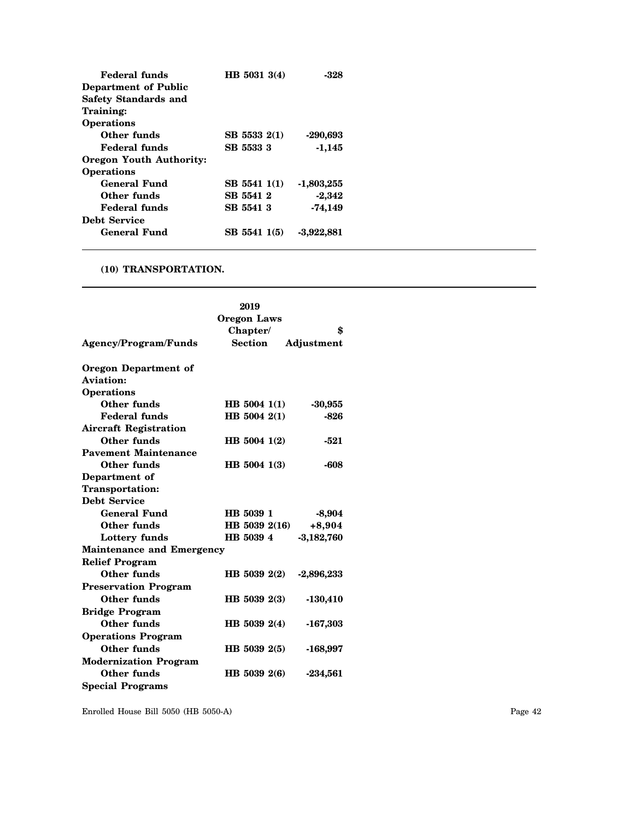| Federal funds                  | HB 5031 3(4) | -328         |
|--------------------------------|--------------|--------------|
| Department of Public           |              |              |
| <b>Safety Standards and</b>    |              |              |
| Training:                      |              |              |
| <b>Operations</b>              |              |              |
| Other funds                    | SB 5533 2(1) | $-290,693$   |
| Federal funds                  | SB 5533 3    | $-1,145$     |
| <b>Oregon Youth Authority:</b> |              |              |
| <b>Operations</b>              |              |              |
| <b>General Fund</b>            | SB 5541 1(1) | $-1,803,255$ |
| Other funds                    | SB 5541 2    | $-2,342$     |
| Federal funds                  | SB 5541 3    | $-74,149$    |
| Debt Service                   |              |              |
| <b>General Fund</b>            | SB 5541 1(5) | -3.922.881   |

#### **(10) TRANSPORTATION.**

|                                  | 2019<br>Oregon Laws                            |  |
|----------------------------------|------------------------------------------------|--|
| <b>Agency/Program/Funds</b>      | \$<br>Chapter/<br><b>Section</b><br>Adjustment |  |
| <b>Oregon Department of</b>      |                                                |  |
| Aviation:                        |                                                |  |
| <b>Operations</b>                |                                                |  |
| Other funds                      | HB 5004 1(1)<br>$-30,955$                      |  |
| <b>Federal funds</b>             | HB 5004 2(1)<br>$-826$                         |  |
| <b>Aircraft Registration</b>     |                                                |  |
| Other funds                      | HB 5004 1(2)<br>-521                           |  |
| <b>Pavement Maintenance</b>      |                                                |  |
| Other funds                      | HB 5004 1(3)<br>-608                           |  |
| Department of                    |                                                |  |
| <b>Transportation:</b>           |                                                |  |
| <b>Debt Service</b>              |                                                |  |
| <b>General Fund</b>              | HB 5039 1<br>$-8,904$                          |  |
| Other funds                      | HB 5039 2(16)<br>$+8,904$                      |  |
| <b>Lottery funds</b>             | HB 5039 4<br>$-3,182,760$                      |  |
| <b>Maintenance and Emergency</b> |                                                |  |
| <b>Relief Program</b>            |                                                |  |
| Other funds                      | HB 5039 2(2)<br>$-2,896,233$                   |  |
| <b>Preservation Program</b>      |                                                |  |
| Other funds                      | <b>HB</b> 5039 2(3)<br>$-130,410$              |  |
| <b>Bridge Program</b>            |                                                |  |
| <b>Other funds</b>               | HB 5039 2(4)<br>$-167,303$                     |  |
| <b>Operations Program</b>        |                                                |  |
| Other funds                      | HB 5039 2(5)<br>$-168,997$                     |  |
| <b>Modernization Program</b>     |                                                |  |
| Other funds                      | HB 5039 2(6)<br>-234,561                       |  |
| <b>Special Programs</b>          |                                                |  |